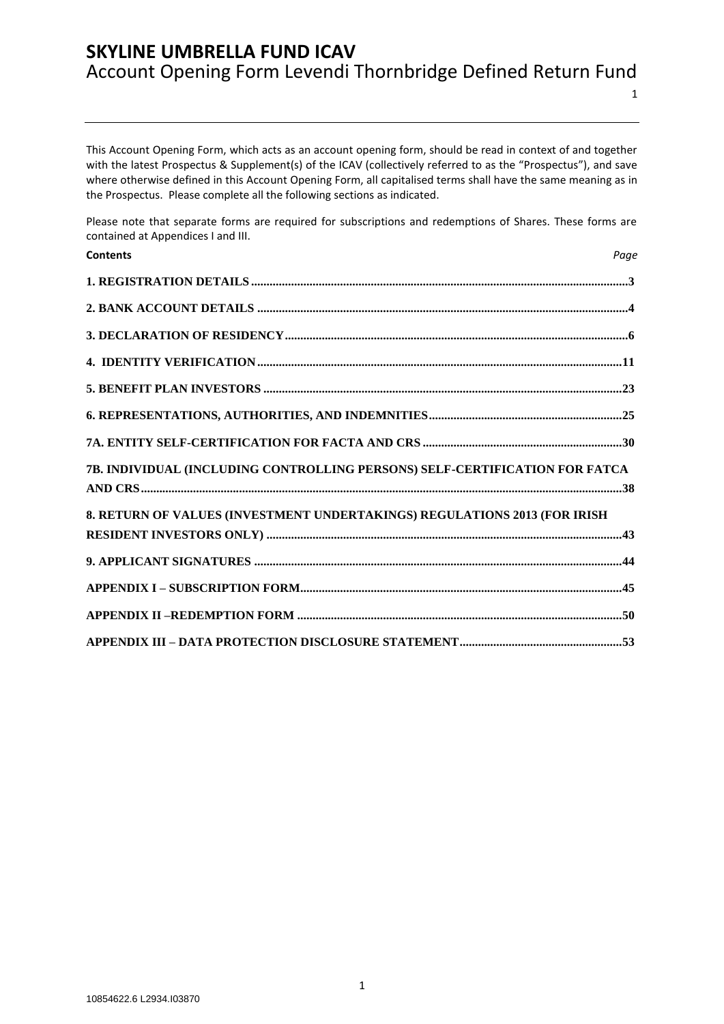1

This Account Opening Form, which acts as an account opening form, should be read in context of and together with the latest Prospectus & Supplement(s) of the ICAV (collectively referred to as the "Prospectus"), and save where otherwise defined in this Account Opening Form, all capitalised terms shall have the same meaning as in the Prospectus. Please complete all the following sections as indicated.

Please note that separate forms are required for subscriptions and redemptions of Shares. These forms are contained at Appendices I and III.

| <b>Contents</b>                                                             | Page |
|-----------------------------------------------------------------------------|------|
|                                                                             |      |
|                                                                             |      |
|                                                                             |      |
|                                                                             |      |
|                                                                             |      |
|                                                                             |      |
|                                                                             |      |
| 7B. INDIVIDUAL (INCLUDING CONTROLLING PERSONS) SELF-CERTIFICATION FOR FATCA |      |
| 8. RETURN OF VALUES (INVESTMENT UNDERTAKINGS) REGULATIONS 2013 (FOR IRISH   |      |
|                                                                             |      |
|                                                                             |      |
|                                                                             |      |
|                                                                             |      |
|                                                                             |      |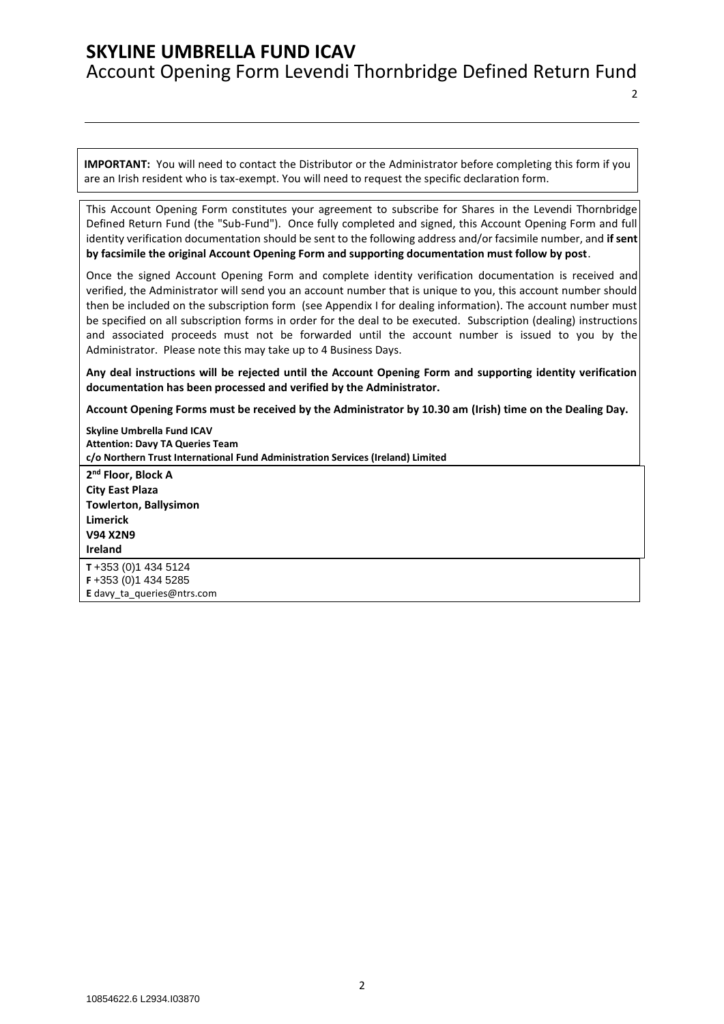2

**IMPORTANT:** You will need to contact the Distributor or the Administrator before completing this form if you are an Irish resident who is tax-exempt. You will need to request the specific declaration form.

This Account Opening Form constitutes your agreement to subscribe for Shares in the Levendi Thornbridge Defined Return Fund (the "Sub-Fund"). Once fully completed and signed, this Account Opening Form and full identity verification documentation should be sent to the following address and/or facsimile number, and **if sent by facsimile the original Account Opening Form and supporting documentation must follow by post**.

Once the signed Account Opening Form and complete identity verification documentation is received and verified, the Administrator will send you an account number that is unique to you, this account number should then be included on the subscription form (see Appendix I for dealing information). The account number must be specified on all subscription forms in order for the deal to be executed. Subscription (dealing) instructions and associated proceeds must not be forwarded until the account number is issued to you by the Administrator. Please note this may take up to 4 Business Days.

**Any deal instructions will be rejected until the Account Opening Form and supporting identity verification documentation has been processed and verified by the Administrator.**

**Account Opening Forms must be received by the Administrator by 10.30 am (Irish) time on the Dealing Day.**

**Skyline Umbrella Fund ICAV Attention: Davy TA Queries Team c/o Northern Trust International Fund Administration Services (Ireland) Limited 2 nd Floor, Block A City East Plaza Towlerton, Ballysimon Limerick V94 X2N9 Ireland T** +353 (0)1 434 5124 **F** +353 (0)1 434 5285 **E** [davy\\_ta\\_queries@ntrs.com](mailto:davy_ta_queries@ntrs.com)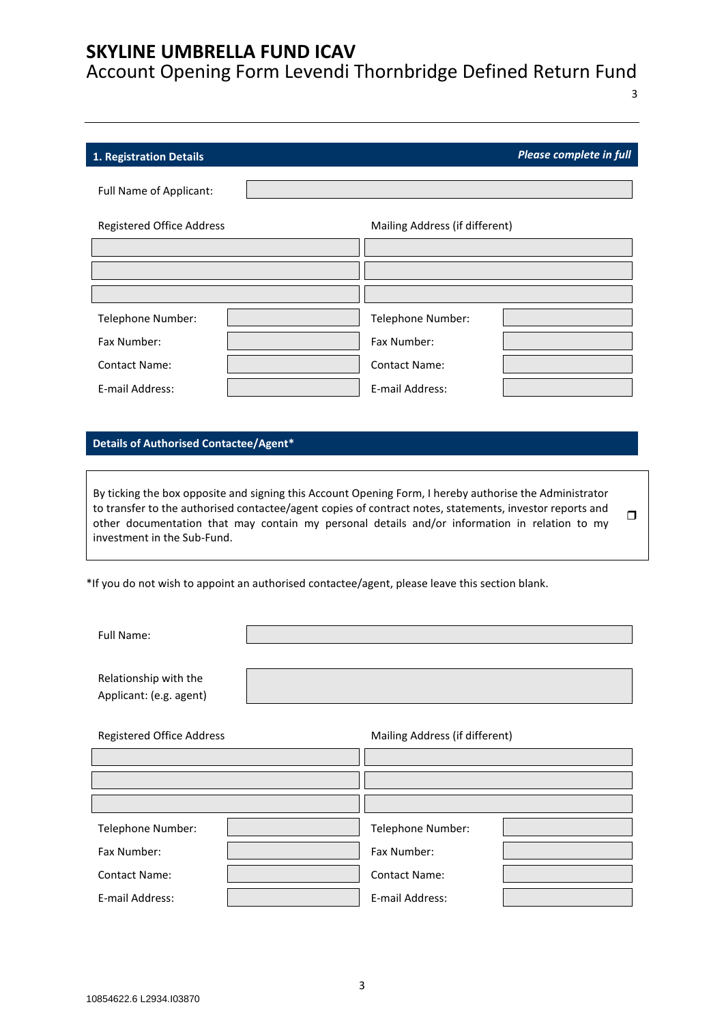Account Opening Form Levendi Thornbridge Defined Return Fund

3

<span id="page-2-0"></span>

| 1. Registration Details          |                                | Please complete in full |
|----------------------------------|--------------------------------|-------------------------|
| Full Name of Applicant:          |                                |                         |
| <b>Registered Office Address</b> | Mailing Address (if different) |                         |
|                                  |                                |                         |
|                                  |                                |                         |
|                                  |                                |                         |
| Telephone Number:                | Telephone Number:              |                         |
| Fax Number:                      | Fax Number:                    |                         |
| <b>Contact Name:</b>             | <b>Contact Name:</b>           |                         |
| E-mail Address:                  | E-mail Address:                |                         |

### **Details of Authorised Contactee/Agent\***

By ticking the box opposite and signing this Account Opening Form, I hereby authorise the Administrator to transfer to the authorised contactee/agent copies of contract notes, statements, investor reports and other documentation that may contain my personal details and/or information in relation to my investment in the Sub-Fund.  $\Box$ 

\*If you do not wish to appoint an authorised contactee/agent, please leave this section blank.

Full Name:

Relationship with the Applicant: (e.g. agent) Registered Office Address Mailing Address (if different) Telephone Number: Telephone Number: Fax Number: Fax Number: Contact Name: Contact Name: E-mail Address: E-mail Address: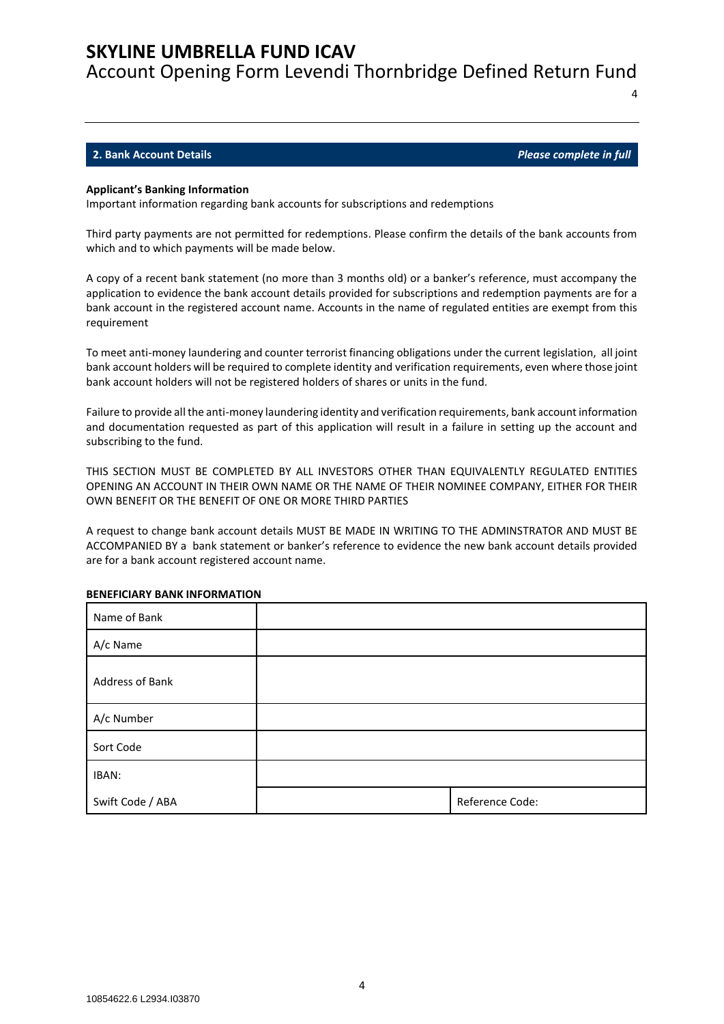Account Opening Form Levendi Thornbridge Defined Return Fund

### <span id="page-3-0"></span>**2. Bank Account Details** *Please complete in full*

4

#### **Applicant's Banking Information**

Important information regarding bank accounts for subscriptions and redemptions

Third party payments are not permitted for redemptions. Please confirm the details of the bank accounts from which and to which payments will be made below.

A copy of a recent bank statement (no more than 3 months old) or a banker's reference, must accompany the application to evidence the bank account details provided for subscriptions and redemption payments are for a bank account in the registered account name. Accounts in the name of regulated entities are exempt from this requirement

To meet anti-money laundering and counter terrorist financing obligations under the current legislation, all joint bank account holders will be required to complete identity and verification requirements, even where those joint bank account holders will not be registered holders of shares or units in the fund.

Failure to provide all the anti-money laundering identity and verification requirements, bank account information and documentation requested as part of this application will result in a failure in setting up the account and subscribing to the fund.

THIS SECTION MUST BE COMPLETED BY ALL INVESTORS OTHER THAN EQUIVALENTLY REGULATED ENTITIES OPENING AN ACCOUNT IN THEIR OWN NAME OR THE NAME OF THEIR NOMINEE COMPANY, EITHER FOR THEIR OWN BENEFIT OR THE BENEFIT OF ONE OR MORE THIRD PARTIES

A request to change bank account details MUST BE MADE IN WRITING TO THE ADMINSTRATOR AND MUST BE ACCOMPANIED BY a bank statement or banker's reference to evidence the new bank account details provided are for a bank account registered account name.

| Name of Bank     |                 |
|------------------|-----------------|
| A/c Name         |                 |
| Address of Bank  |                 |
| A/c Number       |                 |
| Sort Code        |                 |
| IBAN:            |                 |
| Swift Code / ABA | Reference Code: |

#### **BENEFICIARY BANK INFORMATION**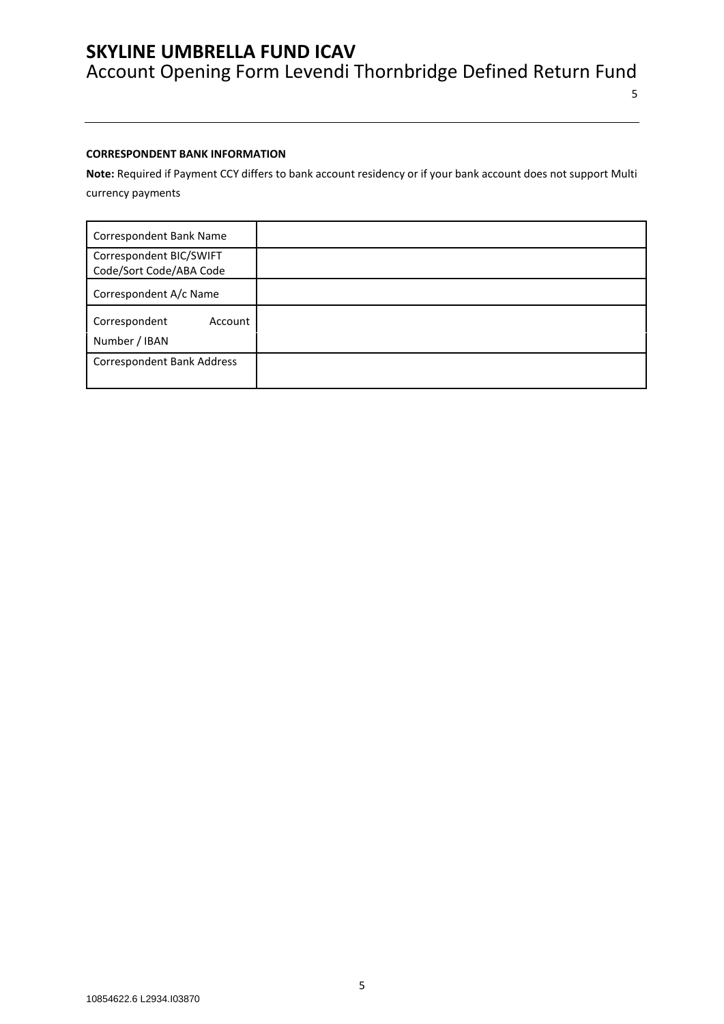5

### **CORRESPONDENT BANK INFORMATION**

**Note:** Required if Payment CCY differs to bank account residency or if your bank account does not support Multi currency payments

| Correspondent Bank Name                            |  |
|----------------------------------------------------|--|
| Correspondent BIC/SWIFT<br>Code/Sort Code/ABA Code |  |
| Correspondent A/c Name                             |  |
| Correspondent<br>Account<br>Number / IBAN          |  |
| Correspondent Bank Address                         |  |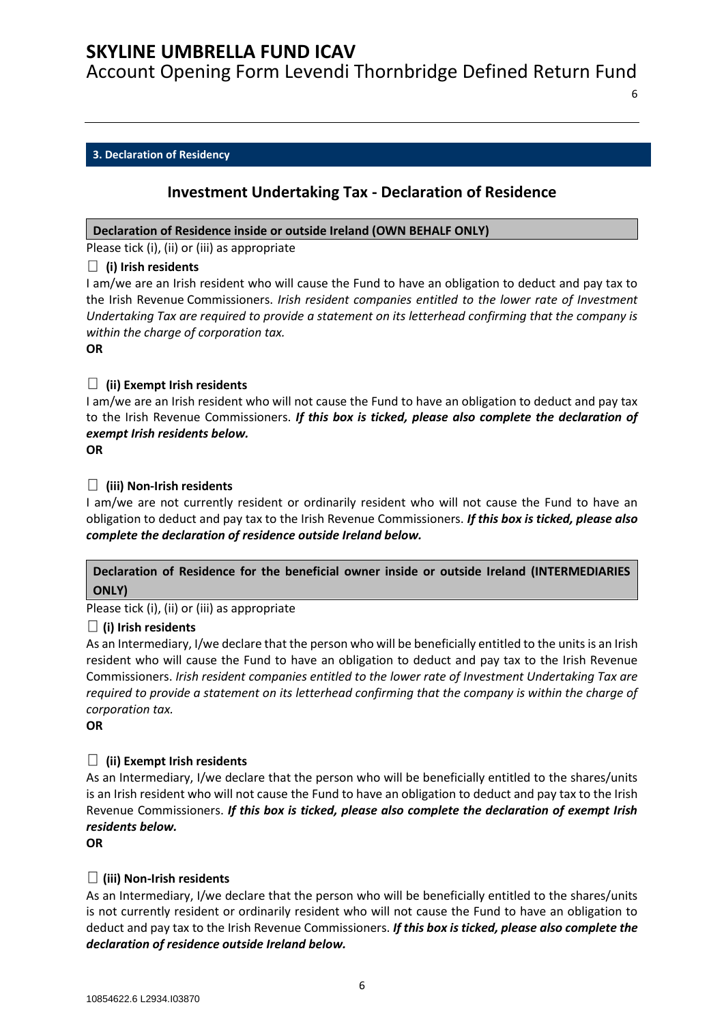Account Opening Form Levendi Thornbridge Defined Return Fund

6

### <span id="page-5-0"></span>**3. Declaration of Residency**

### **Investment Undertaking Tax - Declaration of Residence**

### **Declaration of Residence inside or outside Ireland (OWN BEHALF ONLY)**

Please tick (i), (ii) or (iii) as appropriate

### **(i) Irish residents**

I am/we are an Irish resident who will cause the Fund to have an obligation to deduct and pay tax to the Irish Revenue Commissioners. *Irish resident companies entitled to the lower rate of Investment Undertaking Tax are required to provide a statement on its letterhead confirming that the company is within the charge of corporation tax.*

**OR**

### **(ii) Exempt Irish residents**

I am/we are an Irish resident who will not cause the Fund to have an obligation to deduct and pay tax to the Irish Revenue Commissioners. *If this box is ticked, please also complete the declaration of exempt Irish residents below.*

**OR**

### **(iii) Non-Irish residents**

I am/we are not currently resident or ordinarily resident who will not cause the Fund to have an obligation to deduct and pay tax to the Irish Revenue Commissioners. *If this box is ticked, please also complete the declaration of residence outside Ireland below.*

### **Declaration of Residence for the beneficial owner inside or outside Ireland (INTERMEDIARIES ONLY)**

Please tick (i), (ii) or (iii) as appropriate

### **(i) Irish residents**

As an Intermediary, I/we declare that the person who will be beneficially entitled to the units is an Irish resident who will cause the Fund to have an obligation to deduct and pay tax to the Irish Revenue Commissioners. *Irish resident companies entitled to the lower rate of Investment Undertaking Tax are required to provide a statement on its letterhead confirming that the company is within the charge of corporation tax.*

**OR**

### **(ii) Exempt Irish residents**

As an Intermediary, I/we declare that the person who will be beneficially entitled to the shares/units is an Irish resident who will not cause the Fund to have an obligation to deduct and pay tax to the Irish Revenue Commissioners. *If this box is ticked, please also complete the declaration of exempt Irish residents below.*

**OR**

### **(iii) Non-Irish residents**

As an Intermediary, I/we declare that the person who will be beneficially entitled to the shares/units is not currently resident or ordinarily resident who will not cause the Fund to have an obligation to deduct and pay tax to the Irish Revenue Commissioners. *If this box is ticked, please also complete the declaration of residence outside Ireland below.*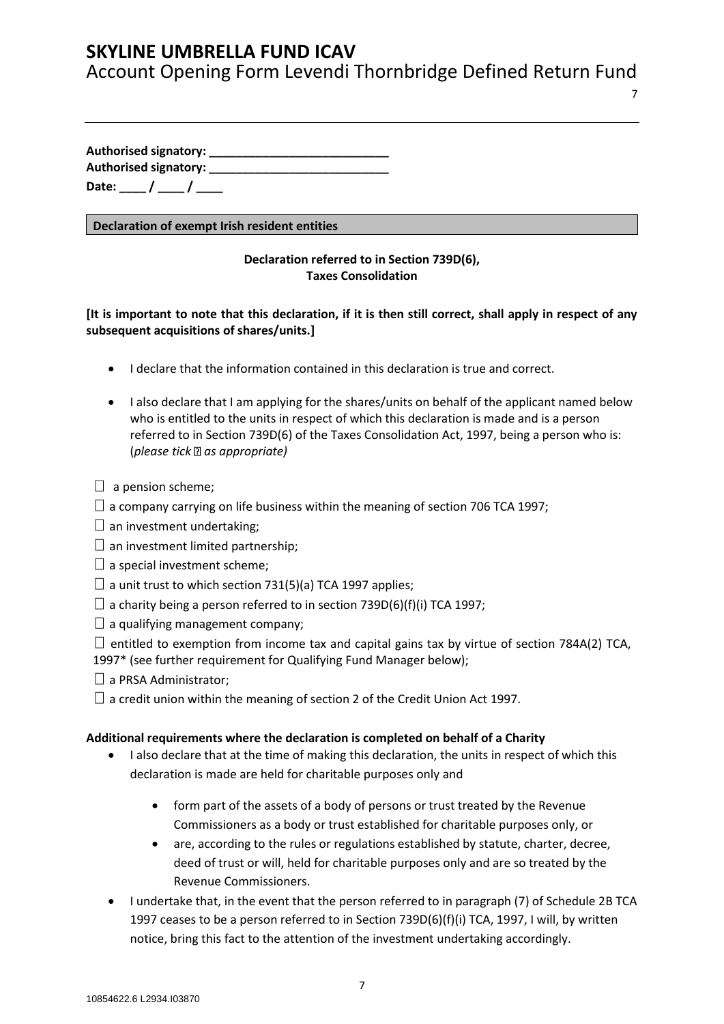Account Opening Form Levendi Thornbridge Defined Return Fund

7

**Authorised signatory: \_\_\_\_\_\_\_\_\_\_\_\_\_\_\_\_\_\_\_\_\_\_\_\_\_\_\_ Authorised signatory: \_\_\_\_\_\_\_\_\_\_\_\_\_\_\_\_\_\_\_\_\_\_\_\_\_\_\_** Date: \_\_\_\_ / \_\_\_\_ / \_\_\_\_

### **Declaration of exempt Irish resident entities**

### **Declaration referred to in Section 739D(6), Taxes Consolidation**

### **[It is important to note that this declaration, if it is then still correct, shall apply in respect of any subsequent acquisitions of shares/units.]**

- I declare that the information contained in this declaration is true and correct.
- I also declare that I am applying for the shares/units on behalf of the applicant named below who is entitled to the units in respect of which this declaration is made and is a person referred to in Section 739D(6) of the Taxes Consolidation Act, 1997, being a person who is: (*please tick as appropriate)*
- $\Box$  a pension scheme;
- $\Box$  a company carrying on life business within the meaning of section 706 TCA 1997;
- $\square$  an investment undertaking;
- $\Box$  an investment limited partnership;
- $\square$  a special investment scheme;
- $\Box$  a unit trust to which section 731(5)(a) TCA 1997 applies;
- $\Box$  a charity being a person referred to in section 739D(6)(f)(i) TCA 1997;
- $\Box$  a qualifying management company:
- $\Box$  entitled to exemption from income tax and capital gains tax by virtue of section 784A(2) TCA,
- 1997\* (see further requirement for Qualifying Fund Manager below);
- $\Box$  a PRSA Administrator:
- $\Box$  a credit union within the meaning of section 2 of the Credit Union Act 1997.

### **Additional requirements where the declaration is completed on behalf of a Charity**

- I also declare that at the time of making this declaration, the units in respect of which this declaration is made are held for charitable purposes only and
	- form part of the assets of a body of persons or trust treated by the Revenue Commissioners as a body or trust established for charitable purposes only, or
	- are, according to the rules or regulations established by statute, charter, decree, deed of trust or will, held for charitable purposes only and are so treated by the Revenue Commissioners.
- I undertake that, in the event that the person referred to in paragraph (7) of Schedule 2B TCA 1997 ceases to be a person referred to in Section 739D(6)(f)(i) TCA, 1997, I will, by written notice, bring this fact to the attention of the investment undertaking accordingly.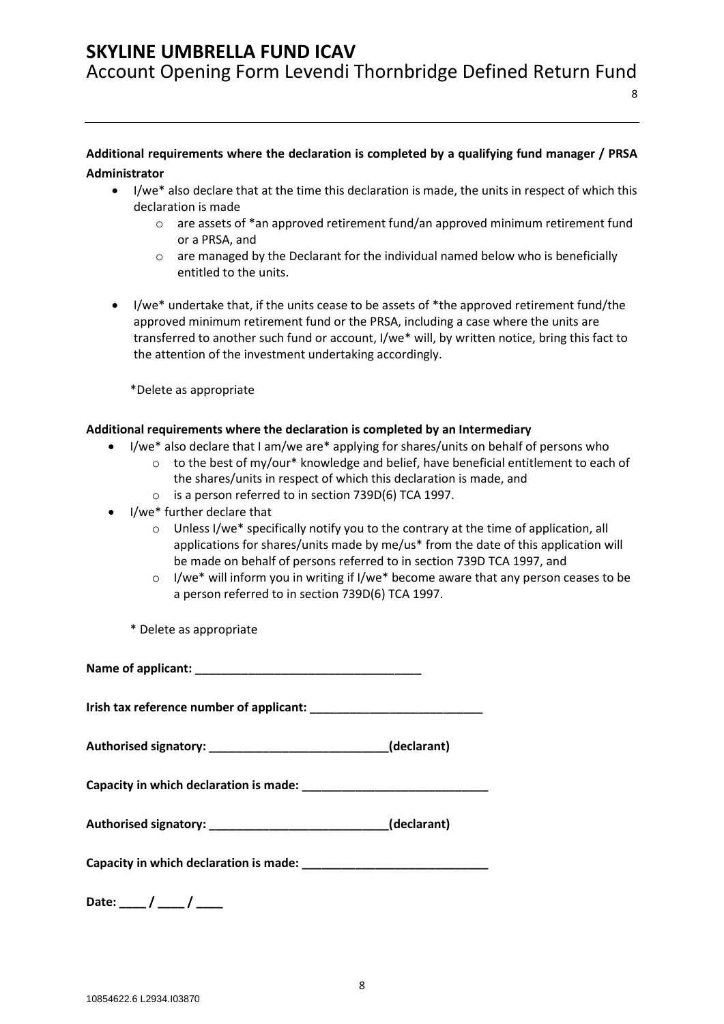Account Opening Form Levendi Thornbridge Defined Return Fund

### **Additional requirements where the declaration is completed by a qualifying fund manager / PRSA Administrator**

- I/we\* also declare that at the time this declaration is made, the units in respect of which this declaration is made
	- o are assets of \*an approved retirement fund/an approved minimum retirement fund or a PRSA, and

8

- $\circ$  are managed by the Declarant for the individual named below who is beneficially entitled to the units.
- I/we\* undertake that, if the units cease to be assets of \*the approved retirement fund/the approved minimum retirement fund or the PRSA, including a case where the units are transferred to another such fund or account, I/we\* will, by written notice, bring this fact to the attention of the investment undertaking accordingly.

\*Delete as appropriate

### **Additional requirements where the declaration is completed by an Intermediary**

- I/we\* also declare that I am/we are\* applying for shares/units on behalf of persons who
	- $\circ$  to the best of my/our\* knowledge and belief, have beneficial entitlement to each of the shares/units in respect of which this declaration is made, and
	- o is a person referred to in section 739D(6) TCA 1997.
- I/we\* further declare that
	- $\circ$  Unless I/we\* specifically notify you to the contrary at the time of application, all applications for shares/units made by me/us\* from the date of this application will be made on behalf of persons referred to in section 739D TCA 1997, and
	- o I/we\* will inform you in writing if I/we\* become aware that any person ceases to be a person referred to in section 739D(6) TCA 1997.

\* Delete as appropriate

**Name of applicant: \_\_\_\_\_\_\_\_\_\_\_\_\_\_\_\_\_\_\_\_\_\_\_\_\_\_\_\_\_\_\_\_\_\_**

**Irish tax reference number of applicant: \_\_\_\_\_\_\_\_\_\_\_\_\_\_\_\_\_\_\_\_\_\_\_\_\_\_**

**Authorised signatory: \_\_\_\_\_\_\_\_\_\_\_\_\_\_\_\_\_\_\_\_\_\_\_\_\_\_\_(declarant)**

**Capacity in which declaration is made: \_\_\_\_\_\_\_\_\_\_\_\_\_\_\_\_\_\_\_\_\_\_\_\_\_\_\_\_**

| Authorised signatory: | (declarant) |
|-----------------------|-------------|
|-----------------------|-------------|

Capacity in which declaration is made: **Letter and the set of the set of the set of the set of the set of the set of the set of the set of the set of the set of the set of the set of the set of the set of the set of the se** 

**Date: \_\_\_\_ / \_\_\_\_ / \_\_\_\_**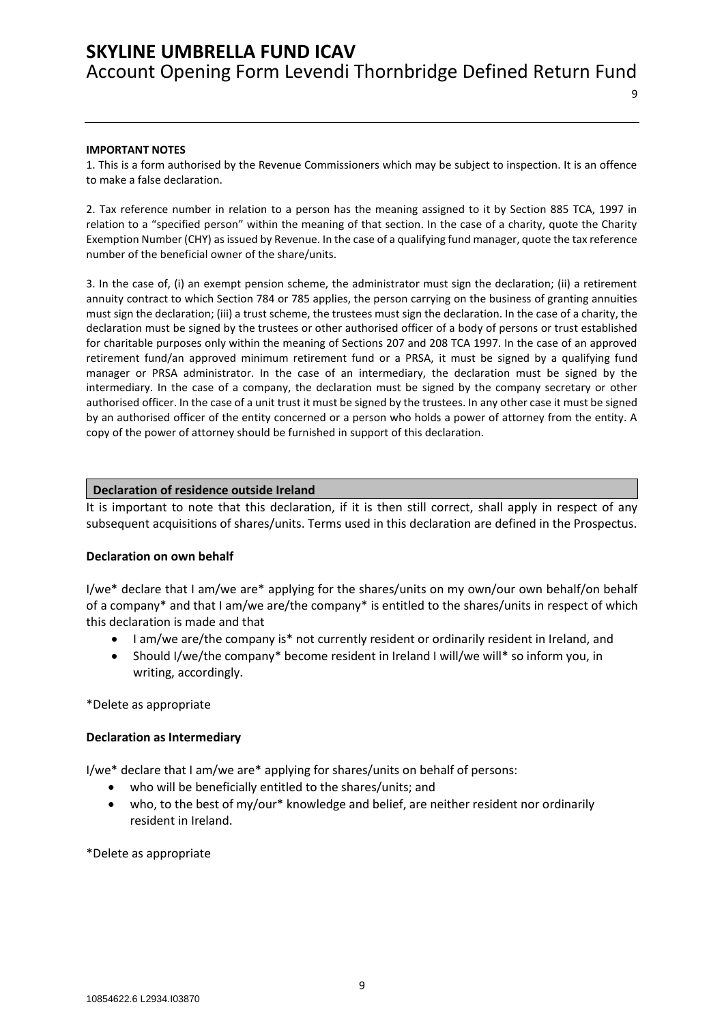9

#### **IMPORTANT NOTES**

1. This is a form authorised by the Revenue Commissioners which may be subject to inspection. It is an offence to make a false declaration.

2. Tax reference number in relation to a person has the meaning assigned to it by Section 885 TCA, 1997 in relation to a "specified person" within the meaning of that section. In the case of a charity, quote the Charity Exemption Number (CHY) as issued by Revenue. In the case of a qualifying fund manager, quote the tax reference number of the beneficial owner of the share/units.

3. In the case of, (i) an exempt pension scheme, the administrator must sign the declaration; (ii) a retirement annuity contract to which Section 784 or 785 applies, the person carrying on the business of granting annuities must sign the declaration; (iii) a trust scheme, the trustees must sign the declaration. In the case of a charity, the declaration must be signed by the trustees or other authorised officer of a body of persons or trust established for charitable purposes only within the meaning of Sections 207 and 208 TCA 1997. In the case of an approved retirement fund/an approved minimum retirement fund or a PRSA, it must be signed by a qualifying fund manager or PRSA administrator. In the case of an intermediary, the declaration must be signed by the intermediary. In the case of a company, the declaration must be signed by the company secretary or other authorised officer. In the case of a unit trust it must be signed by the trustees. In any other case it must be signed by an authorised officer of the entity concerned or a person who holds a power of attorney from the entity. A copy of the power of attorney should be furnished in support of this declaration.

#### **Declaration of residence outside Ireland**

It is important to note that this declaration, if it is then still correct, shall apply in respect of any subsequent acquisitions of shares/units. Terms used in this declaration are defined in the Prospectus.

#### **Declaration on own behalf**

I/we\* declare that I am/we are\* applying for the shares/units on my own/our own behalf/on behalf of a company\* and that I am/we are/the company\* is entitled to the shares/units in respect of which this declaration is made and that

- I am/we are/the company is\* not currently resident or ordinarily resident in Ireland, and
- Should I/we/the company\* become resident in Ireland I will/we will\* so inform you, in writing, accordingly.

\*Delete as appropriate

#### **Declaration as Intermediary**

I/we\* declare that I am/we are\* applying for shares/units on behalf of persons:

- who will be beneficially entitled to the shares/units; and
- who, to the best of my/our\* knowledge and belief, are neither resident nor ordinarily resident in Ireland.

\*Delete as appropriate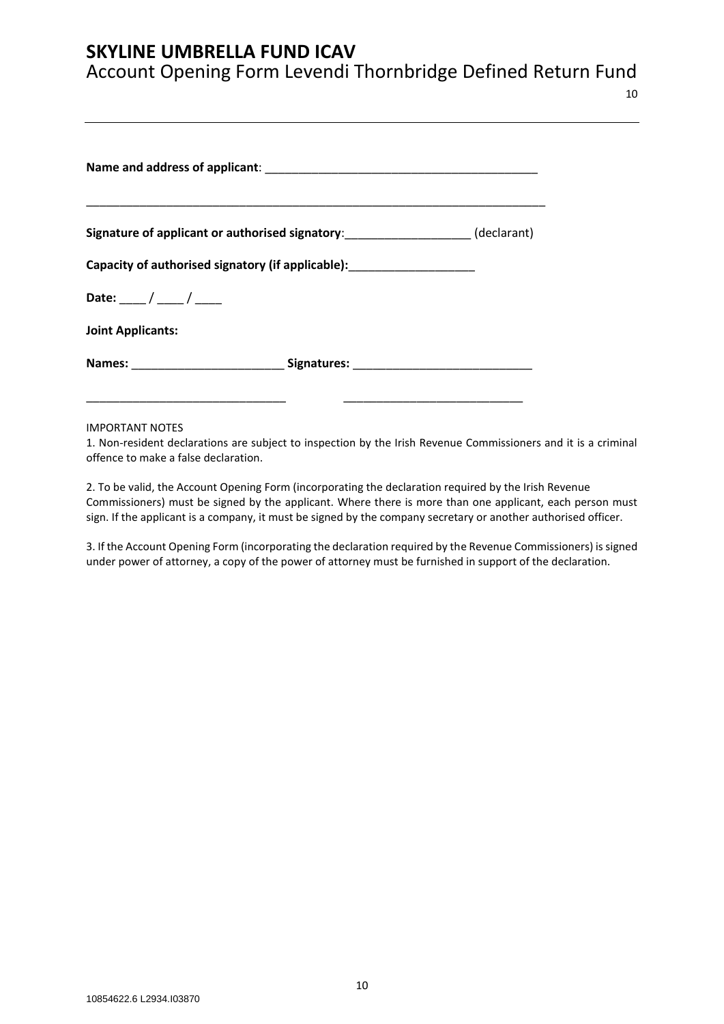## Account Opening Form Levendi Thornbridge Defined Return Fund

|                          | Signature of applicant or authorised signatory:___________________(declarant)    |  |  |
|--------------------------|----------------------------------------------------------------------------------|--|--|
|                          | Capacity of authorised signatory (if applicable): ______________________________ |  |  |
| Date: ___ / ___ / ___    |                                                                                  |  |  |
| <b>Joint Applicants:</b> |                                                                                  |  |  |
|                          | Names: _________________________________Signatures: ____________________________ |  |  |

IMPORTANT NOTES

1. Non-resident declarations are subject to inspection by the Irish Revenue Commissioners and it is a criminal offence to make a false declaration.

2. To be valid, the Account Opening Form (incorporating the declaration required by the Irish Revenue Commissioners) must be signed by the applicant. Where there is more than one applicant, each person must sign. If the applicant is a company, it must be signed by the company secretary or another authorised officer.

3. If the Account Opening Form (incorporating the declaration required by the Revenue Commissioners) is signed under power of attorney, a copy of the power of attorney must be furnished in support of the declaration.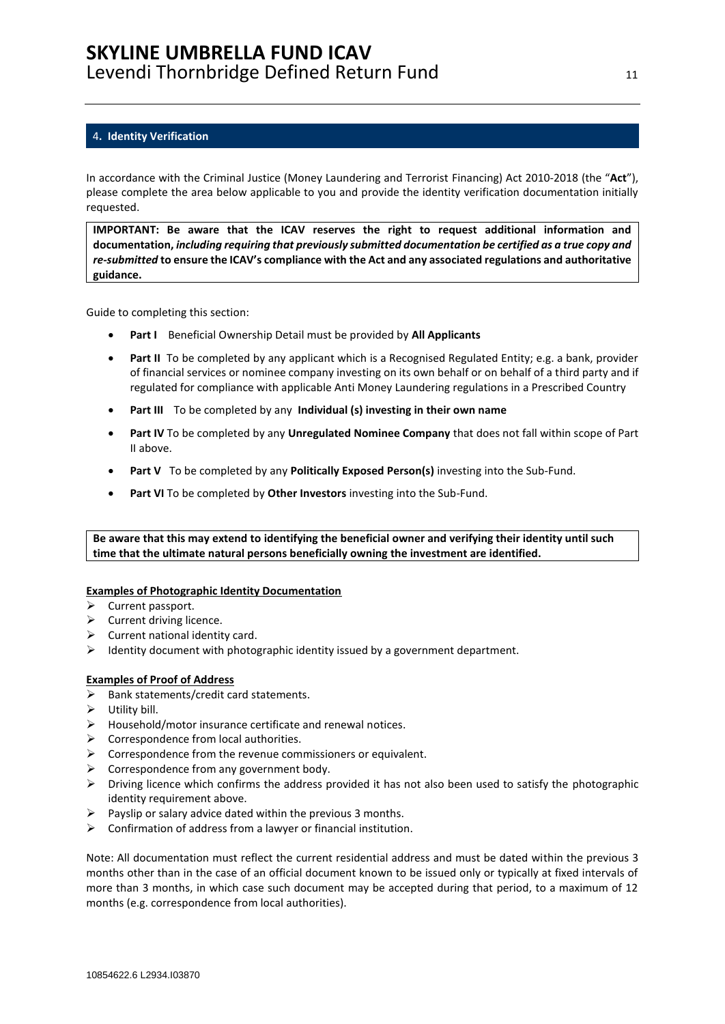#### <span id="page-10-0"></span>4**. Identity Verification**

In accordance with the Criminal Justice (Money Laundering and Terrorist Financing) Act 2010-2018 (the "**Act**"), please complete the area below applicable to you and provide the identity verification documentation initially requested.

**IMPORTANT: Be aware that the ICAV reserves the right to request additional information and documentation,** *including requiring that previously submitted documentation be certified as a true copy and re-submitted* **to ensure the ICAV's compliance with the Act and any associated regulations and authoritative guidance.**

Guide to completing this section:

- **Part I** Beneficial Ownership Detail must be provided by **All Applicants**
- **Part II** To be completed by any applicant which is a Recognised Regulated Entity; e.g. a bank, provider of financial services or nominee company investing on its own behalf or on behalf of a third party and if regulated for compliance with applicable Anti Money Laundering regulations in a Prescribed Country
- **Part III** To be completed by any **Individual (s) investing in their own name**
- **Part IV** To be completed by any **Unregulated Nominee Company** that does not fall within scope of Part II above.
- **Part V** To be completed by any **Politically Exposed Person(s)** investing into the Sub-Fund.
- **Part VI** To be completed by **Other Investors** investing into the Sub-Fund.

**Be aware that this may extend to identifying the beneficial owner and verifying their identity until such time that the ultimate natural persons beneficially owning the investment are identified.**

#### **Examples of Photographic Identity Documentation**

- ➢ Current passport.
- $\triangleright$  Current driving licence.
- $\triangleright$  Current national identity card.
- $\triangleright$  Identity document with photographic identity issued by a government department.

#### **Examples of Proof of Address**

- ➢ Bank statements/credit card statements.
- $\triangleright$  Utility bill.
- ➢ Household/motor insurance certificate and renewal notices.
- $\triangleright$  Correspondence from local authorities.
- $\triangleright$  Correspondence from the revenue commissioners or equivalent.
- $\triangleright$  Correspondence from any government body.
- ➢ Driving licence which confirms the address provided it has not also been used to satisfy the photographic identity requirement above.
- $\triangleright$  Payslip or salary advice dated within the previous 3 months.
- $\triangleright$  Confirmation of address from a lawyer or financial institution.

Note: All documentation must reflect the current residential address and must be dated within the previous 3 months other than in the case of an official document known to be issued only or typically at fixed intervals of more than 3 months, in which case such document may be accepted during that period, to a maximum of 12 months (e.g. correspondence from local authorities).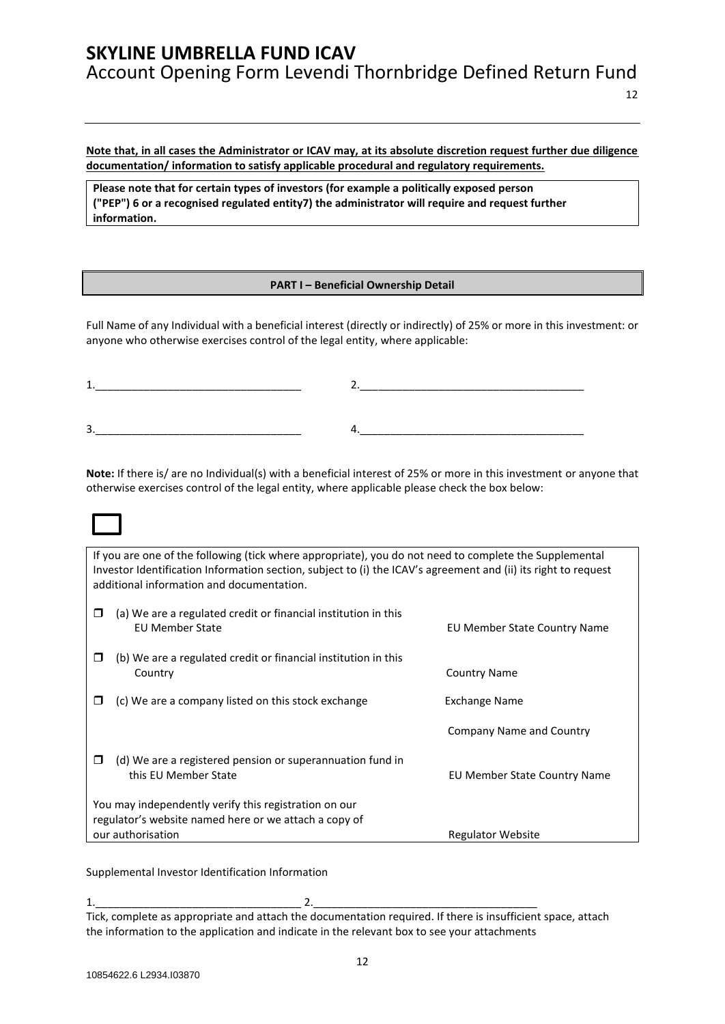**Note that, in all cases the Administrator or ICAV may, at its absolute discretion request further due diligence documentation/ information to satisfy applicable procedural and regulatory requirements.** 

**Please note that for certain types of investors (for example a politically exposed person ("PEP") 6 or a recognised regulated entity7) the administrator will require and request further information.**

#### **PART I – Beneficial Ownership Detail**

Full Name of any Individual with a beneficial interest (directly or indirectly) of 25% or more in this investment: or anyone who otherwise exercises control of the legal entity, where applicable:

| ____<br>______ |                                             |  |
|----------------|---------------------------------------------|--|
|                |                                             |  |
|                |                                             |  |
| ∽<br>≺<br>ັ    | _____<br>______<br>_____<br>____<br>_______ |  |

**Note:** If there is/ are no Individual(s) with a beneficial interest of 25% or more in this investment or anyone that otherwise exercises control of the legal entity, where applicable please check the box below:

If you are one of the following (tick where appropriate), you do not need to complete the Supplemental Investor Identification Information section, subject to (i) the ICAV's agreement and (ii) its right to request additional information and documentation.

| (b) We are a regulated credit or financial institution in this<br>□<br><b>Country Name</b><br>Country                  |  |
|------------------------------------------------------------------------------------------------------------------------|--|
| (c) We are a company listed on this stock exchange<br>Exchange Name<br>ш                                               |  |
| Company Name and Country                                                                                               |  |
| (d) We are a registered pension or superannuation fund in<br>□<br>this EU Member State<br>EU Member State Country Name |  |
| You may independently verify this registration on our<br>regulator's website named here or we attach a copy of         |  |
| our authorisation<br><b>Regulator Website</b>                                                                          |  |

Supplemental Investor Identification Information

1.\_\_\_\_\_\_\_\_\_\_\_\_\_\_\_\_\_\_\_\_\_\_\_\_\_\_\_\_\_\_\_\_\_\_ 2.\_\_\_\_\_\_\_\_\_\_\_\_\_\_\_\_\_\_\_\_\_\_\_\_\_\_\_\_\_\_\_\_\_\_\_\_\_ Tick, complete as appropriate and attach the documentation required. If there is insufficient space, attach the information to the application and indicate in the relevant box to see your attachments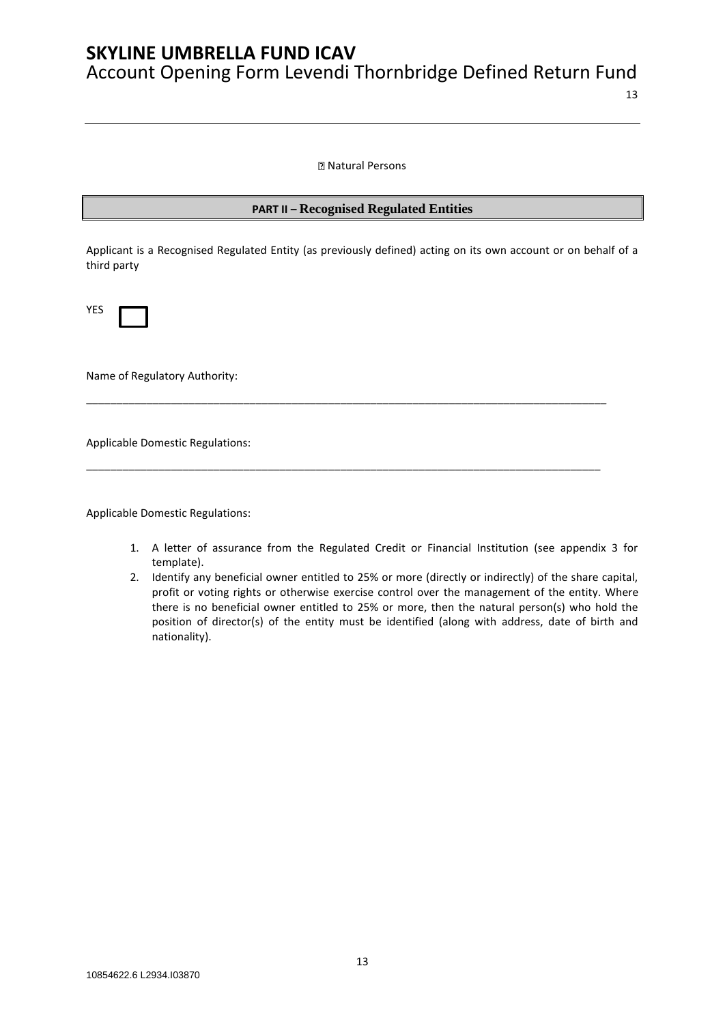Natural Persons

### **PART II – Recognised Regulated Entities**

Applicant is a Recognised Regulated Entity (as previously defined) acting on its own account or on behalf of a third party

\_\_\_\_\_\_\_\_\_\_\_\_\_\_\_\_\_\_\_\_\_\_\_\_\_\_\_\_\_\_\_\_\_\_\_\_\_\_\_\_\_\_\_\_\_\_\_\_\_\_\_\_\_\_\_\_\_\_\_\_\_\_\_\_\_\_\_\_\_\_\_\_\_\_\_\_\_\_\_\_\_\_\_\_\_\_

\_\_\_\_\_\_\_\_\_\_\_\_\_\_\_\_\_\_\_\_\_\_\_\_\_\_\_\_\_\_\_\_\_\_\_\_\_\_\_\_\_\_\_\_\_\_\_\_\_\_\_\_\_\_\_\_\_\_\_\_\_\_\_\_\_\_\_\_\_\_\_\_\_\_\_\_\_\_\_\_\_\_\_\_\_

YES

Name of Regulatory Authority:

Applicable Domestic Regulations:

Applicable Domestic Regulations:

- 1. A letter of assurance from the Regulated Credit or Financial Institution (see appendix 3 for template).
- 2. Identify any beneficial owner entitled to 25% or more (directly or indirectly) of the share capital, profit or voting rights or otherwise exercise control over the management of the entity. Where there is no beneficial owner entitled to 25% or more, then the natural person(s) who hold the position of director(s) of the entity must be identified (along with address, date of birth and nationality).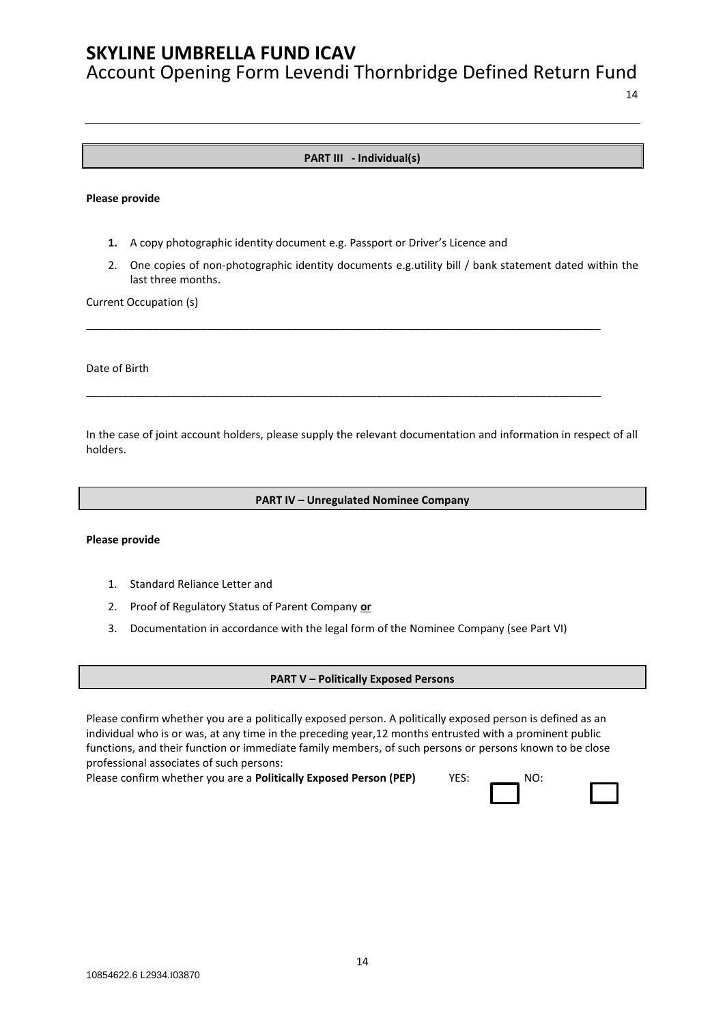Account Opening Form Levendi Thornbridge Defined Return Fund

14

### **PART III - Individual(s)**

#### **Please provide**

- **1.** A copy photographic identity document e.g. Passport or Driver's Licence and
- 2. One copies of non-photographic identity documents e.g.utility bill / bank statement dated within the last three months.

\_\_\_\_\_\_\_\_\_\_\_\_\_\_\_\_\_\_\_\_\_\_\_\_\_\_\_\_\_\_\_\_\_\_\_\_\_\_\_\_\_\_\_\_\_\_\_\_\_\_\_\_\_\_\_\_\_\_\_\_\_\_\_\_\_\_\_\_\_\_\_\_\_\_\_\_\_\_\_\_\_\_\_\_\_

\_\_\_\_\_\_\_\_\_\_\_\_\_\_\_\_\_\_\_\_\_\_\_\_\_\_\_\_\_\_\_\_\_\_\_\_\_\_\_\_\_\_\_\_\_\_\_\_\_\_\_\_\_\_\_\_\_\_\_\_\_\_\_\_\_\_\_\_\_\_\_\_\_\_\_\_\_\_\_\_\_\_\_\_\_

Current Occupation (s)

Date of Birth

In the case of joint account holders, please supply the relevant documentation and information in respect of all holders.

#### **PART IV – Unregulated Nominee Company**

#### **Please provide**

- 1. Standard Reliance Letter and
- 2. Proof of Regulatory Status of Parent Company **or**
- 3. Documentation in accordance with the legal form of the Nominee Company (see Part VI)

#### **PART V – Politically Exposed Persons**

Please confirm whether you are a politically exposed person. A politically exposed person is defined as an individual who is or was, at any time in the preceding year,12 months entrusted with a prominent public functions, and their function or immediate family members, of such persons or persons known to be close professional associates of such persons:

Please confirm whether you are a **Politically Exposed Person (PEP)** YES: NO:

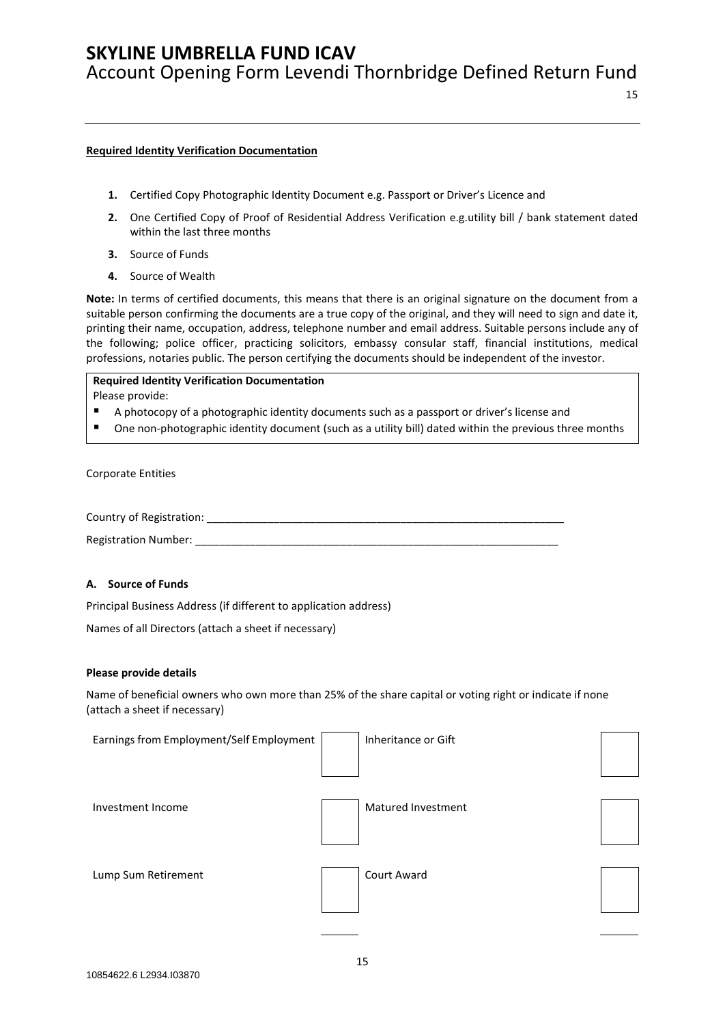Account Opening Form Levendi Thornbridge Defined Return Fund

### 15

#### **Required Identity Verification Documentation**

- **1.** Certified Copy Photographic Identity Document e.g. Passport or Driver's Licence and
- **2.** One Certified Copy of Proof of Residential Address Verification e.g.utility bill / bank statement dated within the last three months
- **3.** Source of Funds
- **4.** Source of Wealth

**Note:** In terms of certified documents, this means that there is an original signature on the document from a suitable person confirming the documents are a true copy of the original, and they will need to sign and date it, printing their name, occupation, address, telephone number and email address. Suitable persons include any of the following; police officer, practicing solicitors, embassy consular staff, financial institutions, medical professions, notaries public. The person certifying the documents should be independent of the investor.

## **Required Identity Verification Documentation**

Please provide:

- A photocopy of a photographic identity documents such as a passport or driver's license and
- One non-photographic identity document (such as a utility bill) dated within the previous three months

Corporate Entities

Country of Registration: \_\_\_\_\_\_\_\_\_\_\_\_\_\_\_\_\_\_\_\_\_\_\_\_\_\_\_\_\_\_\_\_\_\_\_\_\_\_\_\_\_\_\_\_\_\_\_\_\_\_\_\_\_\_\_\_\_\_\_

Registration Number:

### **A. Source of Funds**

Principal Business Address (if different to application address)

Names of all Directors (attach a sheet if necessary)

#### **Please provide details**

Name of beneficial owners who own more than 25% of the share capital or voting right or indicate if none (attach a sheet if necessary)

| Earnings from Employment/Self Employment | Inheritance or Gift |  |
|------------------------------------------|---------------------|--|
| Investment Income                        | Matured Investment  |  |
| Lump Sum Retirement                      | Court Award         |  |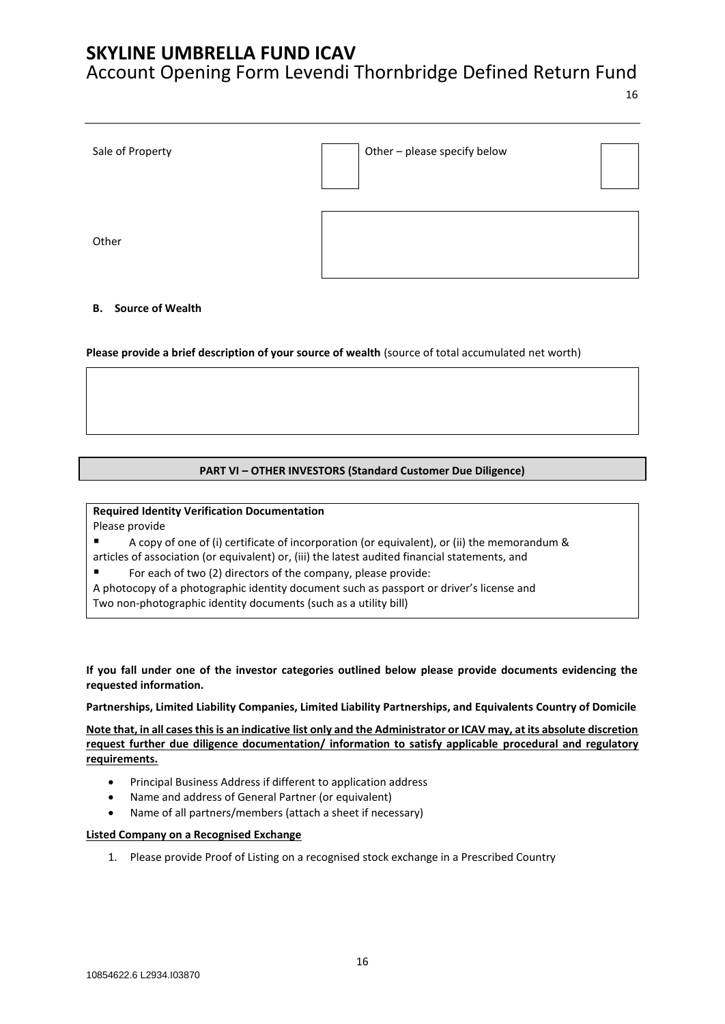## Account Opening Form Levendi Thornbridge Defined Return Fund

16

| Sale of Property | Other - please specify below |  |
|------------------|------------------------------|--|
| Other            |                              |  |

### **B. Source of Wealth**

**Please provide a brief description of your source of wealth** (source of total accumulated net worth)

#### **PART VI – OTHER INVESTORS (Standard Customer Due Diligence)**

**Required Identity Verification Documentation** Please provide

A copy of one of (i) certificate of incorporation (or equivalent), or (ii) the memorandum & articles of association (or equivalent) or, (iii) the latest audited financial statements, and

■ For each of two (2) directors of the company, please provide:

A photocopy of a photographic identity document such as passport or driver's license and

Two non-photographic identity documents (such as a utility bill)

**If you fall under one of the investor categories outlined below please provide documents evidencing the requested information.** 

**Partnerships, Limited Liability Companies, Limited Liability Partnerships, and Equivalents Country of Domicile**

**Note that, in all cases this is an indicative list only and the Administrator or ICAV may, at its absolute discretion request further due diligence documentation/ information to satisfy applicable procedural and regulatory requirements.**

- Principal Business Address if different to application address
- Name and address of General Partner (or equivalent)
- Name of all partners/members (attach a sheet if necessary)

#### **Listed Company on a Recognised Exchange**

1. Please provide Proof of Listing on a recognised stock exchange in a Prescribed Country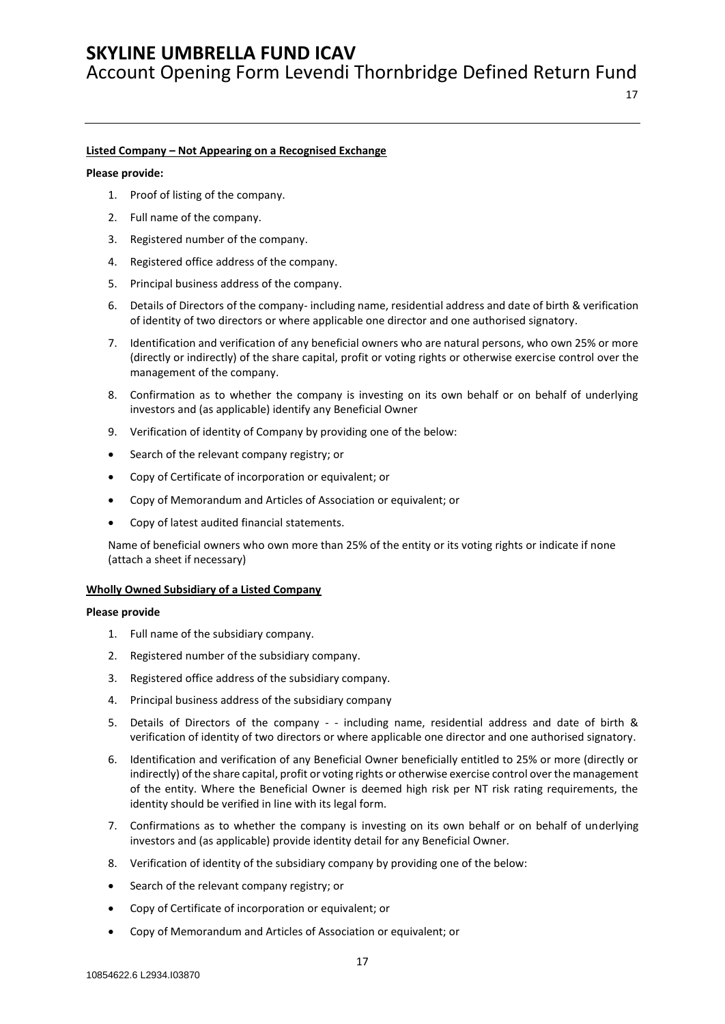Account Opening Form Levendi Thornbridge Defined Return Fund

#### **Listed Company – Not Appearing on a Recognised Exchange**

#### **Please provide:**

- 1. Proof of listing of the company.
- 2. Full name of the company.
- 3. Registered number of the company.
- 4. Registered office address of the company.
- 5. Principal business address of the company.
- 6. Details of Directors of the company- including name, residential address and date of birth & verification of identity of two directors or where applicable one director and one authorised signatory.
- 7. Identification and verification of any beneficial owners who are natural persons, who own 25% or more (directly or indirectly) of the share capital, profit or voting rights or otherwise exercise control over the management of the company.
- 8. Confirmation as to whether the company is investing on its own behalf or on behalf of underlying investors and (as applicable) identify any Beneficial Owner
- 9. Verification of identity of Company by providing one of the below:
- Search of the relevant company registry; or
- Copy of Certificate of incorporation or equivalent; or
- Copy of Memorandum and Articles of Association or equivalent; or
- Copy of latest audited financial statements.

Name of beneficial owners who own more than 25% of the entity or its voting rights or indicate if none (attach a sheet if necessary)

#### **Wholly Owned Subsidiary of a Listed Company**

- 1. Full name of the subsidiary company.
- 2. Registered number of the subsidiary company.
- 3. Registered office address of the subsidiary company.
- 4. Principal business address of the subsidiary company
- 5. Details of Directors of the company - including name, residential address and date of birth & verification of identity of two directors or where applicable one director and one authorised signatory.
- 6. Identification and verification of any Beneficial Owner beneficially entitled to 25% or more (directly or indirectly) of the share capital, profit or voting rights or otherwise exercise control over the management of the entity. Where the Beneficial Owner is deemed high risk per NT risk rating requirements, the identity should be verified in line with its legal form.
- 7. Confirmations as to whether the company is investing on its own behalf or on behalf of underlying investors and (as applicable) provide identity detail for any Beneficial Owner.
- 8. Verification of identity of the subsidiary company by providing one of the below:
- Search of the relevant company registry; or
- Copy of Certificate of incorporation or equivalent; or
- Copy of Memorandum and Articles of Association or equivalent; or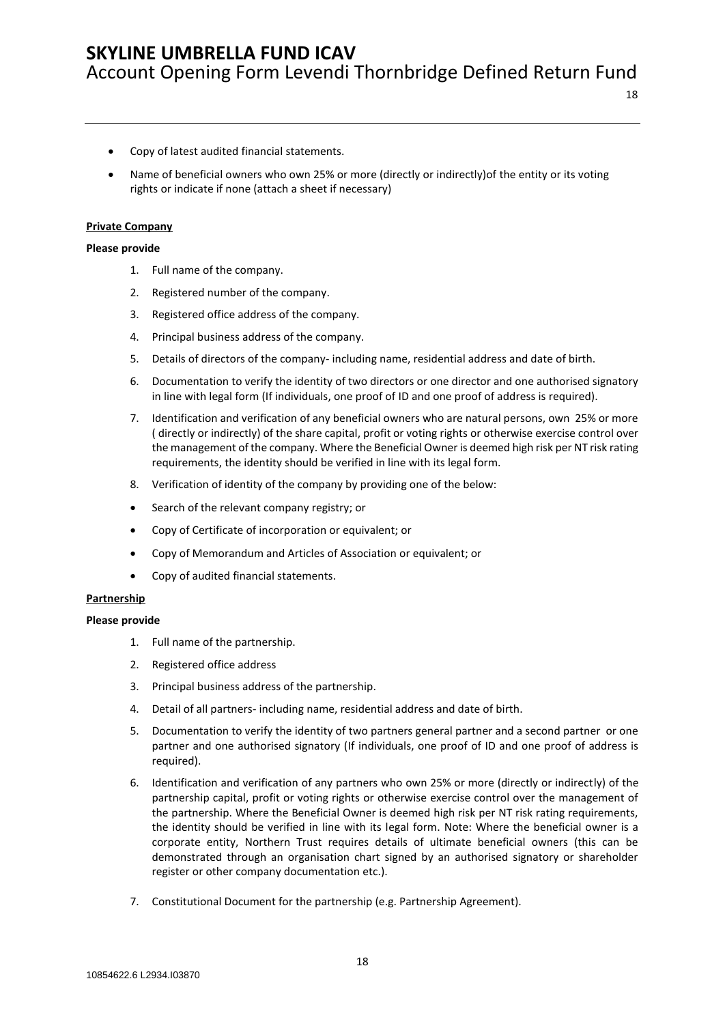18

- Copy of latest audited financial statements.
- Name of beneficial owners who own 25% or more (directly or indirectly)of the entity or its voting rights or indicate if none (attach a sheet if necessary)

#### **Private Company**

#### **Please provide**

- 1. Full name of the company.
- 2. Registered number of the company.
- 3. Registered office address of the company.
- 4. Principal business address of the company.
- 5. Details of directors of the company- including name, residential address and date of birth.
- 6. Documentation to verify the identity of two directors or one director and one authorised signatory in line with legal form (If individuals, one proof of ID and one proof of address is required).
- 7. Identification and verification of any beneficial owners who are natural persons, own 25% or more ( directly or indirectly) of the share capital, profit or voting rights or otherwise exercise control over the management of the company. Where the Beneficial Owner is deemed high risk per NT risk rating requirements, the identity should be verified in line with its legal form.
- 8. Verification of identity of the company by providing one of the below:
- Search of the relevant company registry; or
- Copy of Certificate of incorporation or equivalent; or
- Copy of Memorandum and Articles of Association or equivalent; or
- Copy of audited financial statements.

#### **Partnership**

- 1. Full name of the partnership.
- 2. Registered office address
- 3. Principal business address of the partnership.
- 4. Detail of all partners- including name, residential address and date of birth.
- 5. Documentation to verify the identity of two partners general partner and a second partner or one partner and one authorised signatory (If individuals, one proof of ID and one proof of address is required).
- 6. Identification and verification of any partners who own 25% or more (directly or indirectly) of the partnership capital, profit or voting rights or otherwise exercise control over the management of the partnership. Where the Beneficial Owner is deemed high risk per NT risk rating requirements, the identity should be verified in line with its legal form. Note: Where the beneficial owner is a corporate entity, Northern Trust requires details of ultimate beneficial owners (this can be demonstrated through an organisation chart signed by an authorised signatory or shareholder register or other company documentation etc.).
- 7. Constitutional Document for the partnership (e.g. Partnership Agreement).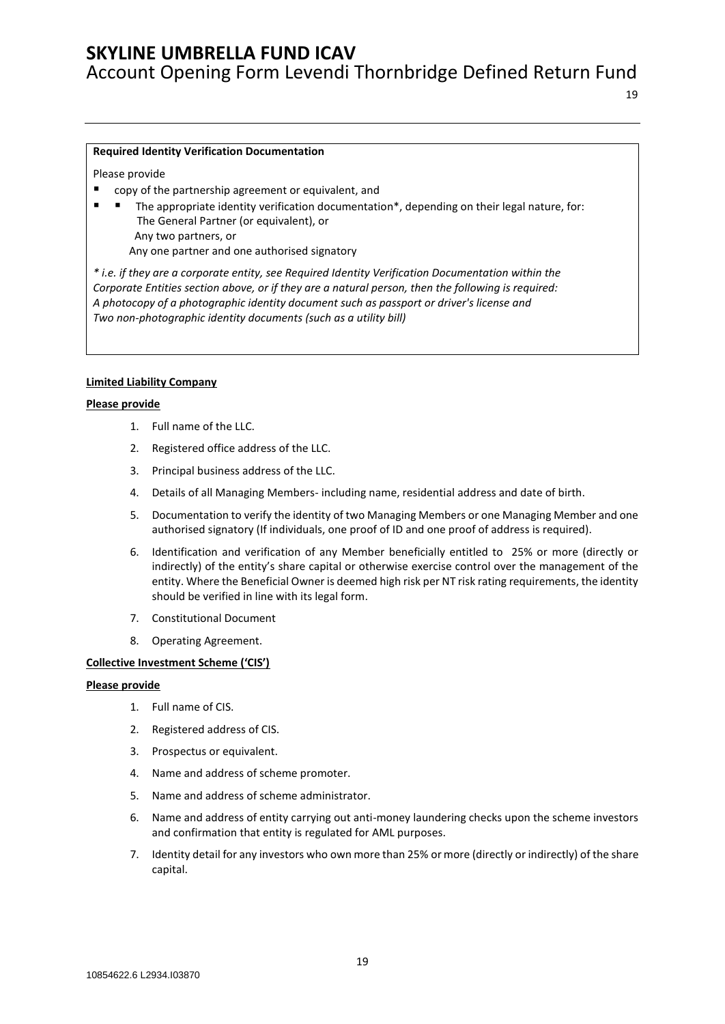Account Opening Form Levendi Thornbridge Defined Return Fund

#### **Required Identity Verification Documentation**

Please provide

- copy of the partnership agreement or equivalent, and
- The appropriate identity verification documentation\*, depending on their legal nature, for: The General Partner (or equivalent), or Any two partners, or Any one partner and one authorised signatory

*\* i.e. if they are a corporate entity, see Required Identity Verification Documentation within the Corporate Entities section above, or if they are a natural person, then the following is required: A photocopy of a photographic identity document such as passport or driver's license and Two non-photographic identity documents (such as a utility bill)*

#### **Limited Liability Company**

#### **Please provide**

- 1. Full name of the LLC.
- 2. Registered office address of the LLC.
- 3. Principal business address of the LLC.
- 4. Details of all Managing Members- including name, residential address and date of birth.
- 5. Documentation to verify the identity of two Managing Members or one Managing Member and one authorised signatory (If individuals, one proof of ID and one proof of address is required).
- 6. Identification and verification of any Member beneficially entitled to 25% or more (directly or indirectly) of the entity's share capital or otherwise exercise control over the management of the entity. Where the Beneficial Owner is deemed high risk per NT risk rating requirements, the identity should be verified in line with its legal form.
- 7. Constitutional Document
- 8. Operating Agreement.

#### **Collective Investment Scheme ('CIS')**

- 1. Full name of CIS.
- 2. Registered address of CIS.
- 3. Prospectus or equivalent.
- 4. Name and address of scheme promoter.
- 5. Name and address of scheme administrator.
- 6. Name and address of entity carrying out anti-money laundering checks upon the scheme investors and confirmation that entity is regulated for AML purposes.
- 7. Identity detail for any investors who own more than 25% or more (directly or indirectly) of the share capital.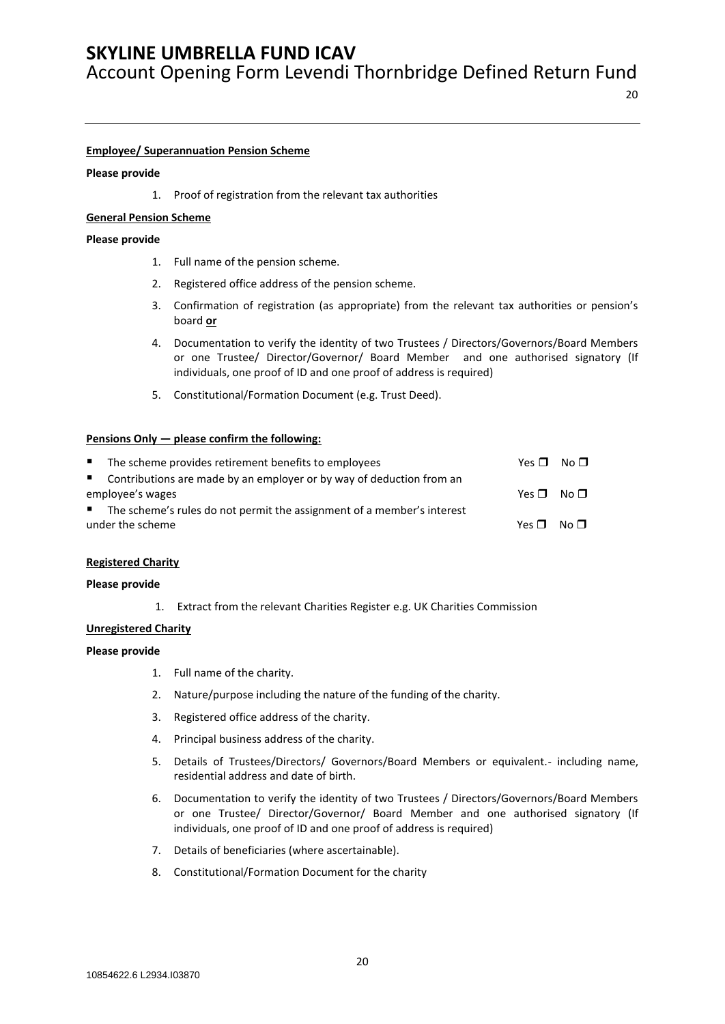Account Opening Form Levendi Thornbridge Defined Return Fund

#### **Employee/ Superannuation Pension Scheme**

#### **Please provide**

1. Proof of registration from the relevant tax authorities

#### **General Pension Scheme**

#### **Please provide**

- 1. Full name of the pension scheme.
- 2. Registered office address of the pension scheme.
- 3. Confirmation of registration (as appropriate) from the relevant tax authorities or pension's board **or**
- 4. Documentation to verify the identity of two Trustees / Directors/Governors/Board Members or one Trustee/ Director/Governor/ Board Member and one authorised signatory (If individuals, one proof of ID and one proof of address is required)
- 5. Constitutional/Formation Document (e.g. Trust Deed).

#### **Pensions Only — please confirm the following:**

| <b>B</b> and | The scheme provides retirement benefits to employees                     | $Yes \Box No \Box$ |  |
|--------------|--------------------------------------------------------------------------|--------------------|--|
|              | ■ Contributions are made by an employer or by way of deduction from an   |                    |  |
|              | employee's wages                                                         | $Yes \Box No \Box$ |  |
|              | ■ The scheme's rules do not permit the assignment of a member's interest |                    |  |
|              | under the scheme                                                         | $Yes \Box No \Box$ |  |
|              |                                                                          |                    |  |

#### **Registered Charity**

#### **Please provide**

1. Extract from the relevant Charities Register e.g. UK Charities Commission

#### **Unregistered Charity**

- 1. Full name of the charity.
- 2. Nature/purpose including the nature of the funding of the charity.
- 3. Registered office address of the charity.
- 4. Principal business address of the charity.
- 5. Details of Trustees/Directors/ Governors/Board Members or equivalent.- including name, residential address and date of birth.
- 6. Documentation to verify the identity of two Trustees / Directors/Governors/Board Members or one Trustee/ Director/Governor/ Board Member and one authorised signatory (If individuals, one proof of ID and one proof of address is required)
- 7. Details of beneficiaries (where ascertainable).
- 8. Constitutional/Formation Document for the charity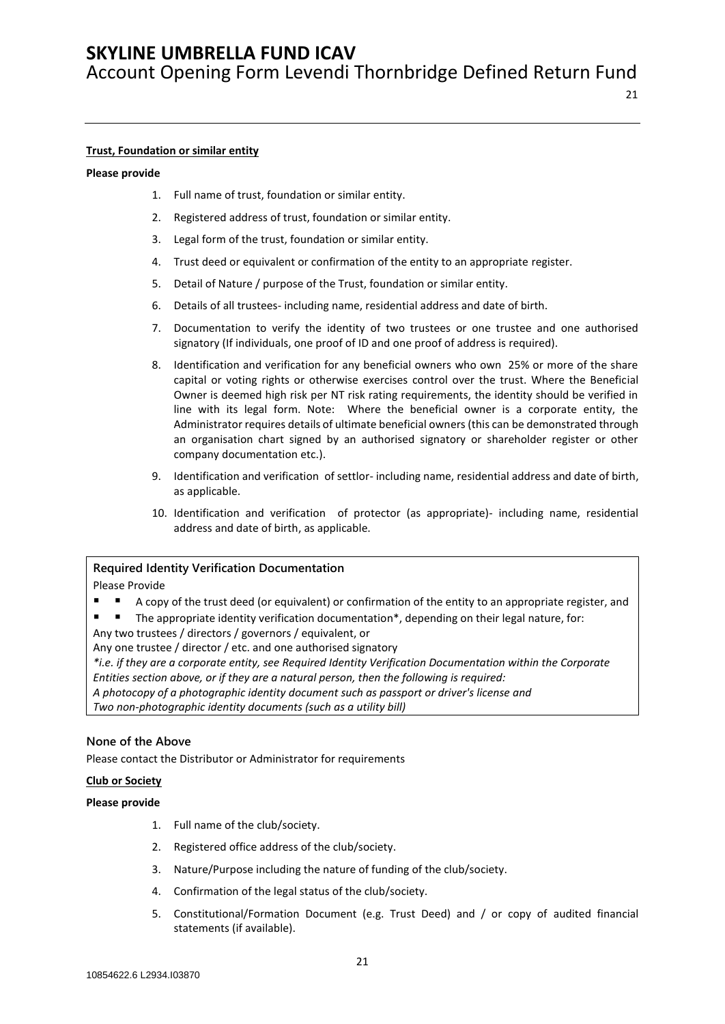Account Opening Form Levendi Thornbridge Defined Return Fund

#### **Trust, Foundation or similar entity**

#### **Please provide**

- 1. Full name of trust, foundation or similar entity.
- 2. Registered address of trust, foundation or similar entity.
- 3. Legal form of the trust, foundation or similar entity.
- 4. Trust deed or equivalent or confirmation of the entity to an appropriate register.
- 5. Detail of Nature / purpose of the Trust, foundation or similar entity.
- 6. Details of all trustees- including name, residential address and date of birth.
- 7. Documentation to verify the identity of two trustees or one trustee and one authorised signatory (If individuals, one proof of ID and one proof of address is required).
- 8. Identification and verification for any beneficial owners who own 25% or more of the share capital or voting rights or otherwise exercises control over the trust. Where the Beneficial Owner is deemed high risk per NT risk rating requirements, the identity should be verified in line with its legal form. Note: Where the beneficial owner is a corporate entity, the Administrator requires details of ultimate beneficial owners (this can be demonstrated through an organisation chart signed by an authorised signatory or shareholder register or other company documentation etc.).
- 9. Identification and verification of settlor- including name, residential address and date of birth, as applicable.
- 10. Identification and verification of protector (as appropriate)- including name, residential address and date of birth, as applicable.

#### **Required Identity Verification Documentation**

#### Please Provide

- A copy of the trust deed (or equivalent) or confirmation of the entity to an appropriate register, and
- The appropriate identity verification documentation\*, depending on their legal nature, for:

Any two trustees / directors / governors / equivalent, or

Any one trustee / director / etc. and one authorised signatory

*\*i.e. if they are a corporate entity, see Required Identity Verification Documentation within the Corporate Entities section above, or if they are a natural person, then the following is required:*

*A photocopy of a photographic identity document such as passport or driver's license and*

*Two non-photographic identity documents (such as a utility bill)*

#### **None of the Above**

Please contact the Distributor or Administrator for requirements

#### **Club or Society**

- 1. Full name of the club/society.
- 2. Registered office address of the club/society.
- 3. Nature/Purpose including the nature of funding of the club/society.
- 4. Confirmation of the legal status of the club/society.
- 5. Constitutional/Formation Document (e.g. Trust Deed) and / or copy of audited financial statements (if available).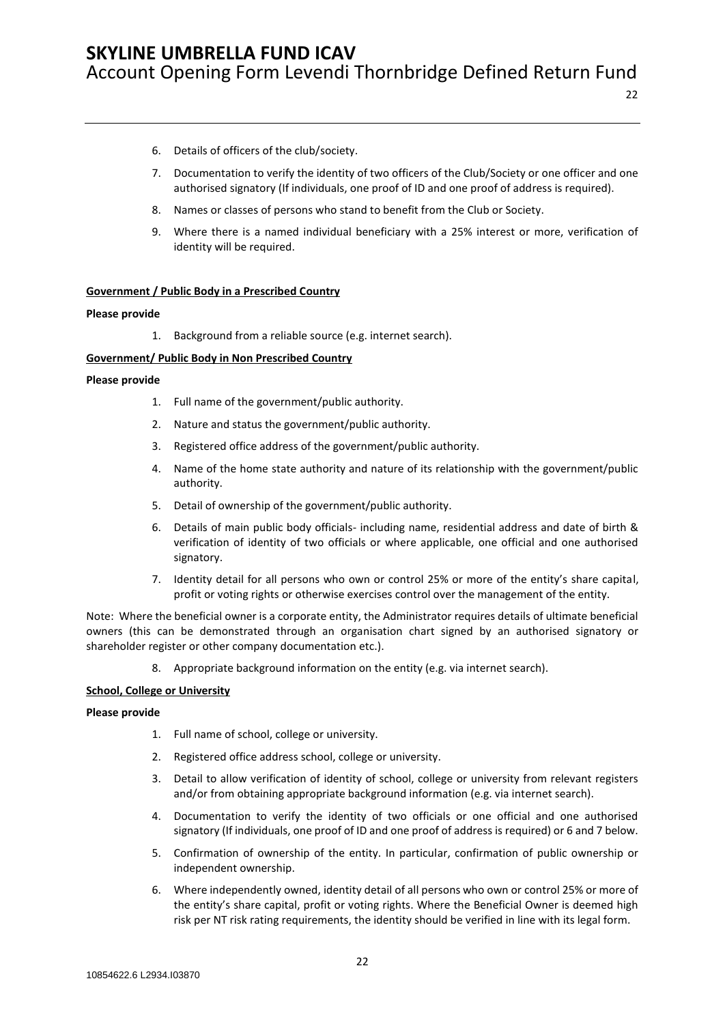- 6. Details of officers of the club/society.
- 7. Documentation to verify the identity of two officers of the Club/Society or one officer and one authorised signatory (If individuals, one proof of ID and one proof of address is required).
- 8. Names or classes of persons who stand to benefit from the Club or Society.
- 9. Where there is a named individual beneficiary with a 25% interest or more, verification of identity will be required.

#### **Government / Public Body in a Prescribed Country**

#### **Please provide**

1. Background from a reliable source (e.g. internet search).

#### **Government/ Public Body in Non Prescribed Country**

#### **Please provide**

- 1. Full name of the government/public authority.
- 2. Nature and status the government/public authority.
- 3. Registered office address of the government/public authority.
- 4. Name of the home state authority and nature of its relationship with the government/public authority.
- 5. Detail of ownership of the government/public authority.
- 6. Details of main public body officials- including name, residential address and date of birth & verification of identity of two officials or where applicable, one official and one authorised signatory.
- 7. Identity detail for all persons who own or control 25% or more of the entity's share capital, profit or voting rights or otherwise exercises control over the management of the entity.

Note: Where the beneficial owner is a corporate entity, the Administrator requires details of ultimate beneficial owners (this can be demonstrated through an organisation chart signed by an authorised signatory or shareholder register or other company documentation etc.).

8. Appropriate background information on the entity (e.g. via internet search).

#### **School, College or University**

- 1. Full name of school, college or university.
- 2. Registered office address school, college or university.
- 3. Detail to allow verification of identity of school, college or university from relevant registers and/or from obtaining appropriate background information (e.g. via internet search).
- 4. Documentation to verify the identity of two officials or one official and one authorised signatory (If individuals, one proof of ID and one proof of address is required) or 6 and 7 below.
- 5. Confirmation of ownership of the entity. In particular, confirmation of public ownership or independent ownership.
- 6. Where independently owned, identity detail of all persons who own or control 25% or more of the entity's share capital, profit or voting rights. Where the Beneficial Owner is deemed high risk per NT risk rating requirements, the identity should be verified in line with its legal form.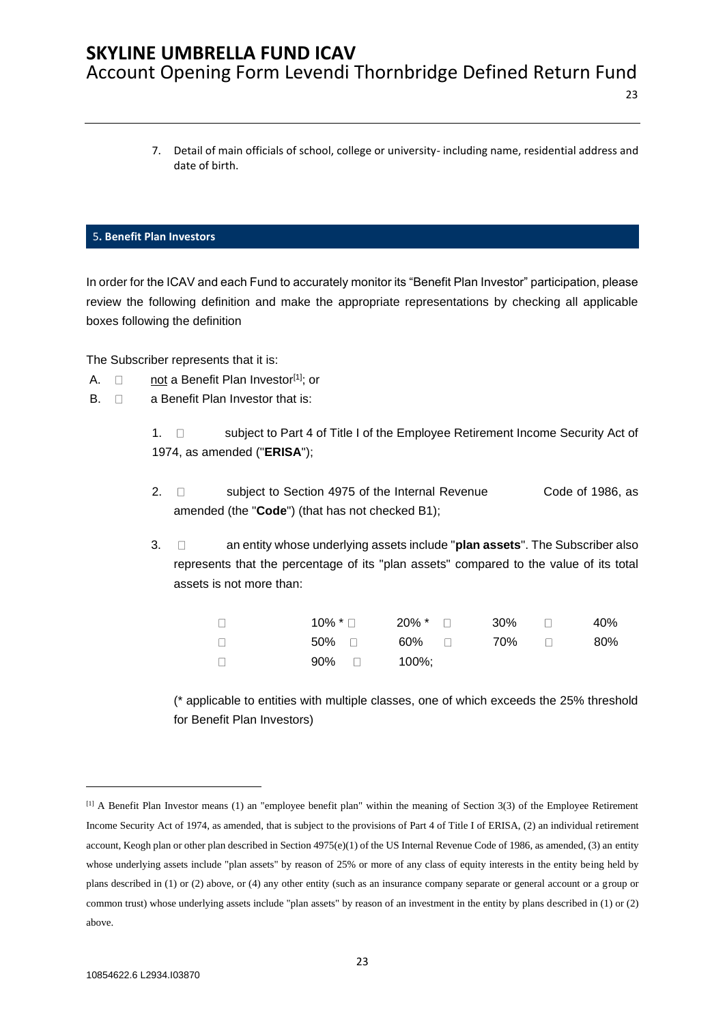7. Detail of main officials of school, college or university- including name, residential address and date of birth.

23

#### <span id="page-22-0"></span>5**. Benefit Plan Investors**

In order for the ICAV and each Fund to accurately monitor its "Benefit Plan Investor" participation, please review the following definition and make the appropriate representations by checking all applicable boxes following the definition

The Subscriber represents that it is:

- A.  $\Box$  not a Benefit Plan Investor<sup>[1]</sup>; or
- $B. \Box$  a Benefit Plan Investor that is:

1.  $\Box$  subject to Part 4 of Title I of the Employee Retirement Income Security Act of 1974, as amended ("**ERISA**");

- 2. □ subject to Section 4975 of the Internal Revenue Code of 1986, as amended (the "**Code**") (that has not checked B1);
- 3. an entity whose underlying assets include "**plan assets**". The Subscriber also represents that the percentage of its "plan assets" compared to the value of its total assets is not more than:

|     |                | $10\%$ * $\Box$ $20\%$ * $\Box$ $30\%$ $\Box$ |  | 40% |
|-----|----------------|-----------------------------------------------|--|-----|
|     |                | 50% □   60% □    70% □                        |  | 80% |
| - 0 | $90\%$ 0 100%; |                                               |  |     |

(\* applicable to entities with multiple classes, one of which exceeds the 25% threshold for Benefit Plan Investors)

<sup>[1]</sup> A Benefit Plan Investor means (1) an "employee benefit plan" within the meaning of Section 3(3) of the Employee Retirement Income Security Act of 1974, as amended, that is subject to the provisions of Part 4 of Title I of ERISA, (2) an individual retirement account, Keogh plan or other plan described in Section 4975(e)(1) of the US Internal Revenue Code of 1986, as amended, (3) an entity whose underlying assets include "plan assets" by reason of 25% or more of any class of equity interests in the entity being held by plans described in (1) or (2) above, or (4) any other entity (such as an insurance company separate or general account or a group or common trust) whose underlying assets include "plan assets" by reason of an investment in the entity by plans described in (1) or (2) above.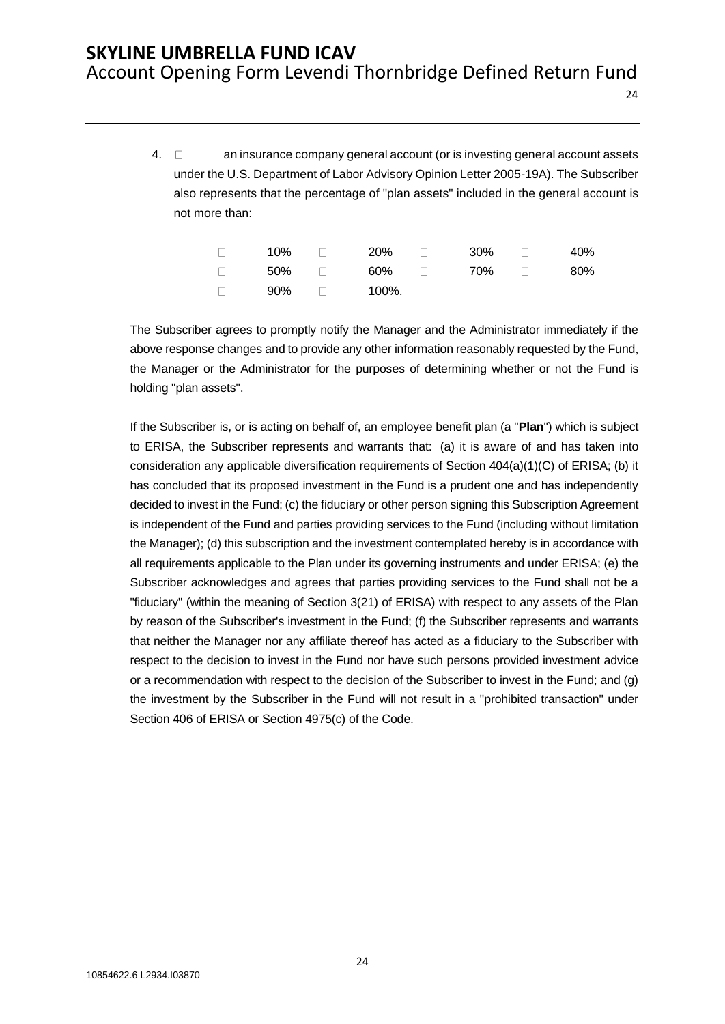24

4.  $\Box$  an insurance company general account (or is investing general account assets under the U.S. Department of Labor Advisory Opinion Letter 2005-19A). The Subscriber also represents that the percentage of "plan assets" included in the general account is not more than:

| 10% | $\Box$ | - 20%                              | $\Box$ | 30% | $\Box$                    | 40% |
|-----|--------|------------------------------------|--------|-----|---------------------------|-----|
|     |        | $50\%$ $\Box$ $60\%$ $\Box$ $70\%$ |        |     | <b>The Contract State</b> | 80% |
| 90% | $\Box$ | 100%.                              |        |     |                           |     |

The Subscriber agrees to promptly notify the Manager and the Administrator immediately if the above response changes and to provide any other information reasonably requested by the Fund, the Manager or the Administrator for the purposes of determining whether or not the Fund is holding "plan assets".

If the Subscriber is, or is acting on behalf of, an employee benefit plan (a "**Plan**") which is subject to ERISA, the Subscriber represents and warrants that: (a) it is aware of and has taken into consideration any applicable diversification requirements of Section 404(a)(1)(C) of ERISA; (b) it has concluded that its proposed investment in the Fund is a prudent one and has independently decided to invest in the Fund; (c) the fiduciary or other person signing this Subscription Agreement is independent of the Fund and parties providing services to the Fund (including without limitation the Manager); (d) this subscription and the investment contemplated hereby is in accordance with all requirements applicable to the Plan under its governing instruments and under ERISA; (e) the Subscriber acknowledges and agrees that parties providing services to the Fund shall not be a "fiduciary" (within the meaning of Section 3(21) of ERISA) with respect to any assets of the Plan by reason of the Subscriber's investment in the Fund; (f) the Subscriber represents and warrants that neither the Manager nor any affiliate thereof has acted as a fiduciary to the Subscriber with respect to the decision to invest in the Fund nor have such persons provided investment advice or a recommendation with respect to the decision of the Subscriber to invest in the Fund; and (g) the investment by the Subscriber in the Fund will not result in a "prohibited transaction" under Section 406 of ERISA or Section 4975(c) of the Code.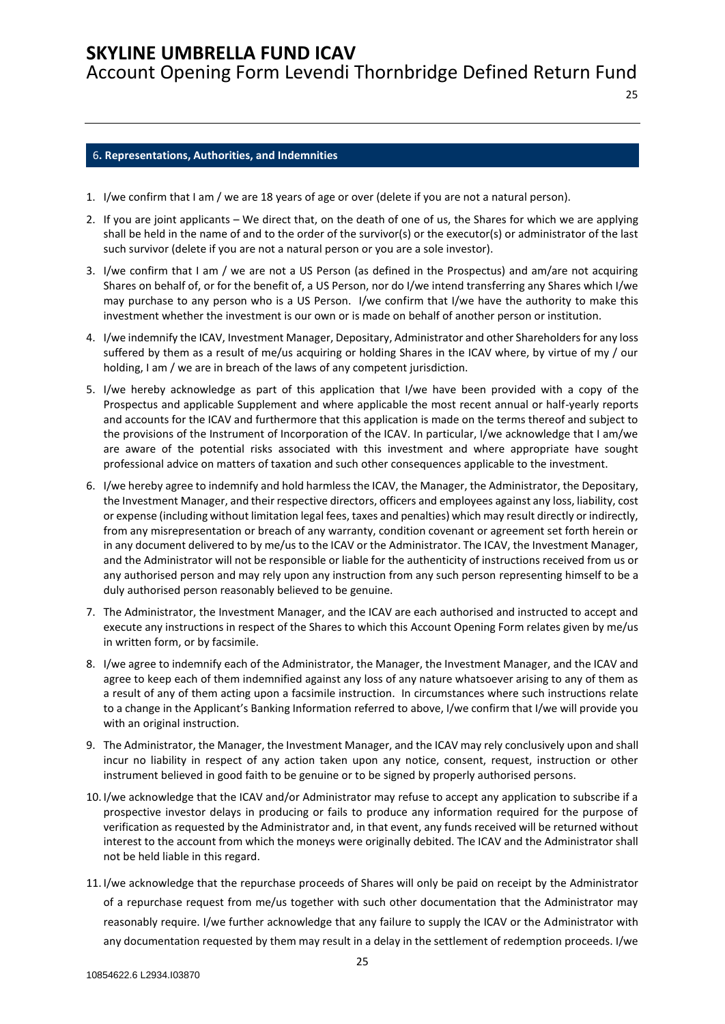Account Opening Form Levendi Thornbridge Defined Return Fund

#### <span id="page-24-0"></span>6**. Representations, Authorities, and Indemnities**

- 1. I/we confirm that I am / we are 18 years of age or over (delete if you are not a natural person).
- 2. If you are joint applicants We direct that, on the death of one of us, the Shares for which we are applying shall be held in the name of and to the order of the survivor(s) or the executor(s) or administrator of the last such survivor (delete if you are not a natural person or you are a sole investor).
- 3. I/we confirm that I am / we are not a US Person (as defined in the Prospectus) and am/are not acquiring Shares on behalf of, or for the benefit of, a US Person, nor do I/we intend transferring any Shares which I/we may purchase to any person who is a US Person. I/we confirm that I/we have the authority to make this investment whether the investment is our own or is made on behalf of another person or institution.
- 4. I/we indemnify the ICAV, Investment Manager, Depositary, Administrator and other Shareholders for any loss suffered by them as a result of me/us acquiring or holding Shares in the ICAV where, by virtue of my / our holding, I am / we are in breach of the laws of any competent jurisdiction.
- 5. I/we hereby acknowledge as part of this application that I/we have been provided with a copy of the Prospectus and applicable Supplement and where applicable the most recent annual or half-yearly reports and accounts for the ICAV and furthermore that this application is made on the terms thereof and subject to the provisions of the Instrument of Incorporation of the ICAV. In particular, I/we acknowledge that I am/we are aware of the potential risks associated with this investment and where appropriate have sought professional advice on matters of taxation and such other consequences applicable to the investment.
- 6. I/we hereby agree to indemnify and hold harmless the ICAV, the Manager, the Administrator, the Depositary, the Investment Manager, and their respective directors, officers and employees against any loss, liability, cost or expense (including without limitation legal fees, taxes and penalties) which may result directly or indirectly, from any misrepresentation or breach of any warranty, condition covenant or agreement set forth herein or in any document delivered to by me/us to the ICAV or the Administrator. The ICAV, the Investment Manager, and the Administrator will not be responsible or liable for the authenticity of instructions received from us or any authorised person and may rely upon any instruction from any such person representing himself to be a duly authorised person reasonably believed to be genuine.
- 7. The Administrator, the Investment Manager, and the ICAV are each authorised and instructed to accept and execute any instructions in respect of the Shares to which this Account Opening Form relates given by me/us in written form, or by facsimile.
- 8. I/we agree to indemnify each of the Administrator, the Manager, the Investment Manager, and the ICAV and agree to keep each of them indemnified against any loss of any nature whatsoever arising to any of them as a result of any of them acting upon a facsimile instruction. In circumstances where such instructions relate to a change in the Applicant's Banking Information referred to above, I/we confirm that I/we will provide you with an original instruction.
- 9. The Administrator, the Manager, the Investment Manager, and the ICAV may rely conclusively upon and shall incur no liability in respect of any action taken upon any notice, consent, request, instruction or other instrument believed in good faith to be genuine or to be signed by properly authorised persons.
- 10. I/we acknowledge that the ICAV and/or Administrator may refuse to accept any application to subscribe if a prospective investor delays in producing or fails to produce any information required for the purpose of verification as requested by the Administrator and, in that event, any funds received will be returned without interest to the account from which the moneys were originally debited. The ICAV and the Administrator shall not be held liable in this regard.
- 11. I/we acknowledge that the repurchase proceeds of Shares will only be paid on receipt by the Administrator of a repurchase request from me/us together with such other documentation that the Administrator may reasonably require. I/we further acknowledge that any failure to supply the ICAV or the Administrator with any documentation requested by them may result in a delay in the settlement of redemption proceeds. I/we

25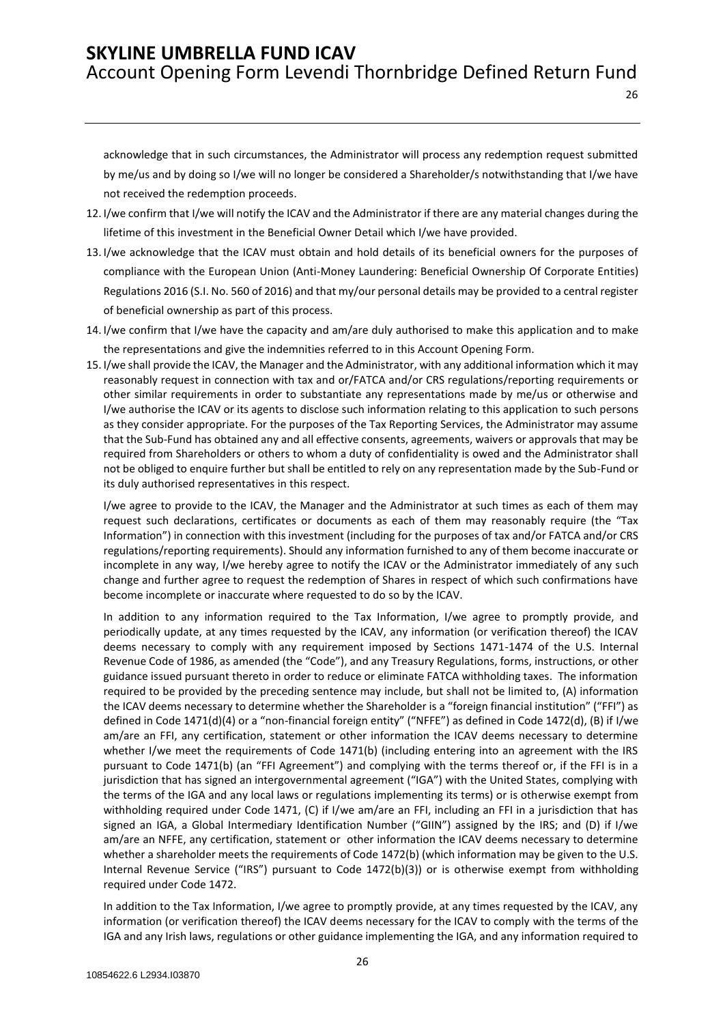acknowledge that in such circumstances, the Administrator will process any redemption request submitted by me/us and by doing so I/we will no longer be considered a Shareholder/s notwithstanding that I/we have not received the redemption proceeds.

26

- 12. I/we confirm that I/we will notify the ICAV and the Administrator if there are any material changes during the lifetime of this investment in the Beneficial Owner Detail which I/we have provided.
- 13. I/we acknowledge that the ICAV must obtain and hold details of its beneficial owners for the purposes of compliance with the European Union (Anti-Money Laundering: Beneficial Ownership Of Corporate Entities) Regulations 2016 (S.I. No. 560 of 2016) and that my/our personal details may be provided to a central register of beneficial ownership as part of this process.
- 14. I/we confirm that I/we have the capacity and am/are duly authorised to make this application and to make the representations and give the indemnities referred to in this Account Opening Form.
- 15. I/we shall provide the ICAV, the Manager and the Administrator, with any additional information which it may reasonably request in connection with tax and or/FATCA and/or CRS regulations/reporting requirements or other similar requirements in order to substantiate any representations made by me/us or otherwise and I/we authorise the ICAV or its agents to disclose such information relating to this application to such persons as they consider appropriate. For the purposes of the Tax Reporting Services, the Administrator may assume that the Sub-Fund has obtained any and all effective consents, agreements, waivers or approvals that may be required from Shareholders or others to whom a duty of confidentiality is owed and the Administrator shall not be obliged to enquire further but shall be entitled to rely on any representation made by the Sub-Fund or its duly authorised representatives in this respect.

I/we agree to provide to the ICAV, the Manager and the Administrator at such times as each of them may request such declarations, certificates or documents as each of them may reasonably require (the "Tax Information") in connection with this investment (including for the purposes of tax and/or FATCA and/or CRS regulations/reporting requirements). Should any information furnished to any of them become inaccurate or incomplete in any way, I/we hereby agree to notify the ICAV or the Administrator immediately of any such change and further agree to request the redemption of Shares in respect of which such confirmations have become incomplete or inaccurate where requested to do so by the ICAV.

In addition to any information required to the Tax Information, I/we agree to promptly provide, and periodically update, at any times requested by the ICAV, any information (or verification thereof) the ICAV deems necessary to comply with any requirement imposed by Sections 1471-1474 of the U.S. Internal Revenue Code of 1986, as amended (the "Code"), and any Treasury Regulations, forms, instructions, or other guidance issued pursuant thereto in order to reduce or eliminate FATCA withholding taxes. The information required to be provided by the preceding sentence may include, but shall not be limited to, (A) information the ICAV deems necessary to determine whether the Shareholder is a "foreign financial institution" ("FFI") as defined in Code 1471(d)(4) or a "non-financial foreign entity" ("NFFE") as defined in Code 1472(d), (B) if I/we am/are an FFI, any certification, statement or other information the ICAV deems necessary to determine whether I/we meet the requirements of Code 1471(b) (including entering into an agreement with the IRS pursuant to Code 1471(b) (an "FFI Agreement") and complying with the terms thereof or, if the FFI is in a jurisdiction that has signed an intergovernmental agreement ("IGA") with the United States, complying with the terms of the IGA and any local laws or regulations implementing its terms) or is otherwise exempt from withholding required under Code 1471, (C) if I/we am/are an FFI, including an FFI in a jurisdiction that has signed an IGA, a Global Intermediary Identification Number ("GIIN") assigned by the IRS; and (D) if I/we am/are an NFFE, any certification, statement or other information the ICAV deems necessary to determine whether a shareholder meets the requirements of Code 1472(b) (which information may be given to the U.S. Internal Revenue Service ("IRS") pursuant to Code 1472(b)(3)) or is otherwise exempt from withholding required under Code 1472.

In addition to the Tax Information, I/we agree to promptly provide, at any times requested by the ICAV, any information (or verification thereof) the ICAV deems necessary for the ICAV to comply with the terms of the IGA and any Irish laws, regulations or other guidance implementing the IGA, and any information required to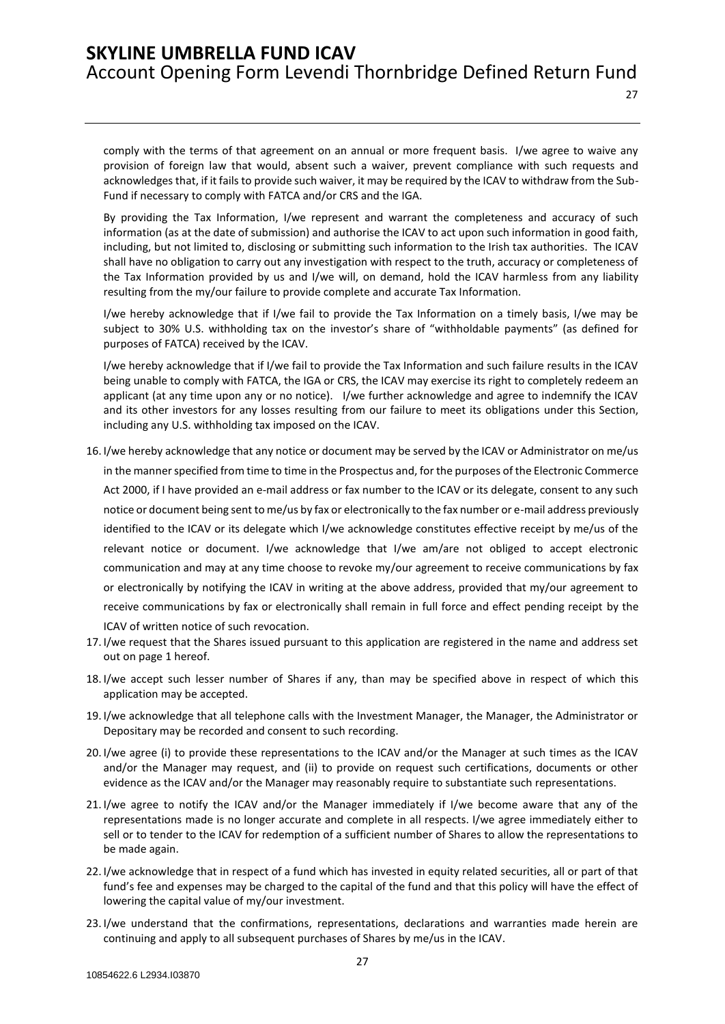27

comply with the terms of that agreement on an annual or more frequent basis. I/we agree to waive any provision of foreign law that would, absent such a waiver, prevent compliance with such requests and acknowledges that, if it fails to provide such waiver, it may be required by the ICAV to withdraw from the Sub-Fund if necessary to comply with FATCA and/or CRS and the IGA.

By providing the Tax Information, I/we represent and warrant the completeness and accuracy of such information (as at the date of submission) and authorise the ICAV to act upon such information in good faith, including, but not limited to, disclosing or submitting such information to the Irish tax authorities. The ICAV shall have no obligation to carry out any investigation with respect to the truth, accuracy or completeness of the Tax Information provided by us and I/we will, on demand, hold the ICAV harmless from any liability resulting from the my/our failure to provide complete and accurate Tax Information.

I/we hereby acknowledge that if I/we fail to provide the Tax Information on a timely basis, I/we may be subject to 30% U.S. withholding tax on the investor's share of "withholdable payments" (as defined for purposes of FATCA) received by the ICAV.

I/we hereby acknowledge that if I/we fail to provide the Tax Information and such failure results in the ICAV being unable to comply with FATCA, the IGA or CRS, the ICAV may exercise its right to completely redeem an applicant (at any time upon any or no notice). I/we further acknowledge and agree to indemnify the ICAV and its other investors for any losses resulting from our failure to meet its obligations under this Section, including any U.S. withholding tax imposed on the ICAV.

- 16. I/we hereby acknowledge that any notice or document may be served by the ICAV or Administrator on me/us in the manner specified from time to time in the Prospectus and, for the purposes of the Electronic Commerce Act 2000, if I have provided an e-mail address or fax number to the ICAV or its delegate, consent to any such notice or document being sent to me/us by fax or electronically to the fax number or e-mail address previously identified to the ICAV or its delegate which I/we acknowledge constitutes effective receipt by me/us of the relevant notice or document. I/we acknowledge that I/we am/are not obliged to accept electronic communication and may at any time choose to revoke my/our agreement to receive communications by fax or electronically by notifying the ICAV in writing at the above address, provided that my/our agreement to receive communications by fax or electronically shall remain in full force and effect pending receipt by the ICAV of written notice of such revocation.
- 17. I/we request that the Shares issued pursuant to this application are registered in the name and address set out on page 1 hereof.
- 18. I/we accept such lesser number of Shares if any, than may be specified above in respect of which this application may be accepted.
- 19. I/we acknowledge that all telephone calls with the Investment Manager, the Manager, the Administrator or Depositary may be recorded and consent to such recording.
- 20. I/we agree (i) to provide these representations to the ICAV and/or the Manager at such times as the ICAV and/or the Manager may request, and (ii) to provide on request such certifications, documents or other evidence as the ICAV and/or the Manager may reasonably require to substantiate such representations.
- 21. I/we agree to notify the ICAV and/or the Manager immediately if I/we become aware that any of the representations made is no longer accurate and complete in all respects. I/we agree immediately either to sell or to tender to the ICAV for redemption of a sufficient number of Shares to allow the representations to be made again.
- 22. I/we acknowledge that in respect of a fund which has invested in equity related securities, all or part of that fund's fee and expenses may be charged to the capital of the fund and that this policy will have the effect of lowering the capital value of my/our investment.
- 23. I/we understand that the confirmations, representations, declarations and warranties made herein are continuing and apply to all subsequent purchases of Shares by me/us in the ICAV.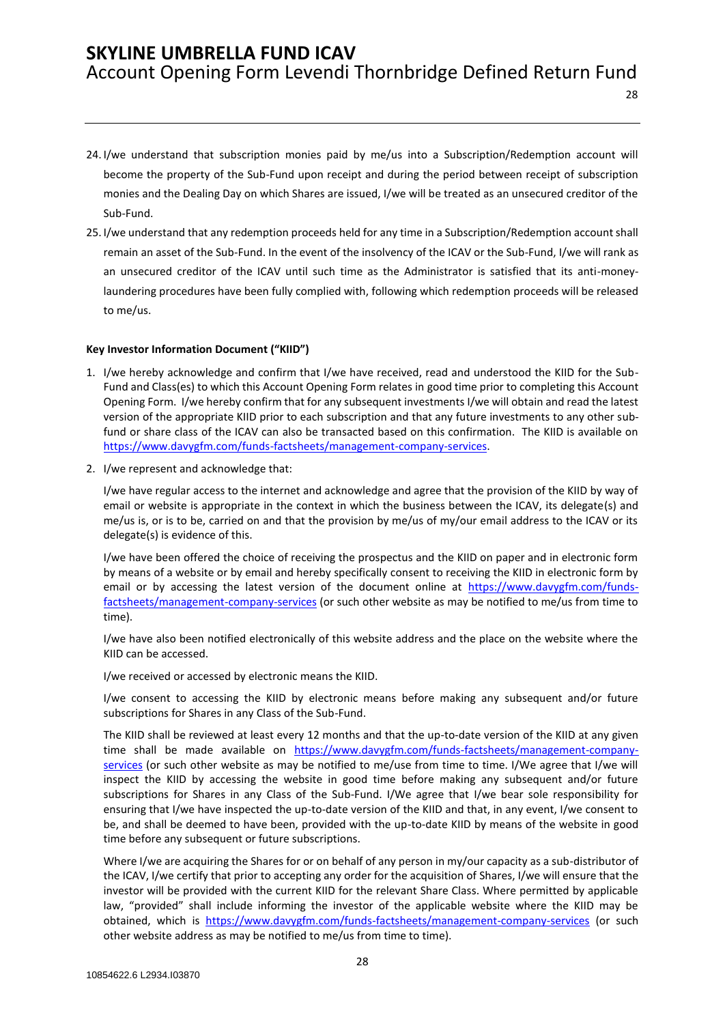28

- 24. I/we understand that subscription monies paid by me/us into a Subscription/Redemption account will become the property of the Sub-Fund upon receipt and during the period between receipt of subscription monies and the Dealing Day on which Shares are issued, I/we will be treated as an unsecured creditor of the Sub-Fund.
- 25. I/we understand that any redemption proceeds held for any time in a Subscription/Redemption account shall remain an asset of the Sub-Fund. In the event of the insolvency of the ICAV or the Sub-Fund, I/we will rank as an unsecured creditor of the ICAV until such time as the Administrator is satisfied that its anti-moneylaundering procedures have been fully complied with, following which redemption proceeds will be released to me/us.

#### **Key Investor Information Document ("KIID")**

- 1. I/we hereby acknowledge and confirm that I/we have received, read and understood the KIID for the Sub-Fund and Class(es) to which this Account Opening Form relates in good time prior to completing this Account Opening Form. I/we hereby confirm that for any subsequent investments I/we will obtain and read the latest version of the appropriate KIID prior to each subscription and that any future investments to any other subfund or share class of the ICAV can also be transacted based on this confirmation. The KIID is available on [https://www.davygfm.com/funds-factsheets/management-company-services.](https://www.davygfm.com/funds-factsheets/management-company-services)
- 2. I/we represent and acknowledge that:

I/we have regular access to the internet and acknowledge and agree that the provision of the KIID by way of email or website is appropriate in the context in which the business between the ICAV, its delegate(s) and me/us is, or is to be, carried on and that the provision by me/us of my/our email address to the ICAV or its delegate(s) is evidence of this.

I/we have been offered the choice of receiving the prospectus and the KIID on paper and in electronic form by means of a website or by email and hereby specifically consent to receiving the KIID in electronic form by email or by accessing the latest version of the document online at [https://www.davygfm.com/funds](https://www.davygfm.com/funds-factsheets/management-company-services)[factsheets/management-company-services](https://www.davygfm.com/funds-factsheets/management-company-services) (or such other website as may be notified to me/us from time to time).

I/we have also been notified electronically of this website address and the place on the website where the KIID can be accessed.

I/we received or accessed by electronic means the KIID.

I/we consent to accessing the KIID by electronic means before making any subsequent and/or future subscriptions for Shares in any Class of the Sub-Fund.

The KIID shall be reviewed at least every 12 months and that the up-to-date version of the KIID at any given time shall be made available on [https://www.davygfm.com/funds-factsheets/management-company](https://www.davygfm.com/funds-factsheets/management-company-services)[services](https://www.davygfm.com/funds-factsheets/management-company-services) (or such other website as may be notified to me/use from time to time. I/We agree that I/we will inspect the KIID by accessing the website in good time before making any subsequent and/or future subscriptions for Shares in any Class of the Sub-Fund. I/We agree that I/we bear sole responsibility for ensuring that I/we have inspected the up-to-date version of the KIID and that, in any event, I/we consent to be, and shall be deemed to have been, provided with the up-to-date KIID by means of the website in good time before any subsequent or future subscriptions.

Where I/we are acquiring the Shares for or on behalf of any person in my/our capacity as a sub-distributor of the ICAV, I/we certify that prior to accepting any order for the acquisition of Shares, I/we will ensure that the investor will be provided with the current KIID for the relevant Share Class. Where permitted by applicable law, "provided" shall include informing the investor of the applicable website where the KIID may be obtained, which is <https://www.davygfm.com/funds-factsheets/management-company-services> (or such other website address as may be notified to me/us from time to time).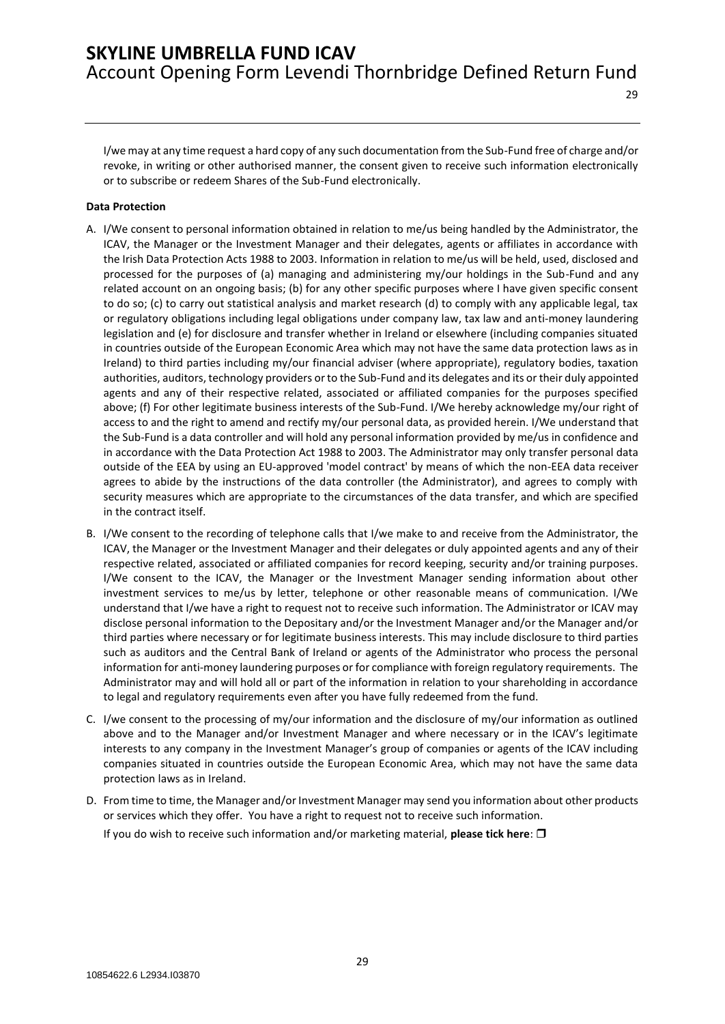29

I/we may at any time request a hard copy of any such documentation from the Sub-Fund free of charge and/or revoke, in writing or other authorised manner, the consent given to receive such information electronically or to subscribe or redeem Shares of the Sub-Fund electronically.

#### **Data Protection**

- A. I/We consent to personal information obtained in relation to me/us being handled by the Administrator, the ICAV, the Manager or the Investment Manager and their delegates, agents or affiliates in accordance with the Irish Data Protection Acts 1988 to 2003. Information in relation to me/us will be held, used, disclosed and processed for the purposes of (a) managing and administering my/our holdings in the Sub-Fund and any related account on an ongoing basis; (b) for any other specific purposes where I have given specific consent to do so; (c) to carry out statistical analysis and market research (d) to comply with any applicable legal, tax or regulatory obligations including legal obligations under company law, tax law and anti-money laundering legislation and (e) for disclosure and transfer whether in Ireland or elsewhere (including companies situated in countries outside of the European Economic Area which may not have the same data protection laws as in Ireland) to third parties including my/our financial adviser (where appropriate), regulatory bodies, taxation authorities, auditors, technology providers or to the Sub-Fund and its delegates and its or their duly appointed agents and any of their respective related, associated or affiliated companies for the purposes specified above; (f) For other legitimate business interests of the Sub-Fund. I/We hereby acknowledge my/our right of access to and the right to amend and rectify my/our personal data, as provided herein. I/We understand that the Sub-Fund is a data controller and will hold any personal information provided by me/us in confidence and in accordance with the Data Protection Act 1988 to 2003. The Administrator may only transfer personal data outside of the EEA by using an EU-approved 'model contract' by means of which the non-EEA data receiver agrees to abide by the instructions of the data controller (the Administrator), and agrees to comply with security measures which are appropriate to the circumstances of the data transfer, and which are specified in the contract itself.
- B. I/We consent to the recording of telephone calls that I/we make to and receive from the Administrator, the ICAV, the Manager or the Investment Manager and their delegates or duly appointed agents and any of their respective related, associated or affiliated companies for record keeping, security and/or training purposes. I/We consent to the ICAV, the Manager or the Investment Manager sending information about other investment services to me/us by letter, telephone or other reasonable means of communication. I/We understand that I/we have a right to request not to receive such information. The Administrator or ICAV may disclose personal information to the Depositary and/or the Investment Manager and/or the Manager and/or third parties where necessary or for legitimate business interests. This may include disclosure to third parties such as auditors and the Central Bank of Ireland or agents of the Administrator who process the personal information for anti-money laundering purposes or for compliance with foreign regulatory requirements. The Administrator may and will hold all or part of the information in relation to your shareholding in accordance to legal and regulatory requirements even after you have fully redeemed from the fund.
- C. I/we consent to the processing of my/our information and the disclosure of my/our information as outlined above and to the Manager and/or Investment Manager and where necessary or in the ICAV's legitimate interests to any company in the Investment Manager's group of companies or agents of the ICAV including companies situated in countries outside the European Economic Area, which may not have the same data protection laws as in Ireland.
- D. From time to time, the Manager and/or Investment Manager may send you information about other products or services which they offer. You have a right to request not to receive such information. If you do wish to receive such information and/or marketing material, **please tick here**: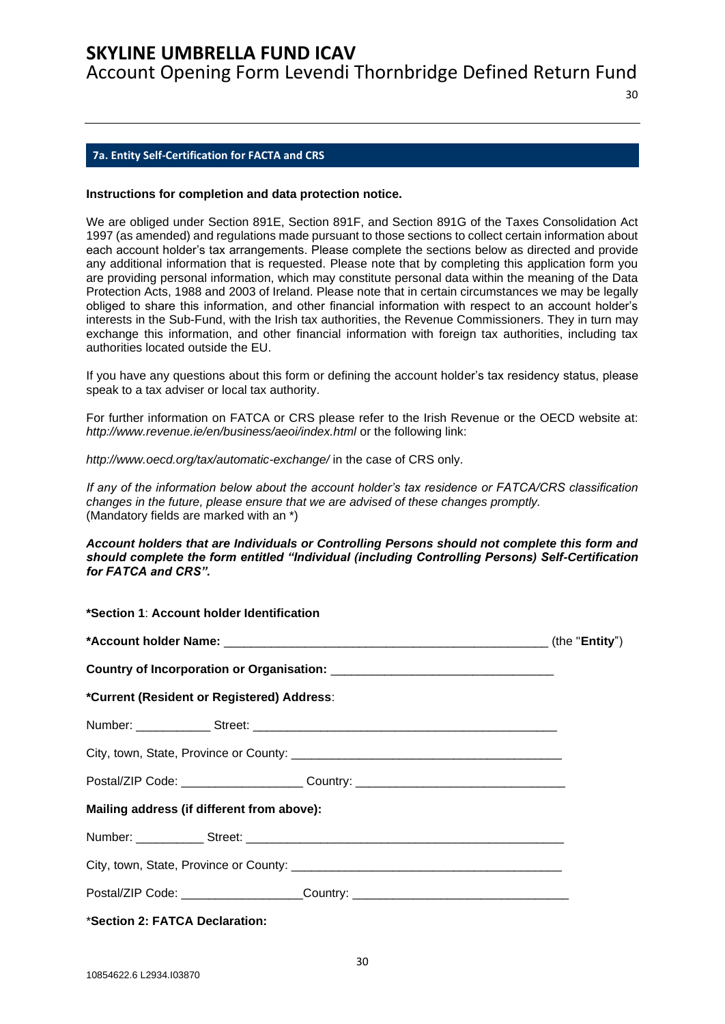Account Opening Form Levendi Thornbridge Defined Return Fund

 $30$ 

### <span id="page-29-0"></span>**7a. Entity Self-Certification for FACTA and CRS**

#### **Instructions for completion and data protection notice.**

We are obliged under Section 891E, Section 891F, and Section 891G of the Taxes Consolidation Act 1997 (as amended) and regulations made pursuant to those sections to collect certain information about each account holder's tax arrangements. Please complete the sections below as directed and provide any additional information that is requested. Please note that by completing this application form you are providing personal information, which may constitute personal data within the meaning of the Data Protection Acts, 1988 and 2003 of Ireland. Please note that in certain circumstances we may be legally obliged to share this information, and other financial information with respect to an account holder's interests in the Sub-Fund, with the Irish tax authorities, the Revenue Commissioners. They in turn may exchange this information, and other financial information with foreign tax authorities, including tax authorities located outside the EU.

If you have any questions about this form or defining the account holder's tax residency status, please speak to a tax adviser or local tax authority.

For further information on FATCA or CRS please refer to the Irish Revenue or the OECD website at: http://www.revenue.ie/en/business/aeoi/index.html or the following link:

*http://www.oecd.org/tax/automatic-exchange/* in the case of CRS only.

*If any of the information below about the account holder's tax residence or FATCA/CRS classification changes in the future, please ensure that we are advised of these changes promptly.*  (Mandatory fields are marked with an \*)

#### *Account holders that are Individuals or Controlling Persons should not complete this form and should complete the form entitled "Individual (including Controlling Persons) Self-Certification for FATCA and CRS".*

| *Current (Resident or Registered) Address:                                       |  |
|----------------------------------------------------------------------------------|--|
|                                                                                  |  |
|                                                                                  |  |
| Postal/ZIP Code: ______________________Country: ________________________________ |  |
| Mailing address (if different from above):                                       |  |
|                                                                                  |  |
|                                                                                  |  |
| Postal/ZIP Code: _____________________Country: _________________________________ |  |
|                                                                                  |  |

\***Section 2: FATCA Declaration:**

**\*Section 1**: **Account holder Identification**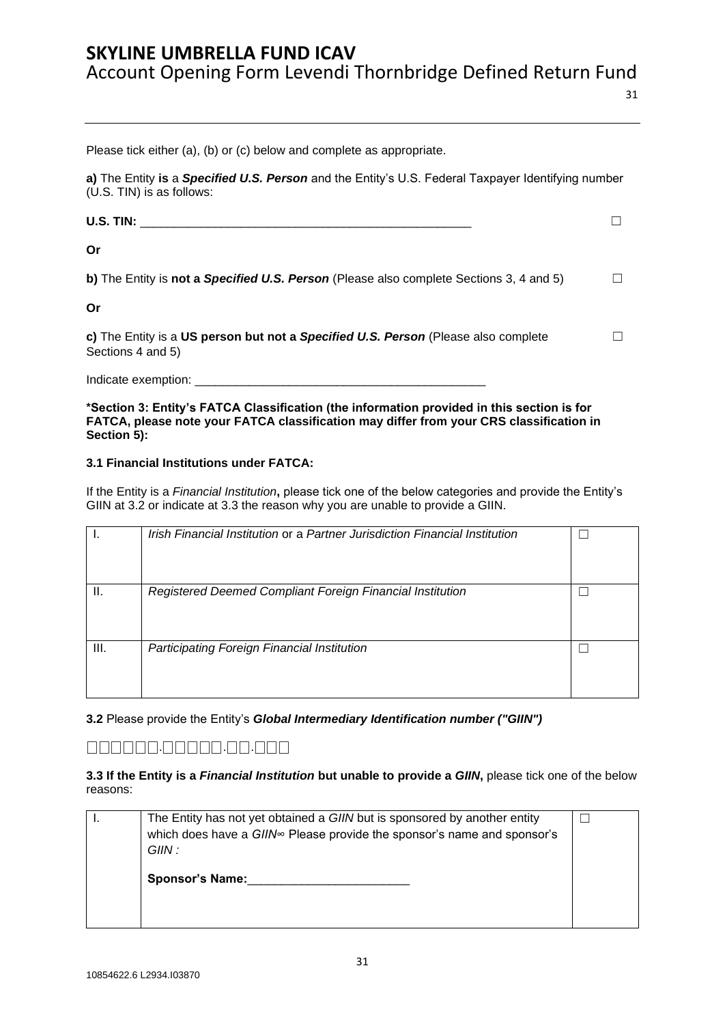Account Opening Form Levendi Thornbridge Defined Return Fund

31

Please tick either (a), (b) or (c) below and complete as appropriate.

**a)** The Entity **is** a *Specified U.S. Person* and the Entity's U.S. Federal Taxpayer Identifying number (U.S. TIN) is as follows:

| <b>U.S. TIN:</b>                                                                                        |  |
|---------------------------------------------------------------------------------------------------------|--|
| Or                                                                                                      |  |
| b) The Entity is not a Specified U.S. Person (Please also complete Sections 3, 4 and 5)                 |  |
| Or                                                                                                      |  |
| c) The Entity is a US person but not a Specified U.S. Person (Please also complete<br>Sections 4 and 5) |  |

Indicate exemption:

**\*Section 3: Entity's FATCA Classification (the information provided in this section is for FATCA, please note your FATCA classification may differ from your CRS classification in Section 5):** 

### **3.1 Financial Institutions under FATCA:**

If the Entity is a *Financial Institution***,** please tick one of the below categories and provide the Entity's GIIN at 3.2 or indicate at 3.3 the reason why you are unable to provide a GIIN.

|     | Irish Financial Institution or a Partner Jurisdiction Financial Institution |  |
|-----|-----------------------------------------------------------------------------|--|
| ΙΙ. | Registered Deemed Compliant Foreign Financial Institution                   |  |
| Ш.  | Participating Foreign Financial Institution                                 |  |

**3.2** Please provide the Entity's *Global Intermediary Identification number ("GIIN")* 

### ⎕⎕⎕⎕⎕⎕.⎕⎕⎕⎕⎕.⎕⎕.⎕⎕⎕

**3.3 If the Entity is a** *Financial Institution* **but unable to provide a** *GIIN***,** please tick one of the below reasons:

| The Entity has not yet obtained a GIIN but is sponsored by another entity<br>which does have a GIIN∞ Please provide the sponsor's name and sponsor's<br>GIIN : |  |
|----------------------------------------------------------------------------------------------------------------------------------------------------------------|--|
| <b>Sponsor's Name:</b>                                                                                                                                         |  |
|                                                                                                                                                                |  |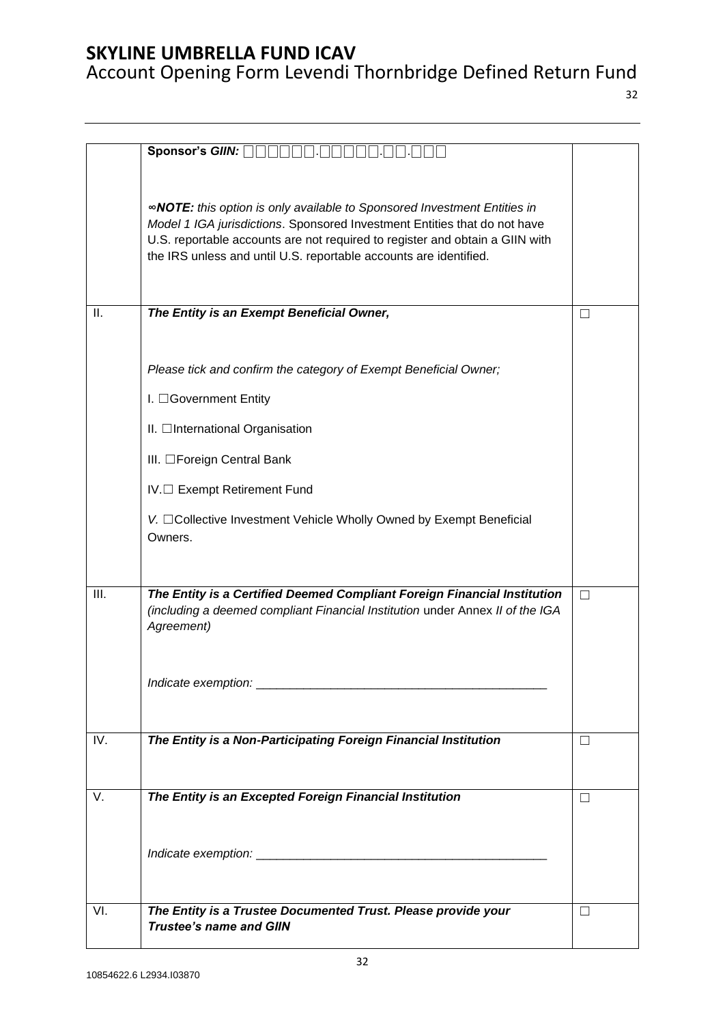32

|     | Sponsor's GIIN: A                                                                                                                                                                                                                                                                                                 |        |
|-----|-------------------------------------------------------------------------------------------------------------------------------------------------------------------------------------------------------------------------------------------------------------------------------------------------------------------|--------|
|     |                                                                                                                                                                                                                                                                                                                   |        |
|     | <b>«NOTE:</b> this option is only available to Sponsored Investment Entities in<br>Model 1 IGA jurisdictions. Sponsored Investment Entities that do not have<br>U.S. reportable accounts are not required to register and obtain a GIIN with<br>the IRS unless and until U.S. reportable accounts are identified. |        |
| ΙΙ. | The Entity is an Exempt Beneficial Owner,                                                                                                                                                                                                                                                                         | $\Box$ |
|     |                                                                                                                                                                                                                                                                                                                   |        |
|     | Please tick and confirm the category of Exempt Beneficial Owner;                                                                                                                                                                                                                                                  |        |
|     | I. <b>Government Entity</b>                                                                                                                                                                                                                                                                                       |        |
|     | II. □International Organisation                                                                                                                                                                                                                                                                                   |        |
|     | III. □Foreign Central Bank                                                                                                                                                                                                                                                                                        |        |
|     | IV.□ Exempt Retirement Fund                                                                                                                                                                                                                                                                                       |        |
|     | V. □ Collective Investment Vehicle Wholly Owned by Exempt Beneficial<br>Owners.                                                                                                                                                                                                                                   |        |
|     |                                                                                                                                                                                                                                                                                                                   |        |
| Ш.  | The Entity is a Certified Deemed Compliant Foreign Financial Institution<br>(including a deemed compliant Financial Institution under Annex II of the IGA<br>Agreement)                                                                                                                                           | П      |
|     |                                                                                                                                                                                                                                                                                                                   |        |
| IV. | The Entity is a Non-Participating Foreign Financial Institution                                                                                                                                                                                                                                                   | П      |
|     |                                                                                                                                                                                                                                                                                                                   |        |
| V.  | The Entity is an Excepted Foreign Financial Institution                                                                                                                                                                                                                                                           | П      |
|     |                                                                                                                                                                                                                                                                                                                   |        |
|     |                                                                                                                                                                                                                                                                                                                   |        |
|     |                                                                                                                                                                                                                                                                                                                   |        |
| VI. | The Entity is a Trustee Documented Trust. Please provide your                                                                                                                                                                                                                                                     | П      |
|     | <b>Trustee's name and GIIN</b>                                                                                                                                                                                                                                                                                    |        |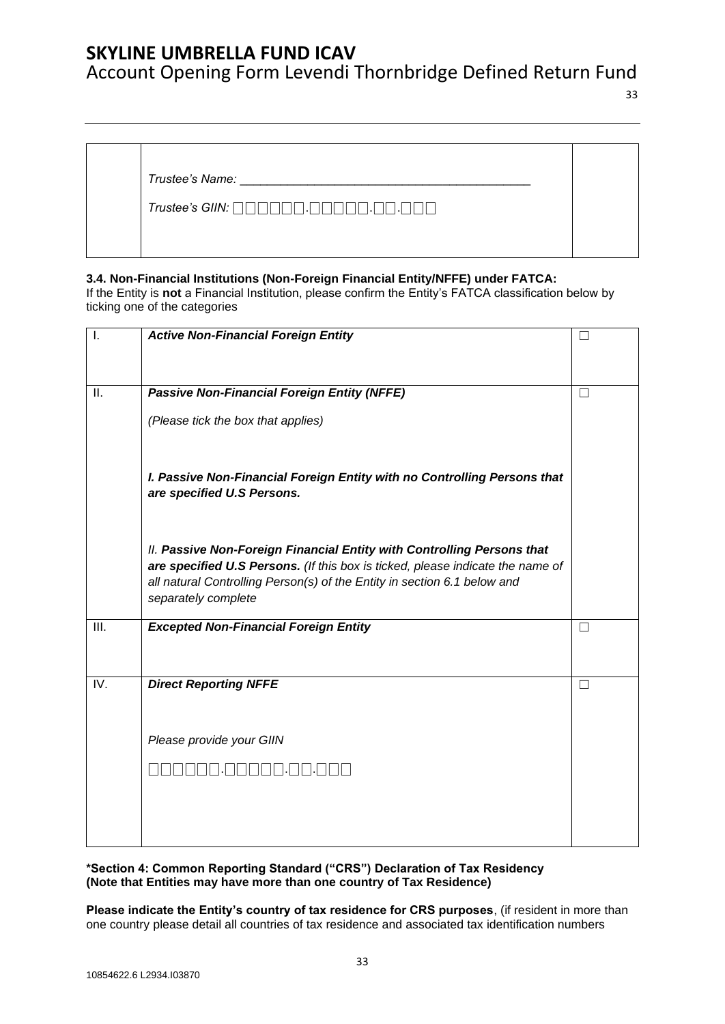Account Opening Form Levendi Thornbridge Defined Return Fund

33

*Trustee's Name:* \_\_\_\_\_\_\_\_\_\_\_\_\_\_\_\_\_\_\_\_\_\_\_\_\_\_\_\_\_\_\_\_\_\_\_\_\_\_\_\_\_\_\_

*Trustee's GIIN:* ⎕⎕⎕⎕⎕⎕.⎕⎕⎕⎕⎕.⎕⎕.⎕⎕⎕

### **3.4. Non-Financial Institutions (Non-Foreign Financial Entity/NFFE) under FATCA:**

If the Entity is **not** a Financial Institution, please confirm the Entity's FATCA classification below by ticking one of the categories

| $\mathsf{I}$ . | <b>Active Non-Financial Foreign Entity</b>                                                                                                                                                                                                                  | $\Box$ |
|----------------|-------------------------------------------------------------------------------------------------------------------------------------------------------------------------------------------------------------------------------------------------------------|--------|
|                |                                                                                                                                                                                                                                                             |        |
| Ш.             | <b>Passive Non-Financial Foreign Entity (NFFE)</b>                                                                                                                                                                                                          | П      |
|                | (Please tick the box that applies)                                                                                                                                                                                                                          |        |
|                | I. Passive Non-Financial Foreign Entity with no Controlling Persons that<br>are specified U.S Persons.                                                                                                                                                      |        |
|                | II. Passive Non-Foreign Financial Entity with Controlling Persons that<br>are specified U.S Persons. (If this box is ticked, please indicate the name of<br>all natural Controlling Person(s) of the Entity in section 6.1 below and<br>separately complete |        |
| Ш.             | <b>Excepted Non-Financial Foreign Entity</b>                                                                                                                                                                                                                | П      |
| IV.            | <b>Direct Reporting NFFE</b>                                                                                                                                                                                                                                | П      |
|                | Please provide your GIIN                                                                                                                                                                                                                                    |        |
|                |                                                                                                                                                                                                                                                             |        |
|                |                                                                                                                                                                                                                                                             |        |
|                |                                                                                                                                                                                                                                                             |        |

**\*Section 4: Common Reporting Standard ("CRS") Declaration of Tax Residency (Note that Entities may have more than one country of Tax Residence)** 

**Please indicate the Entity's country of tax residence for CRS purposes**, (if resident in more than one country please detail all countries of tax residence and associated tax identification numbers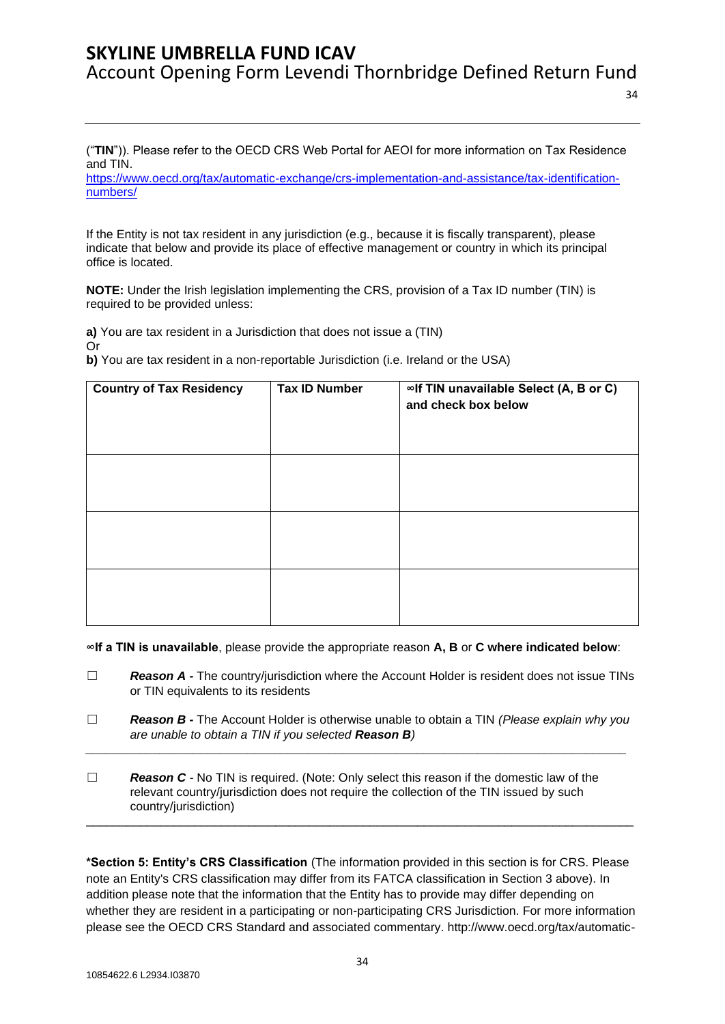("**TIN**")). Please refer to the OECD CRS Web Portal for AEOI for more information on Tax Residence and TIN.

[https://www.oecd.org/tax/automatic-exchange/crs-implementation-and-assistance/tax-identification](https://www.oecd.org/tax/automatic-exchange/crs-implementation-and-assistance/tax-identification-numbers/)[numbers/](https://www.oecd.org/tax/automatic-exchange/crs-implementation-and-assistance/tax-identification-numbers/)

If the Entity is not tax resident in any jurisdiction (e.g., because it is fiscally transparent), please indicate that below and provide its place of effective management or country in which its principal office is located.

**NOTE:** Under the Irish legislation implementing the CRS, provision of a Tax ID number (TIN) is required to be provided unless:

**a)** You are tax resident in a Jurisdiction that does not issue a (TIN)

Or

**b)** You are tax resident in a non-reportable Jurisdiction (i.e. Ireland or the USA)

| <b>Country of Tax Residency</b> | <b>Tax ID Number</b> | ∞If TIN unavailable Select (A, B or C)<br>and check box below |
|---------------------------------|----------------------|---------------------------------------------------------------|
|                                 |                      |                                                               |
|                                 |                      |                                                               |
|                                 |                      |                                                               |

**∞If a TIN is unavailable**, please provide the appropriate reason **A, B** or **C where indicated below**:

- ☐ *Reason A -* The country/jurisdiction where the Account Holder is resident does not issue TINs or TIN equivalents to its residents
- ☐ *Reason B -* The Account Holder is otherwise unable to obtain a TIN *(Please explain why you are unable to obtain a TIN if you selected Reason B) \_\_\_\_\_\_\_\_\_\_\_\_\_\_\_\_\_\_\_\_\_\_\_\_\_\_\_\_\_\_\_\_\_\_\_\_\_\_\_\_\_\_\_\_\_\_\_\_\_\_\_\_\_\_\_\_\_\_\_\_\_\_\_\_\_\_\_\_\_\_\_\_\_\_\_\_\_\_\_\_*
- ☐ *Reason C -* No TIN is required. (Note: Only select this reason if the domestic law of the relevant country/jurisdiction does not require the collection of the TIN issued by such country/jurisdiction)

**\*Section 5: Entity's CRS Classification** (The information provided in this section is for CRS. Please note an Entity's CRS classification may differ from its FATCA classification in Section 3 above). In addition please note that the information that the Entity has to provide may differ depending on whether they are resident in a participating or non-participating CRS Jurisdiction. For more information please see the OECD CRS Standard and associated commentary. http://www.oecd.org/tax/automatic-

\_\_\_\_\_\_\_\_\_\_\_\_\_\_\_\_\_\_\_\_\_\_\_\_\_\_\_\_\_\_\_\_\_\_\_\_\_\_\_\_\_\_\_\_\_\_\_\_\_\_\_\_\_\_\_\_\_\_\_\_\_\_\_\_\_\_\_\_\_\_\_\_\_\_\_\_\_\_\_\_\_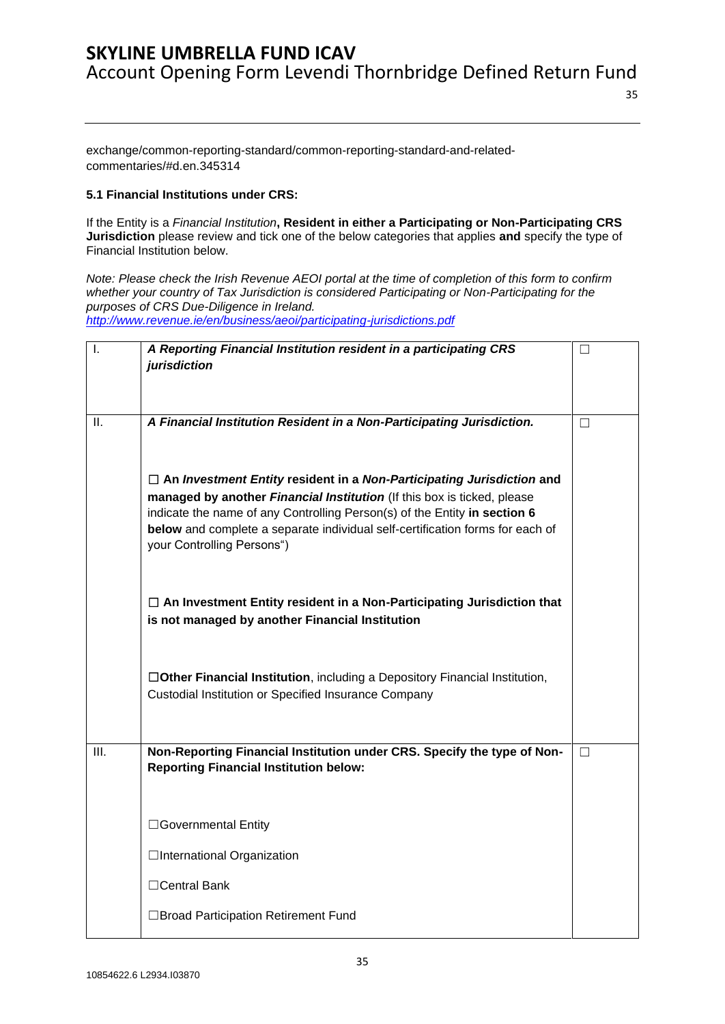35

exchange/common-reporting-standard/common-reporting-standard-and-relatedcommentaries/#d.en.345314

### **5.1 Financial Institutions under CRS:**

If the Entity is a *Financial Institution***, Resident in either a Participating or Non-Participating CRS Jurisdiction** please review and tick one of the below categories that applies **and** specify the type of Financial Institution below.

*Note: Please check the Irish Revenue AEOI portal at the time of completion of this form to confirm whether your country of Tax Jurisdiction is considered Participating or Non-Participating for the purposes of CRS Due-Diligence in Ireland. <http://www.revenue.ie/en/business/aeoi/participating-jurisdictions.pdf>*

| $\mathsf{I}$ . | A Reporting Financial Institution resident in a participating CRS<br>jurisdiction                                                                                                                                                                                                                                                                   | П      |
|----------------|-----------------------------------------------------------------------------------------------------------------------------------------------------------------------------------------------------------------------------------------------------------------------------------------------------------------------------------------------------|--------|
| Ш.             | A Financial Institution Resident in a Non-Participating Jurisdiction.                                                                                                                                                                                                                                                                               | П      |
|                | $\Box$ An Investment Entity resident in a Non-Participating Jurisdiction and<br>managed by another Financial Institution (If this box is ticked, please<br>indicate the name of any Controlling Person(s) of the Entity in section 6<br>below and complete a separate individual self-certification forms for each of<br>your Controlling Persons") |        |
|                | $\Box$ An Investment Entity resident in a Non-Participating Jurisdiction that<br>is not managed by another Financial Institution                                                                                                                                                                                                                    |        |
|                | □Other Financial Institution, including a Depository Financial Institution,<br>Custodial Institution or Specified Insurance Company                                                                                                                                                                                                                 |        |
| III.           | Non-Reporting Financial Institution under CRS. Specify the type of Non-<br><b>Reporting Financial Institution below:</b>                                                                                                                                                                                                                            | $\Box$ |
|                | □Governmental Entity                                                                                                                                                                                                                                                                                                                                |        |
|                | □International Organization                                                                                                                                                                                                                                                                                                                         |        |
|                | $\Box$ Central Bank                                                                                                                                                                                                                                                                                                                                 |        |
|                | □Broad Participation Retirement Fund                                                                                                                                                                                                                                                                                                                |        |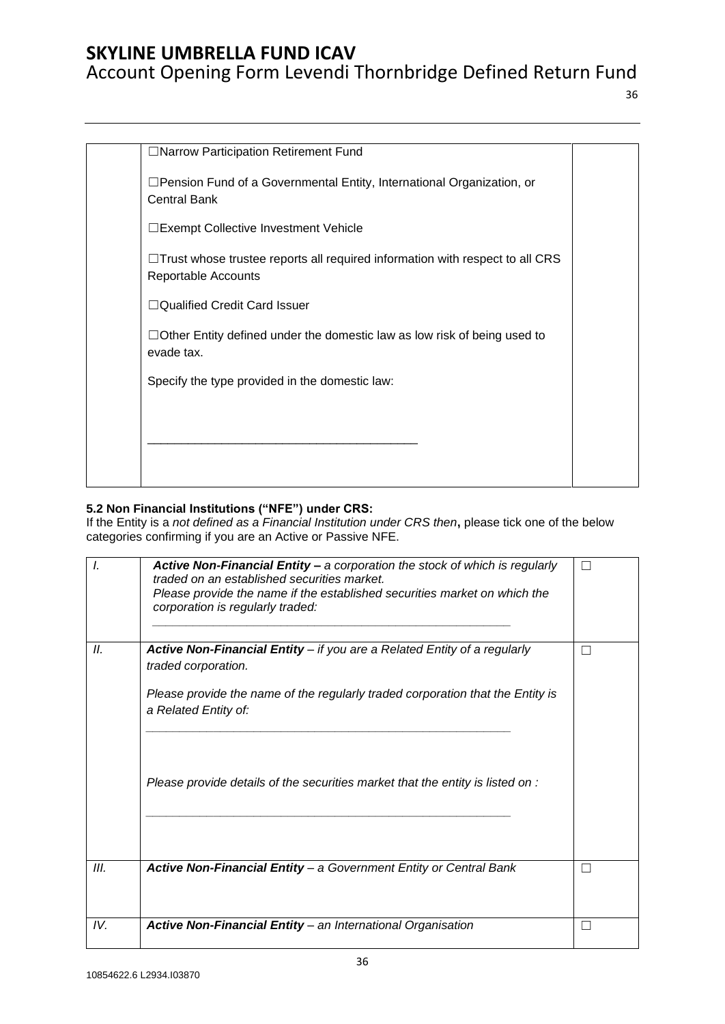# Account Opening Form Levendi Thornbridge Defined Return Fund

36

| □Narrow Participation Retirement Fund                                                                      |  |
|------------------------------------------------------------------------------------------------------------|--|
| □Pension Fund of a Governmental Entity, International Organization, or<br><b>Central Bank</b>              |  |
| □Exempt Collective Investment Vehicle                                                                      |  |
| $\Box$ Trust whose trustee reports all required information with respect to all CRS<br>Reportable Accounts |  |
| $\Box$ Qualified Credit Card Issuer                                                                        |  |
| $\Box$ Other Entity defined under the domestic law as low risk of being used to<br>evade tax.              |  |
| Specify the type provided in the domestic law:                                                             |  |
|                                                                                                            |  |
|                                                                                                            |  |
|                                                                                                            |  |

### **5.2 Non Financial Institutions ("NFE") under CRS:**

If the Entity is a *not defined as a Financial Institution under CRS then***,** please tick one of the below categories confirming if you are an Active or Passive NFE.

| I.   | Active Non-Financial Entity - a corporation the stock of which is regularly<br>traded on an established securities market.<br>Please provide the name if the established securities market on which the<br>corporation is regularly traded: | П  |
|------|---------------------------------------------------------------------------------------------------------------------------------------------------------------------------------------------------------------------------------------------|----|
| II.  | Active Non-Financial Entity - if you are a Related Entity of a regularly<br>traded corporation.                                                                                                                                             | П  |
|      | Please provide the name of the regularly traded corporation that the Entity is<br>a Related Entity of:                                                                                                                                      |    |
|      | Please provide details of the securities market that the entity is listed on :                                                                                                                                                              |    |
| III. | Active Non-Financial Entity - a Government Entity or Central Bank                                                                                                                                                                           | П  |
|      |                                                                                                                                                                                                                                             |    |
| IV.  | <b>Active Non-Financial Entity - an International Organisation</b>                                                                                                                                                                          | ×. |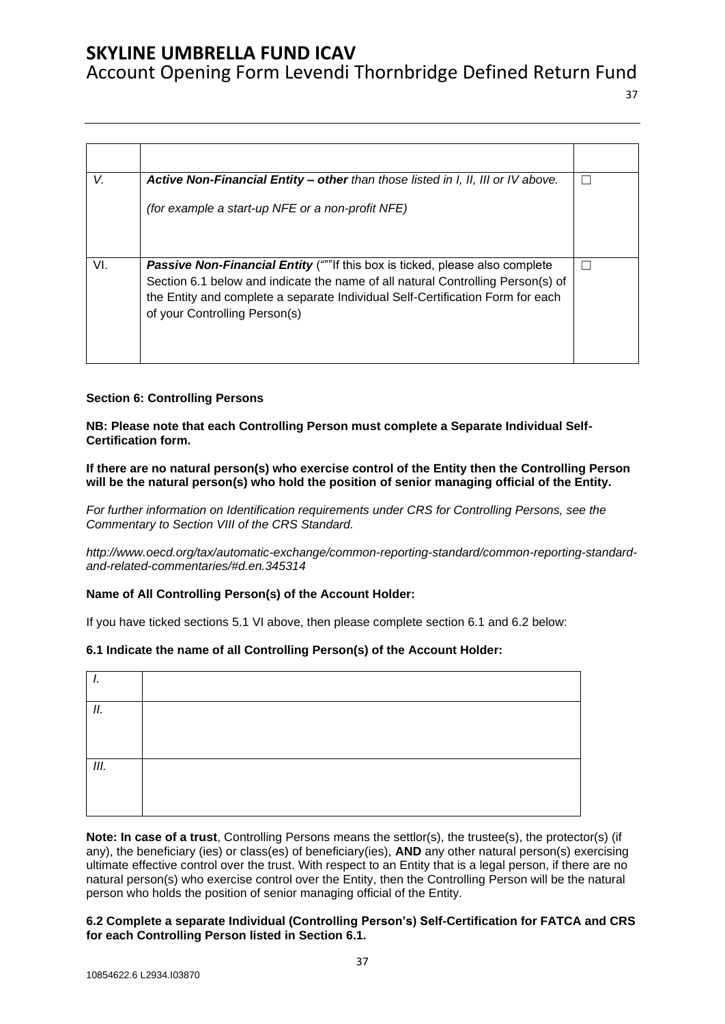Account Opening Form Levendi Thornbridge Defined Return Fund

37

| V.  | Active Non-Financial Entity - other than those listed in I, II, III or IV above.                                                                                                                                                                                                   |  |
|-----|------------------------------------------------------------------------------------------------------------------------------------------------------------------------------------------------------------------------------------------------------------------------------------|--|
|     | (for example a start-up NFE or a non-profit NFE)                                                                                                                                                                                                                                   |  |
| VI. | Passive Non-Financial Entity ("""If this box is ticked, please also complete<br>Section 6.1 below and indicate the name of all natural Controlling Person(s) of<br>the Entity and complete a separate Individual Self-Certification Form for each<br>of your Controlling Person(s) |  |

### **Section 6: Controlling Persons**

**NB: Please note that each Controlling Person must complete a Separate Individual Self-Certification form.** 

**If there are no natural person(s) who exercise control of the Entity then the Controlling Person will be the natural person(s) who hold the position of senior managing official of the Entity.** 

*For further information on Identification requirements under CRS for Controlling Persons, see the Commentary to Section VIII of the CRS Standard.* 

*[http://www.oecd.org/tax/automatic-exchange/common-reporting-standard/common-reporting-standard](http://www.oecd.org/tax/automatic-exchange/common-reporting-standard/common-reporting-standard-and-related-commentaries/#d.en.345314)[and-related-commentaries/#d.en.345314](http://www.oecd.org/tax/automatic-exchange/common-reporting-standard/common-reporting-standard-and-related-commentaries/#d.en.345314)*

### **Name of All Controlling Person(s) of the Account Holder:**

If you have ticked sections 5.1 VI above, then please complete section 6.1 and 6.2 below:

### **6.1 Indicate the name of all Controlling Person(s) of the Account Holder:**

| . . |  |
|-----|--|
| П.  |  |
|     |  |
| Ш.  |  |
|     |  |

**Note: In case of a trust**, Controlling Persons means the settlor(s), the trustee(s), the protector(s) (if any), the beneficiary (ies) or class(es) of beneficiary(ies), **AND** any other natural person(s) exercising ultimate effective control over the trust. With respect to an Entity that is a legal person, if there are no natural person(s) who exercise control over the Entity, then the Controlling Person will be the natural person who holds the position of senior managing official of the Entity.

#### **6.2 Complete a separate Individual (Controlling Person's) Self-Certification for FATCA and CRS for each Controlling Person listed in Section 6.1.**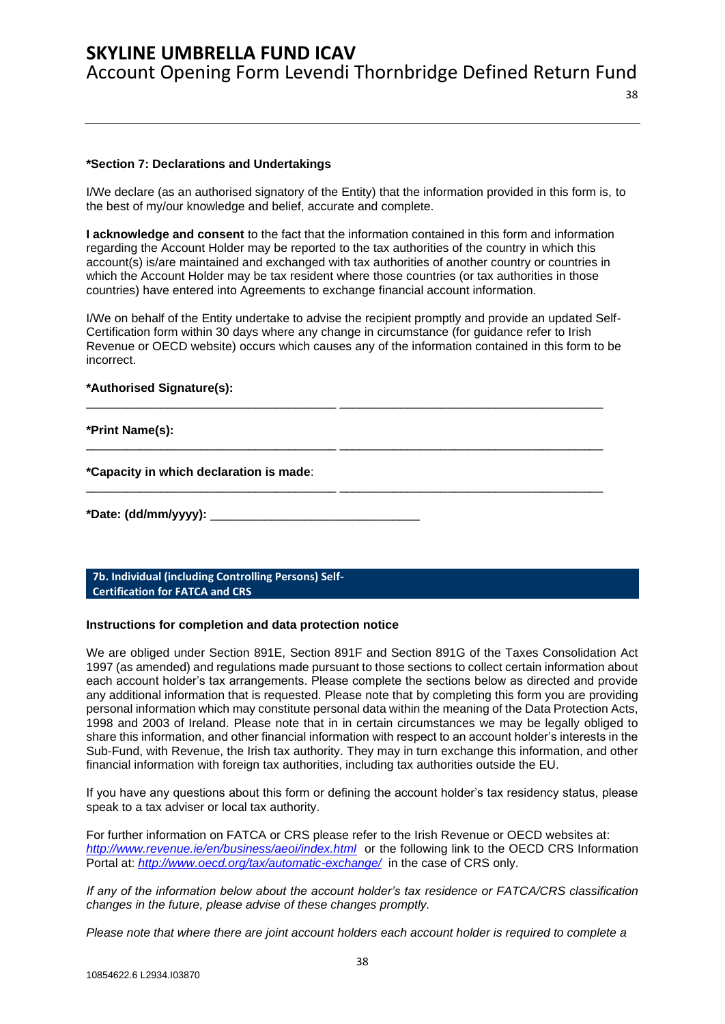38

#### **\*Section 7: Declarations and Undertakings**

I/We declare (as an authorised signatory of the Entity) that the information provided in this form is, to the best of my/our knowledge and belief, accurate and complete.

**I acknowledge and consent** to the fact that the information contained in this form and information regarding the Account Holder may be reported to the tax authorities of the country in which this account(s) is/are maintained and exchanged with tax authorities of another country or countries in which the Account Holder may be tax resident where those countries (or tax authorities in those countries) have entered into Agreements to exchange financial account information.

I/We on behalf of the Entity undertake to advise the recipient promptly and provide an updated Self-Certification form within 30 days where any change in circumstance (for guidance refer to Irish Revenue or OECD website) occurs which causes any of the information contained in this form to be incorrect.

\_\_\_\_\_\_\_\_\_\_\_\_\_\_\_\_\_\_\_\_\_\_\_\_\_\_\_\_\_\_\_\_\_\_\_\_\_ \_\_\_\_\_\_\_\_\_\_\_\_\_\_\_\_\_\_\_\_\_\_\_\_\_\_\_\_\_\_\_\_\_\_\_\_\_\_\_

\_\_\_\_\_\_\_\_\_\_\_\_\_\_\_\_\_\_\_\_\_\_\_\_\_\_\_\_\_\_\_\_\_\_\_\_\_ \_\_\_\_\_\_\_\_\_\_\_\_\_\_\_\_\_\_\_\_\_\_\_\_\_\_\_\_\_\_\_\_\_\_\_\_\_\_\_

\_\_\_\_\_\_\_\_\_\_\_\_\_\_\_\_\_\_\_\_\_\_\_\_\_\_\_\_\_\_\_\_\_\_\_\_\_ \_\_\_\_\_\_\_\_\_\_\_\_\_\_\_\_\_\_\_\_\_\_\_\_\_\_\_\_\_\_\_\_\_\_\_\_\_\_\_

#### **\*Authorised Signature(s):**

#### **\*Print Name(s):**

**\*Capacity in which declaration is made**:

```
*Date: (dd/mm/yyyy): _______________________________
```
<span id="page-37-0"></span>**7b. Individual (including Controlling Persons) Self-Certification for FATCA and CRS**

#### **Instructions for completion and data protection notice**

We are obliged under Section 891E, Section 891F and Section 891G of the Taxes Consolidation Act 1997 (as amended) and regulations made pursuant to those sections to collect certain information about each account holder's tax arrangements. Please complete the sections below as directed and provide any additional information that is requested. Please note that by completing this form you are providing personal information which may constitute personal data within the meaning of the Data Protection Acts, 1998 and 2003 of Ireland. Please note that in in certain circumstances we may be legally obliged to share this information, and other financial information with respect to an account holder's interests in the Sub-Fund, with Revenue, the Irish tax authority. They may in turn exchange this information, and other financial information with foreign tax authorities, including tax authorities outside the EU.

If you have any questions about this form or defining the account holder's tax residency status, please speak to a tax adviser or local tax authority.

For further information on FATCA or CRS please refer to the Irish Revenue or OECD websites at: *<http://www.revenue.ie/en/business/aeoi/index.html>*or the following link to the OECD CRS Information Portal at: *<http://www.oecd.org/tax/automatic-exchange/>*in the case of CRS only.

*If any of the information below about the account holder's tax residence or FATCA/CRS classification changes in the future, please advise of these changes promptly.*

*Please note that where there are joint account holders each account holder is required to complete a*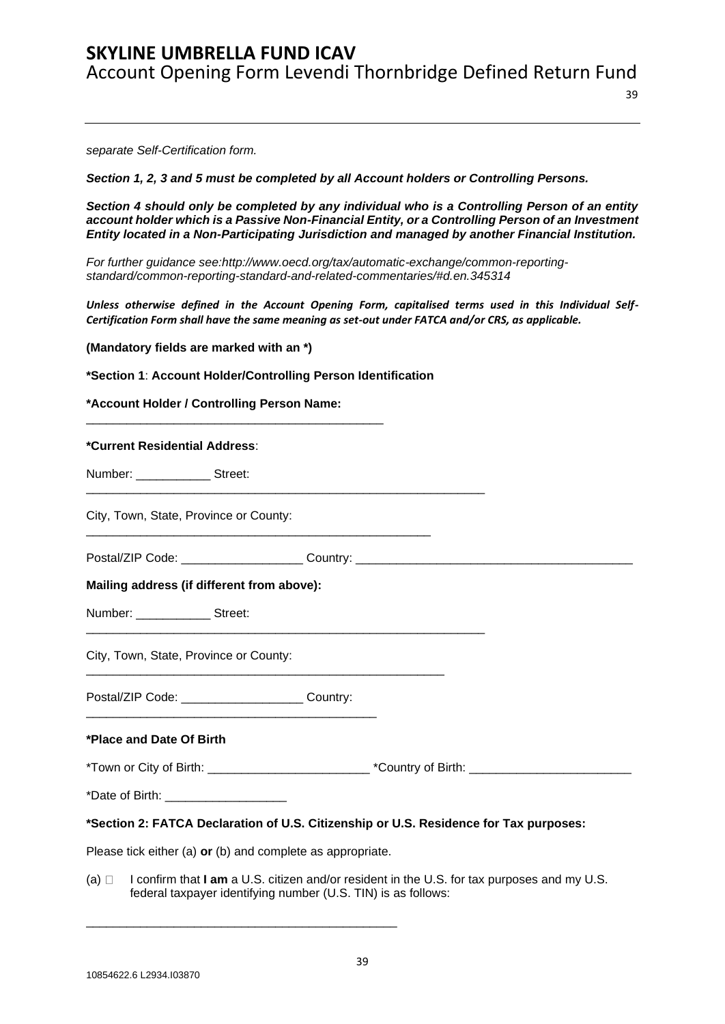*separate Self-Certification form.* 

*Section 1, 2, 3 and 5 must be completed by all Account holders or Controlling Persons.*

*Section 4 should only be completed by any individual who is a Controlling Person of an entity*  account holder which is a Passive Non-Financial Entity, or a Controlling Person of an Investment *Entity located in a Non-Participating Jurisdiction and managed by another Financial Institution.* 

*For further guidance see:http://www.oecd.org/tax/automatic-exchange/common-reportingstandard/common-reporting-standard-and-related-commentaries/#d.en.345314* 

*Unless otherwise defined in the Account Opening Form, capitalised terms used in this Individual Self-Certification Form shall have the same meaning as set-out under FATCA and/or CRS, as applicable.*

**(Mandatory fields are marked with an \*)** 

**\*Section 1**: **Account Holder/Controlling Person Identification** 

**\*Account Holder / Controlling Person Name:** 

| *Current Residential Address:                                                                                  |  |  |
|----------------------------------------------------------------------------------------------------------------|--|--|
| Number: ________________ Street:                                                                               |  |  |
| City, Town, State, Province or County:                                                                         |  |  |
| Postal/ZIP Code: _______________________Country: _______________________________                               |  |  |
| Mailing address (if different from above):                                                                     |  |  |
| Number: ________________ Street:                                                                               |  |  |
| City, Town, State, Province or County:                                                                         |  |  |
| Postal/ZIP Code: _______________________ Country:                                                              |  |  |
| *Place and Date Of Birth                                                                                       |  |  |
| *Town or City of Birth: ___________________________________*Country of Birth: ________________________________ |  |  |
| *Date of Birth: _______________________                                                                        |  |  |
| *Section 2: FATCA Declaration of U.S. Citizenship or U.S. Residence for Tax purposes:                          |  |  |

Please tick either (a) **or** (b) and complete as appropriate.

\_\_\_\_\_\_\_\_\_\_\_\_\_\_\_\_\_\_\_\_\_\_\_\_\_\_\_\_\_\_\_\_\_\_\_\_\_\_\_\_\_\_\_\_\_\_

(a)  $\Box$  I confirm that **I am** a U.S. citizen and/or resident in the U.S. for tax purposes and my U.S. federal taxpayer identifying number (U.S. TIN) is as follows: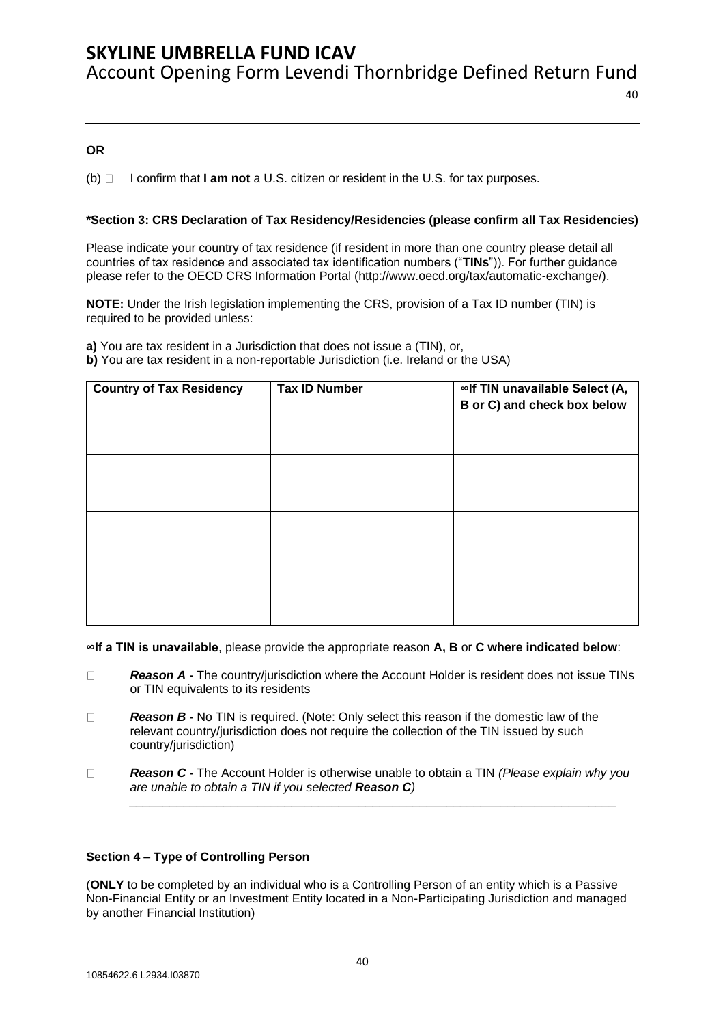### **OR**

(b) I confirm that **I am not** a U.S. citizen or resident in the U.S. for tax purposes.

### **\*Section 3: CRS Declaration of Tax Residency/Residencies (please confirm all Tax Residencies)**

Please indicate your country of tax residence (if resident in more than one country please detail all countries of tax residence and associated tax identification numbers ("**TINs**")). For further guidance please refer to the OECD CRS Information Portal [\(http://www.oecd.org/tax/automatic-exchange/\)](http://www.oecd.org/tax/automatic-exchange/).

**NOTE:** Under the Irish legislation implementing the CRS, provision of a Tax ID number (TIN) is required to be provided unless:

**a)** You are tax resident in a Jurisdiction that does not issue a (TIN), or, **b)** You are tax resident in a non-reportable Jurisdiction (i.e. Ireland or the USA)

| <b>Country of Tax Residency</b> | <b>Tax ID Number</b> | ∞If TIN unavailable Select (A,<br>B or C) and check box below |
|---------------------------------|----------------------|---------------------------------------------------------------|
|                                 |                      |                                                               |
|                                 |                      |                                                               |
|                                 |                      |                                                               |

**∞If a TIN is unavailable**, please provide the appropriate reason **A, B** or **C where indicated below**:

- *Reason A -* The country/jurisdiction where the Account Holder is resident does not issue TINs  $\Box$ or TIN equivalents to its residents
- $\Box$ *Reason B -* No TIN is required. (Note: Only select this reason if the domestic law of the relevant country/jurisdiction does not require the collection of the TIN issued by such country/jurisdiction)
- $\Box$ *Reason C -* The Account Holder is otherwise unable to obtain a TIN *(Please explain why you are unable to obtain a TIN if you selected Reason C)*

*\_\_\_\_\_\_\_\_\_\_\_\_\_\_\_\_\_\_\_\_\_\_\_\_\_\_\_\_\_\_\_\_\_\_\_\_\_\_\_\_\_\_\_\_\_\_\_\_\_\_\_\_\_\_\_\_\_\_\_\_\_\_\_\_\_\_\_\_\_\_\_\_*

### **Section 4 – Type of Controlling Person**

(**ONLY** to be completed by an individual who is a Controlling Person of an entity which is a Passive Non-Financial Entity or an Investment Entity located in a Non-Participating Jurisdiction and managed by another Financial Institution)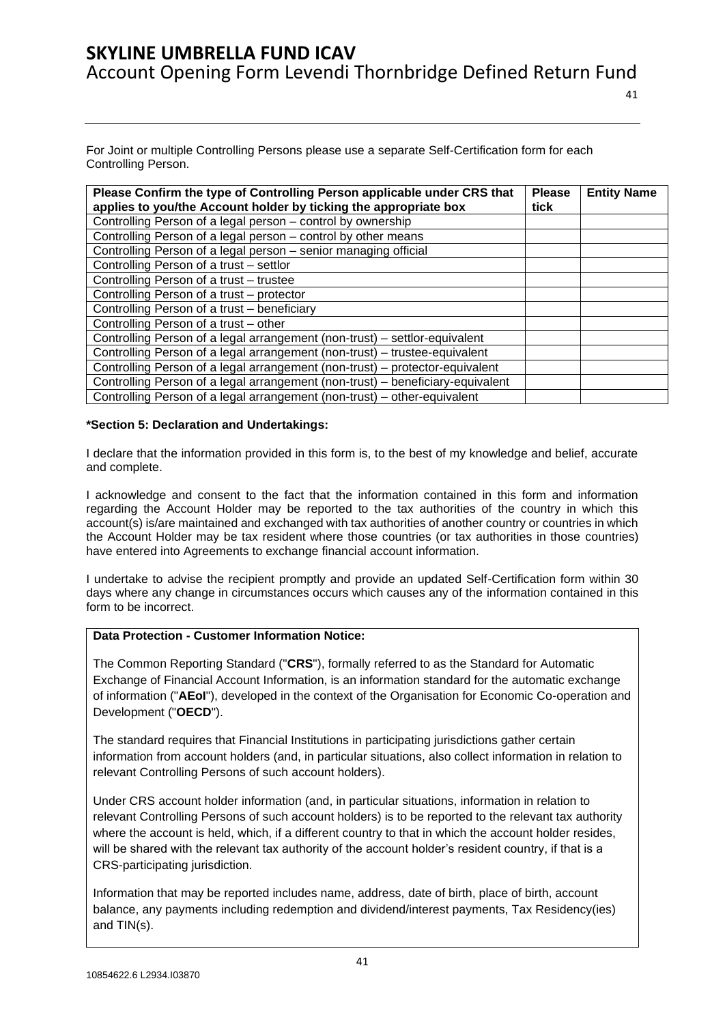For Joint or multiple Controlling Persons please use a separate Self-Certification form for each Controlling Person.

| Please Confirm the type of Controlling Person applicable under CRS that<br>applies to you/the Account holder by ticking the appropriate box | <b>Please</b><br>tick | <b>Entity Name</b> |
|---------------------------------------------------------------------------------------------------------------------------------------------|-----------------------|--------------------|
| Controlling Person of a legal person – control by ownership                                                                                 |                       |                    |
| Controlling Person of a legal person - control by other means                                                                               |                       |                    |
| Controlling Person of a legal person – senior managing official                                                                             |                       |                    |
| Controlling Person of a trust - settlor                                                                                                     |                       |                    |
| Controlling Person of a trust - trustee                                                                                                     |                       |                    |
| Controlling Person of a trust - protector                                                                                                   |                       |                    |
| Controlling Person of a trust - beneficiary                                                                                                 |                       |                    |
| Controlling Person of a trust - other                                                                                                       |                       |                    |
| Controlling Person of a legal arrangement (non-trust) - settlor-equivalent                                                                  |                       |                    |
| Controlling Person of a legal arrangement (non-trust) – trustee-equivalent                                                                  |                       |                    |
| Controlling Person of a legal arrangement (non-trust) – protector-equivalent                                                                |                       |                    |
| Controlling Person of a legal arrangement (non-trust) – beneficiary-equivalent                                                              |                       |                    |
| Controlling Person of a legal arrangement (non-trust) – other-equivalent                                                                    |                       |                    |

### **\*Section 5: Declaration and Undertakings:**

I declare that the information provided in this form is, to the best of my knowledge and belief, accurate and complete.

I acknowledge and consent to the fact that the information contained in this form and information regarding the Account Holder may be reported to the tax authorities of the country in which this account(s) is/are maintained and exchanged with tax authorities of another country or countries in which the Account Holder may be tax resident where those countries (or tax authorities in those countries) have entered into Agreements to exchange financial account information.

I undertake to advise the recipient promptly and provide an updated Self-Certification form within 30 days where any change in circumstances occurs which causes any of the information contained in this form to be incorrect.

### **Data Protection - Customer Information Notice:**

The Common Reporting Standard ("**CRS**"), formally referred to as the Standard for Automatic Exchange of Financial Account Information, is an information standard for the automatic exchange of information ("**AEoI**"), developed in the context of the Organisation for Economic Co-operation and Development ("**OECD**").

The standard requires that Financial Institutions in participating jurisdictions gather certain information from account holders (and, in particular situations, also collect information in relation to relevant Controlling Persons of such account holders).

Under CRS account holder information (and, in particular situations, information in relation to relevant Controlling Persons of such account holders) is to be reported to the relevant tax authority where the account is held, which, if a different country to that in which the account holder resides, will be shared with the relevant tax authority of the account holder's resident country, if that is a CRS-participating jurisdiction.

Information that may be reported includes name, address, date of birth, place of birth, account balance, any payments including redemption and dividend/interest payments, Tax Residency(ies) and TIN(s).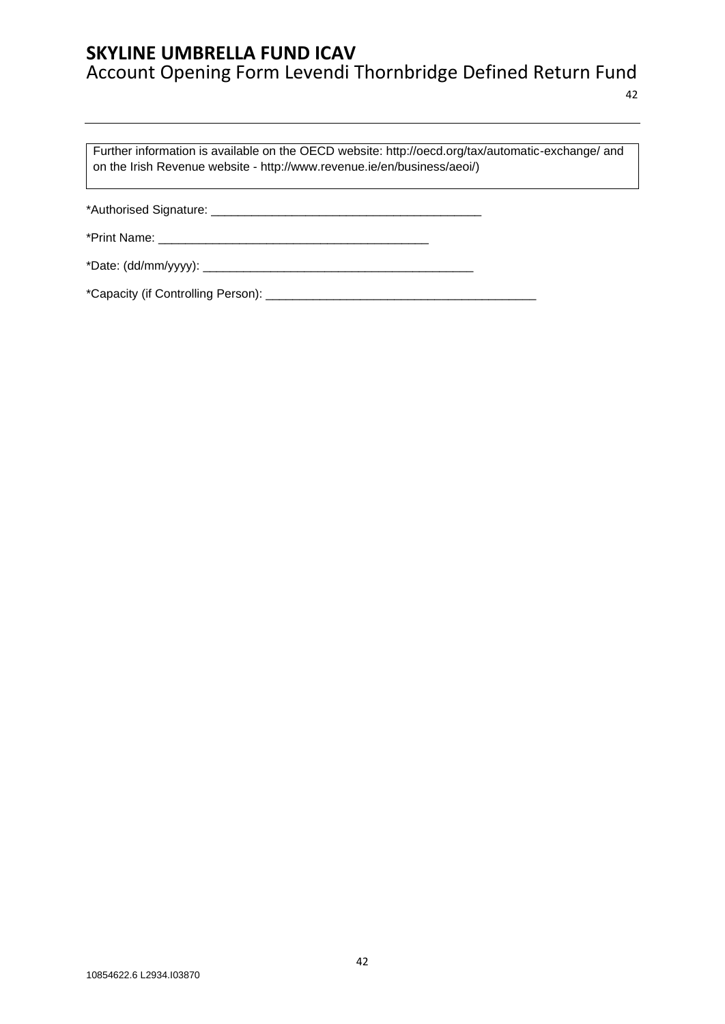Further information is available on the OECD website: http://oecd.org/tax/automatic-exchange/ and on the Irish Revenue website - [http://www.revenue.ie/en/business/aeoi/\)](http://www.revenue.ie/en/business/aeoi/)

\*Authorised Signature: \_\_\_\_\_\_\_\_\_\_\_\_\_\_\_\_\_\_\_\_\_\_\_\_\_\_\_\_\_\_\_\_\_\_\_\_\_\_\_\_

\*Print Name: \_\_\_\_\_\_\_\_\_\_\_\_\_\_\_\_\_\_\_\_\_\_\_\_\_\_\_\_\_\_\_\_\_\_\_\_\_\_\_\_

\*Date: (dd/mm/yyyy): \_\_\_\_\_\_\_\_\_\_\_\_\_\_\_\_\_\_\_\_\_\_\_\_\_\_\_\_\_\_\_\_\_\_\_\_\_\_\_\_

\*Capacity (if Controlling Person): \_\_\_\_\_\_\_\_\_\_\_\_\_\_\_\_\_\_\_\_\_\_\_\_\_\_\_\_\_\_\_\_\_\_\_\_\_\_\_\_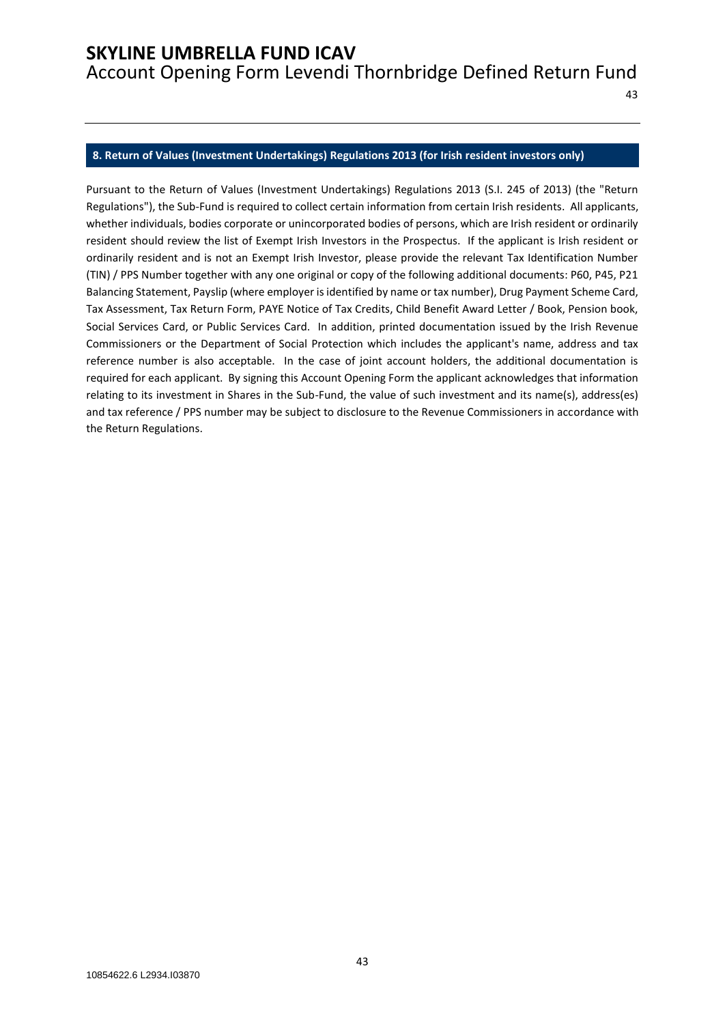Account Opening Form Levendi Thornbridge Defined Return Fund

#### <span id="page-42-0"></span>**8. Return of Values (Investment Undertakings) Regulations 2013 (for Irish resident investors only)**

Pursuant to the Return of Values (Investment Undertakings) Regulations 2013 (S.I. 245 of 2013) (the "Return Regulations"), the Sub-Fund is required to collect certain information from certain Irish residents. All applicants, whether individuals, bodies corporate or unincorporated bodies of persons, which are Irish resident or ordinarily resident should review the list of Exempt Irish Investors in the Prospectus. If the applicant is Irish resident or ordinarily resident and is not an Exempt Irish Investor, please provide the relevant Tax Identification Number (TIN) / PPS Number together with any one original or copy of the following additional documents: P60, P45, P21 Balancing Statement, Payslip (where employer is identified by name or tax number), Drug Payment Scheme Card, Tax Assessment, Tax Return Form, PAYE Notice of Tax Credits, Child Benefit Award Letter / Book, Pension book, Social Services Card, or Public Services Card. In addition, printed documentation issued by the Irish Revenue Commissioners or the Department of Social Protection which includes the applicant's name, address and tax reference number is also acceptable. In the case of joint account holders, the additional documentation is required for each applicant. By signing this Account Opening Form the applicant acknowledges that information relating to its investment in Shares in the Sub-Fund, the value of such investment and its name(s), address(es) and tax reference / PPS number may be subject to disclosure to the Revenue Commissioners in accordance with the Return Regulations.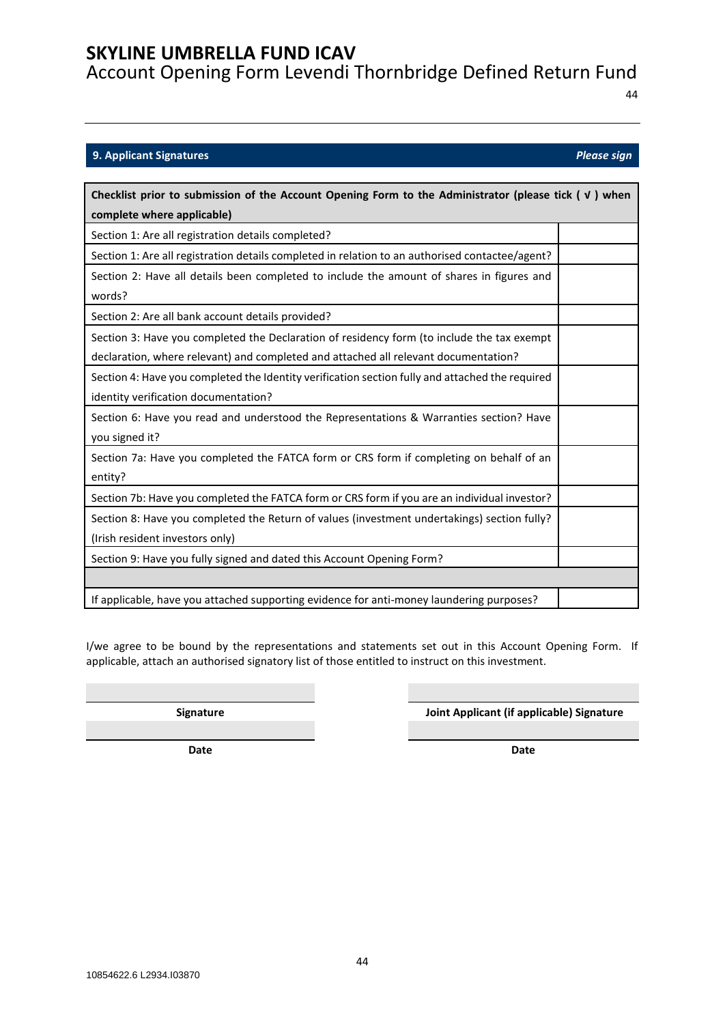Account Opening Form Levendi Thornbridge Defined Return Fund

44

### <span id="page-43-0"></span>**9. Applicant Signatures** *Please sign*

| Checklist prior to submission of the Account Opening Form to the Administrator (please tick $( \vee )$ when<br>complete where applicable)                                         |  |
|-----------------------------------------------------------------------------------------------------------------------------------------------------------------------------------|--|
| Section 1: Are all registration details completed?                                                                                                                                |  |
| Section 1: Are all registration details completed in relation to an authorised contactee/agent?                                                                                   |  |
| Section 2: Have all details been completed to include the amount of shares in figures and<br>words?                                                                               |  |
| Section 2: Are all bank account details provided?                                                                                                                                 |  |
| Section 3: Have you completed the Declaration of residency form (to include the tax exempt<br>declaration, where relevant) and completed and attached all relevant documentation? |  |
| Section 4: Have you completed the Identity verification section fully and attached the required<br>identity verification documentation?                                           |  |
| Section 6: Have you read and understood the Representations & Warranties section? Have<br>you signed it?                                                                          |  |
| Section 7a: Have you completed the FATCA form or CRS form if completing on behalf of an<br>entity?                                                                                |  |
| Section 7b: Have you completed the FATCA form or CRS form if you are an individual investor?                                                                                      |  |
| Section 8: Have you completed the Return of values (investment undertakings) section fully?<br>(Irish resident investors only)                                                    |  |
| Section 9: Have you fully signed and dated this Account Opening Form?                                                                                                             |  |
|                                                                                                                                                                                   |  |
| If applicable, have you attached supporting evidence for anti-money laundering purposes?                                                                                          |  |

I/we agree to be bound by the representations and statements set out in this Account Opening Form. If applicable, attach an authorised signatory list of those entitled to instruct on this investment.

**Signature Joint Applicant (if applicable) Signature**

**Date Date**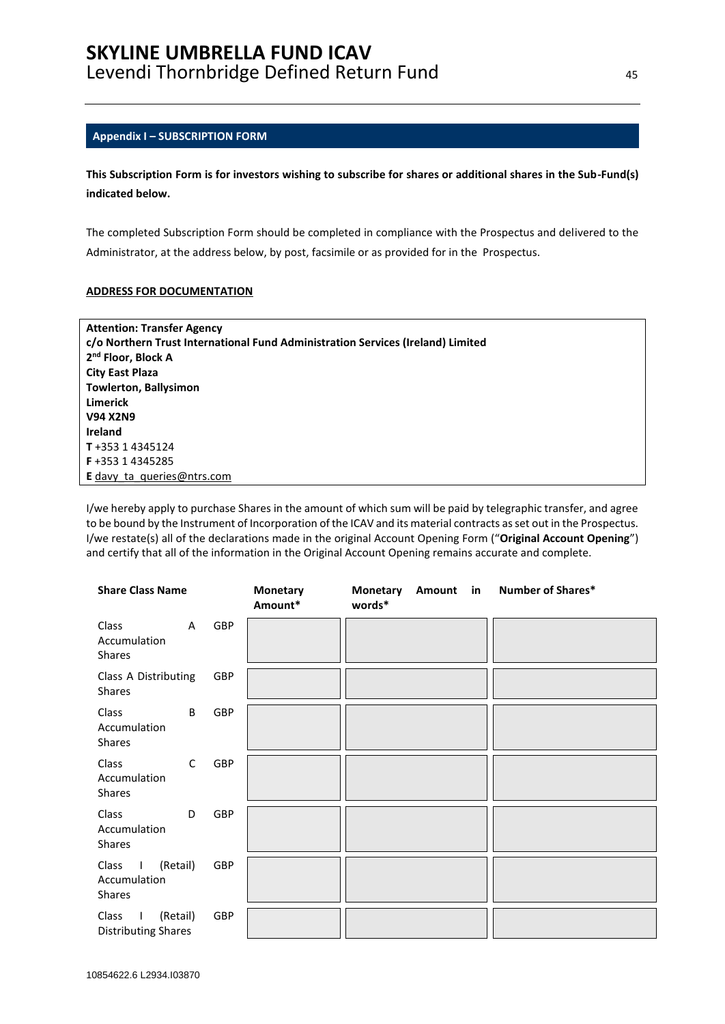#### <span id="page-44-0"></span>**Appendix I – SUBSCRIPTION FORM**

**This Subscription Form is for investors wishing to subscribe for shares or additional shares in the Sub-Fund(s) indicated below.**

The completed Subscription Form should be completed in compliance with the Prospectus and delivered to the Administrator, at the address below, by post, facsimile or as provided for in the Prospectus.

#### **ADDRESS FOR DOCUMENTATION**

| <b>Attention: Transfer Agency</b>                                               |
|---------------------------------------------------------------------------------|
| c/o Northern Trust International Fund Administration Services (Ireland) Limited |
| 2 <sup>nd</sup> Floor, Block A                                                  |
| <b>City East Plaza</b>                                                          |
| <b>Towlerton, Ballysimon</b>                                                    |
| <b>Limerick</b>                                                                 |
| <b>V94 X2N9</b>                                                                 |
| <b>Ireland</b>                                                                  |
| T+353 14345124                                                                  |
| F+353 14345285                                                                  |
| <b>E</b> davy ta queries @ ntrs.com                                             |

I/we hereby apply to purchase Shares in the amount of which sum will be paid by telegraphic transfer, and agree to be bound by the Instrument of Incorporation of the ICAV and its material contracts as set out in the Prospectus. I/we restate(s) all of the declarations made in the original Account Opening Form ("**Original Account Opening**") and certify that all of the information in the Original Account Opening remains accurate and complete.

| <b>Share Class Name</b>                                    |              |     | <b>Monetary</b><br>Amount* | <b>Monetary</b><br>words* | Amount in | Number of Shares* |
|------------------------------------------------------------|--------------|-----|----------------------------|---------------------------|-----------|-------------------|
| Class<br>Accumulation<br>Shares                            | $\mathsf{A}$ | GBP |                            |                           |           |                   |
| Class A Distributing<br>Shares                             |              | GBP |                            |                           |           |                   |
| Class<br>Accumulation<br>Shares                            | B            | GBP |                            |                           |           |                   |
| Class<br>Accumulation<br>Shares                            | $\mathsf{C}$ | GBP |                            |                           |           |                   |
| Class<br>Accumulation<br>Shares                            | D            | GBP |                            |                           |           |                   |
| (Retail)<br>Class<br>$\sim 1$<br>Accumulation<br>Shares    |              | GBP |                            |                           |           |                   |
| (Retail)<br>Class<br>$\perp$<br><b>Distributing Shares</b> |              | GBP |                            |                           |           |                   |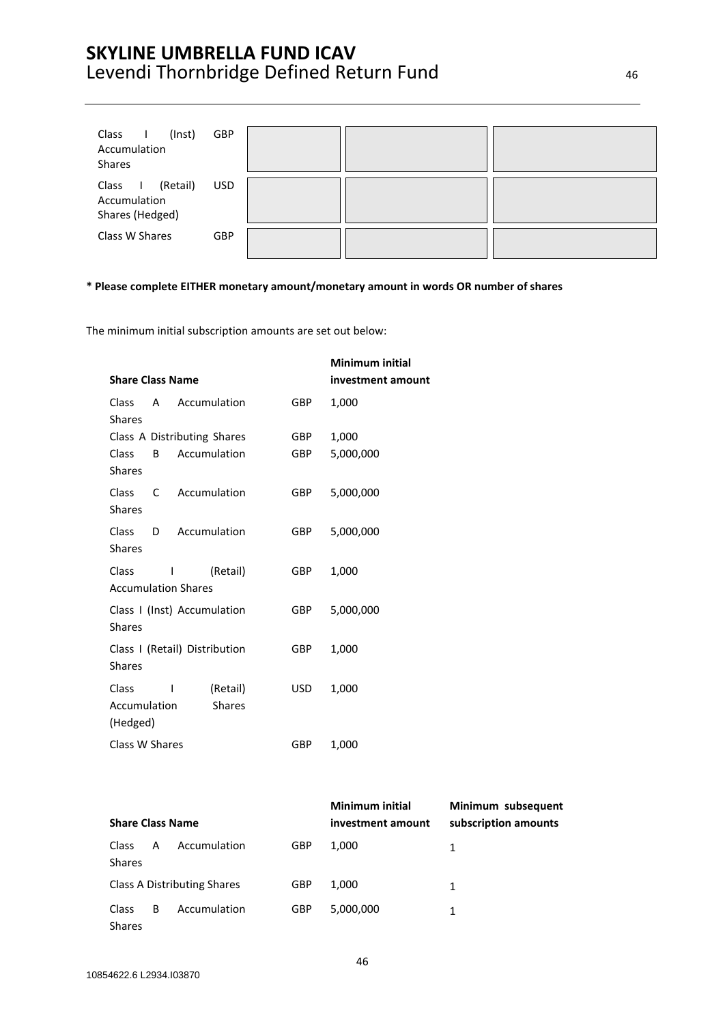| (Inst)<br>Class<br>Accumulation<br><b>Shares</b>                       | <b>GBP</b> |  |  |
|------------------------------------------------------------------------|------------|--|--|
| (Retail)<br>Class<br>$\blacksquare$<br>Accumulation<br>Shares (Hedged) | <b>USD</b> |  |  |
| Class W Shares                                                         | GBP        |  |  |

#### **\* Please complete EITHER monetary amount/monetary amount in words OR number of shares**

The minimum initial subscription amounts are set out below:

|                                                    |                                  | <b>Minimum initial</b> |
|----------------------------------------------------|----------------------------------|------------------------|
| <b>Share Class Name</b>                            |                                  | investment amount      |
| Accumulation<br>Class<br>A<br><b>Shares</b>        | <b>GBP</b>                       | 1,000                  |
| Class A Distributing Shares                        | <b>GBP</b>                       | 1,000                  |
| Accumulation<br>Class<br>B<br><b>Shares</b>        | GBP                              | 5,000,000              |
| <b>Class</b><br>Accumulation<br>C<br><b>Shares</b> | GBP.                             | 5,000,000              |
| Accumulation<br>Class<br>D<br><b>Shares</b>        | <b>GBP</b>                       | 5,000,000              |
| <b>Class</b><br>ı<br><b>Accumulation Shares</b>    | (Retail)<br>GBP                  | 1,000                  |
| Class I (Inst) Accumulation<br><b>Shares</b>       | GBP.                             | 5,000,000              |
| Class I (Retail) Distribution<br><b>Shares</b>     | <b>GBP</b>                       | 1,000                  |
| Class<br>ı<br>Accumulation<br>(Hedged)             | (Retail)<br>USD<br><b>Shares</b> | 1,000                  |
| Class W Shares                                     | GBP                              | 1,000                  |

| <b>Share Class Name</b>                   |   |              |            | <b>Minimum initial</b><br>investment amount | Minimum subsequent<br>subscription amounts |
|-------------------------------------------|---|--------------|------------|---------------------------------------------|--------------------------------------------|
| <b>Class</b><br><b>Shares</b>             | A | Accumulation | <b>GBP</b> | 1.000                                       | 1                                          |
| Class A Distributing Shares<br><b>GBP</b> |   |              |            | 1.000                                       | 1                                          |
| <b>Class</b><br><b>Shares</b>             | B | Accumulation | <b>GBP</b> | 5,000,000                                   | 1                                          |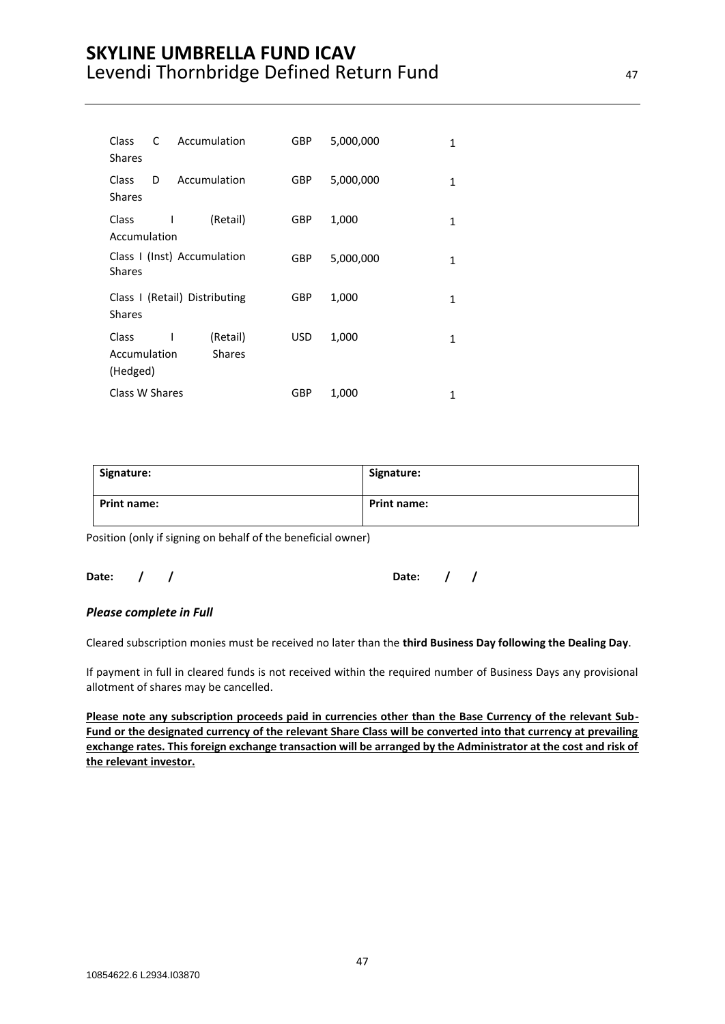| Class<br><b>Shares</b>            | C | Accumulation                  | <b>GBP</b> | 5,000,000 | 1 |
|-----------------------------------|---|-------------------------------|------------|-----------|---|
| <b>Class</b><br><b>Shares</b>     | D | Accumulation                  | GBP        | 5,000,000 | 1 |
| Class<br>Accumulation             | ı | (Retail)                      | GBP        | 1,000     | 1 |
| <b>Shares</b>                     |   | Class I (Inst) Accumulation   | GBP        | 5,000,000 | 1 |
| <b>Shares</b>                     |   | Class I (Retail) Distributing | GBP        | 1,000     | 1 |
| Class<br>Accumulation<br>(Hedged) | ı | (Retail)<br><b>Shares</b>     | USD        | 1,000     | 1 |
| Class W Shares                    |   |                               | GBP        | 1,000     | 1 |

| Signature:  | Signature:         |
|-------------|--------------------|
| Print name: | <b>Print name:</b> |

Position (only if signing on behalf of the beneficial owner)

### **Date: / / Date: / /**

#### *Please complete in Full*

Cleared subscription monies must be received no later than the **third Business Day following the Dealing Day**.

If payment in full in cleared funds is not received within the required number of Business Days any provisional allotment of shares may be cancelled.

**Please note any subscription proceeds paid in currencies other than the Base Currency of the relevant Sub-Fund or the designated currency of the relevant Share Class will be converted into that currency at prevailing exchange rates. This foreign exchange transaction will be arranged by the Administrator at the cost and risk of the relevant investor.**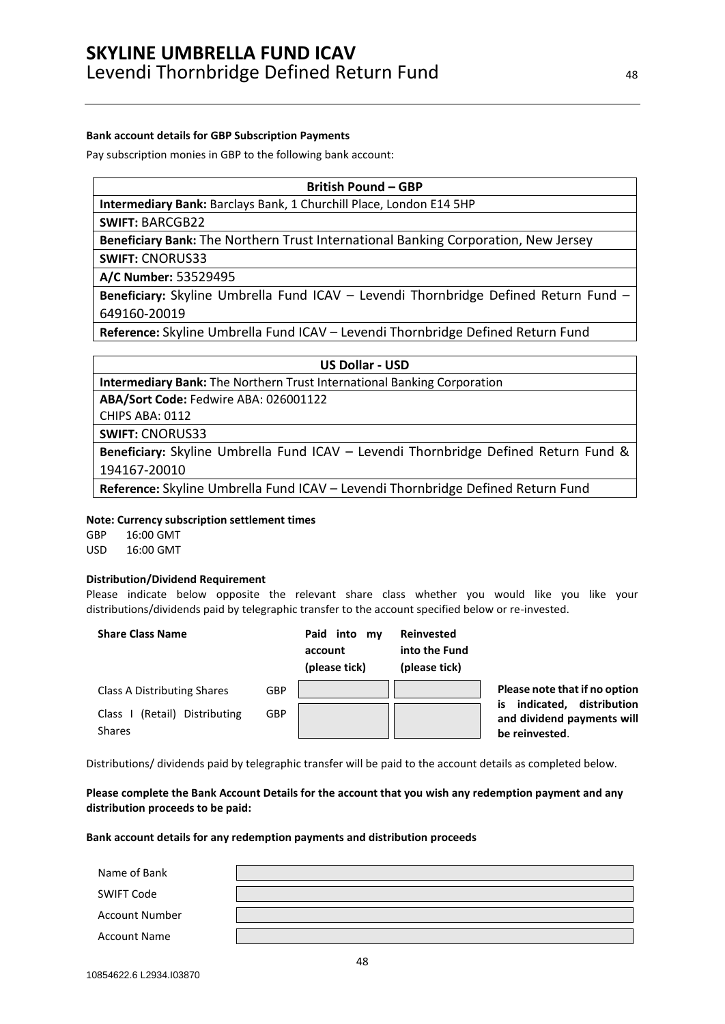#### **Bank account details for GBP Subscription Payments**

Pay subscription monies in GBP to the following bank account:

**British Pound – GBP**

**Intermediary Bank:** Barclays Bank, 1 Churchill Place, London E14 5HP

**SWIFT:** BARCGB22

**Beneficiary Bank:** The Northern Trust International Banking Corporation, New Jersey

**SWIFT:** CNORUS33

**A/C Number:** 53529495

**Beneficiary:** Skyline Umbrella Fund ICAV – Levendi Thornbridge Defined Return Fund – [649160-20019](tel:649160-20019)

**Reference:** Skyline Umbrella Fund ICAV – Levendi Thornbridge Defined Return Fund

**US Dollar - USD**

**Intermediary Bank:** The Northern Trust International Banking Corporation

**ABA/Sort Code:** Fedwire ABA: 026001122

CHIPS ABA: 0112

**SWIFT:** CNORUS33

**Beneficiary:** Skyline Umbrella Fund ICAV – Levendi Thornbridge Defined Return Fund & 194167-20010

**Reference:** Skyline Umbrella Fund ICAV – Levendi Thornbridge Defined Return Fund

#### **Note: Currency subscription settlement times**

GBP 16:00 GMT USD 16:00 GMT

#### **Distribution/Dividend Requirement**

Please indicate below opposite the relevant share class whether you would like you like your distributions/dividends paid by telegraphic transfer to the account specified below or re-invested.

| <b>Share Class Name</b>                         |            | Paid into my<br>account<br>(please tick) | <b>Reinvested</b><br>into the Fund<br>(please tick) |                                                                                  |
|-------------------------------------------------|------------|------------------------------------------|-----------------------------------------------------|----------------------------------------------------------------------------------|
| Class A Distributing Shares                     | <b>GBP</b> |                                          |                                                     | Please note that if no option                                                    |
| (Retail) Distributing<br>Class<br><b>Shares</b> | <b>GBP</b> |                                          |                                                     | distribution<br>indicated,<br>is<br>and dividend payments will<br>be reinvested. |

Distributions/ dividends paid by telegraphic transfer will be paid to the account details as completed below.

**Please complete the Bank Account Details for the account that you wish any redemption payment and any distribution proceeds to be paid:**

#### **Bank account details for any redemption payments and distribution proceeds**

| Name of Bank          |  |
|-----------------------|--|
| <b>SWIFT Code</b>     |  |
| <b>Account Number</b> |  |
| <b>Account Name</b>   |  |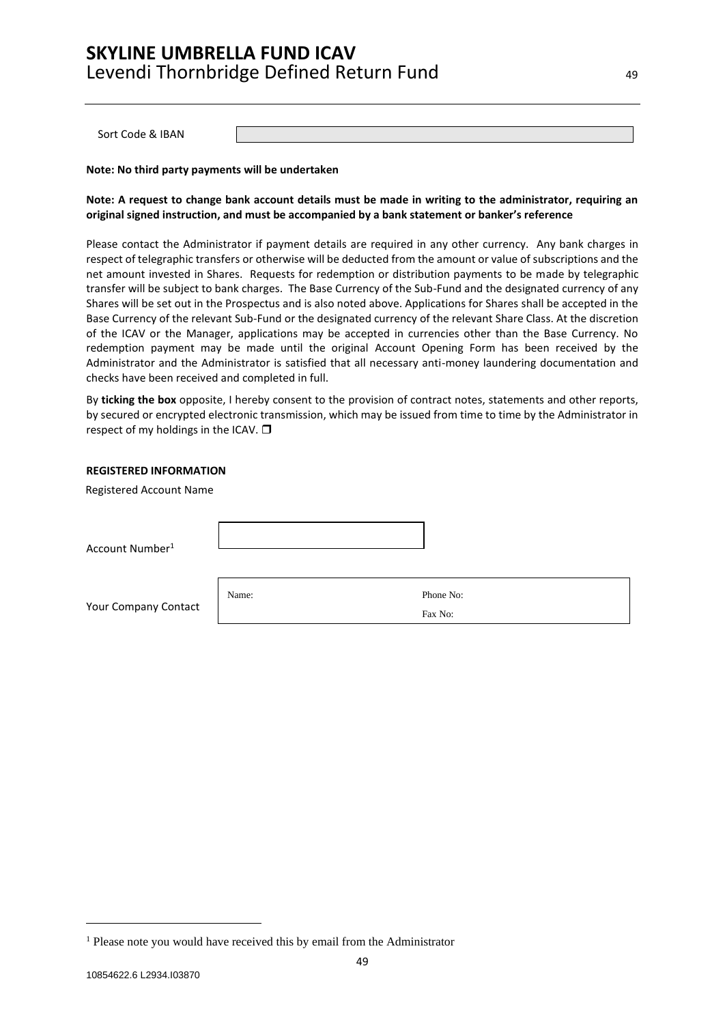Sort Code & IBAN

**Note: No third party payments will be undertaken**

#### **Note: A request to change bank account details must be made in writing to the administrator, requiring an original signed instruction, and must be accompanied by a bank statement or banker's reference**

Please contact the Administrator if payment details are required in any other currency. Any bank charges in respect of telegraphic transfers or otherwise will be deducted from the amount or value of subscriptions and the net amount invested in Shares. Requests for redemption or distribution payments to be made by telegraphic transfer will be subject to bank charges. The Base Currency of the Sub-Fund and the designated currency of any Shares will be set out in the Prospectus and is also noted above. Applications for Shares shall be accepted in the Base Currency of the relevant Sub-Fund or the designated currency of the relevant Share Class. At the discretion of the ICAV or the Manager, applications may be accepted in currencies other than the Base Currency. No redemption payment may be made until the original Account Opening Form has been received by the Administrator and the Administrator is satisfied that all necessary anti-money laundering documentation and checks have been received and completed in full.

By **ticking the box** opposite, I hereby consent to the provision of contract notes, statements and other reports, by secured or encrypted electronic transmission, which may be issued from time to time by the Administrator in respect of my holdings in the ICAV.  $\square$ 

#### **REGISTERED INFORMATION**

Registered Account Name

Account Number<sup>1</sup>

Your Company Contact

Name: Phone No:

Fax No:

49

<sup>&</sup>lt;sup>1</sup> Please note you would have received this by email from the Administrator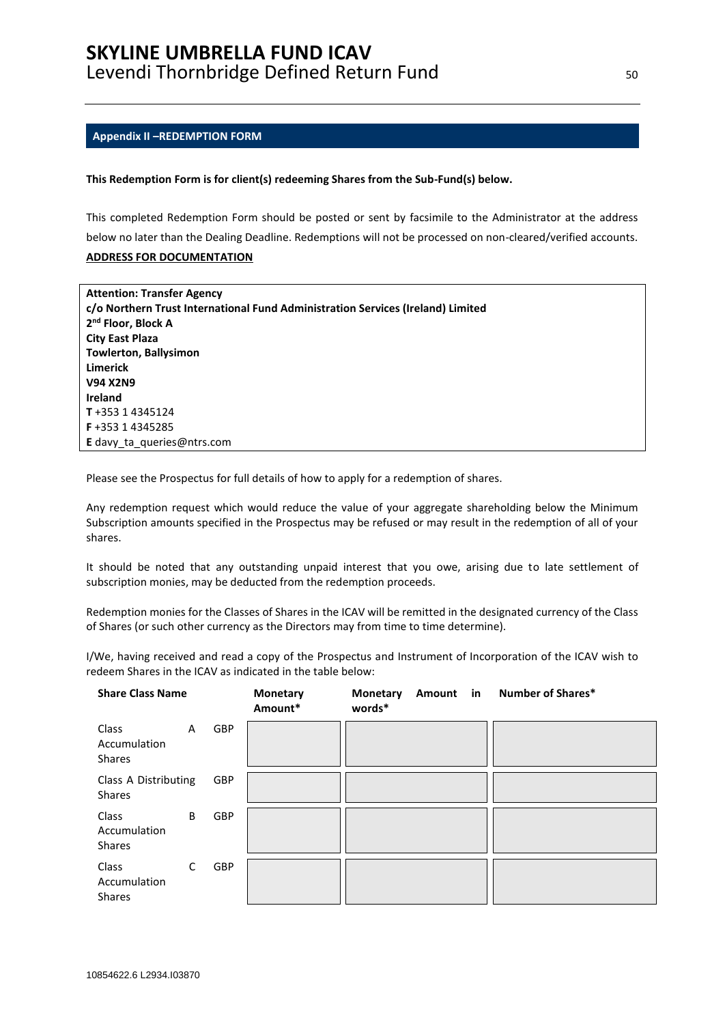#### <span id="page-49-0"></span>**Appendix II –REDEMPTION FORM**

#### **This Redemption Form is for client(s) redeeming Shares from the Sub-Fund(s) below.**

This completed Redemption Form should be posted or sent by facsimile to the Administrator at the address below no later than the Dealing Deadline. Redemptions will not be processed on non-cleared/verified accounts. **ADDRESS FOR DOCUMENTATION**

| <b>Attention: Transfer Agency</b>                                               |
|---------------------------------------------------------------------------------|
| c/o Northern Trust International Fund Administration Services (Ireland) Limited |
| 2 <sup>nd</sup> Floor, Block A                                                  |
| <b>City East Plaza</b>                                                          |
| <b>Towlerton, Ballysimon</b>                                                    |
| Limerick                                                                        |
| <b>V94 X2N9</b>                                                                 |
| Ireland                                                                         |
| T+353 14345124                                                                  |
| F+353 14345285                                                                  |
| E davy ta queries@ntrs.com                                                      |

Please see the Prospectus for full details of how to apply for a redemption of shares.

Any redemption request which would reduce the value of your aggregate shareholding below the Minimum Subscription amounts specified in the Prospectus may be refused or may result in the redemption of all of your shares.

It should be noted that any outstanding unpaid interest that you owe, arising due to late settlement of subscription monies, may be deducted from the redemption proceeds.

Redemption monies for the Classes of Shares in the ICAV will be remitted in the designated currency of the Class of Shares (or such other currency as the Directors may from time to time determine).

I/We, having received and read a copy of the Prospectus and Instrument of Incorporation of the ICAV wish to redeem Shares in the ICAV as indicated in the table below:

| <b>Share Class Name</b>                |   |     | <b>Monetary</b><br>Amount* | <b>Monetary</b><br>words* | Amount in | <b>Number of Shares*</b> |
|----------------------------------------|---|-----|----------------------------|---------------------------|-----------|--------------------------|
| Class<br>Accumulation<br><b>Shares</b> | A | GBP |                            |                           |           |                          |
| Class A Distributing<br><b>Shares</b>  |   | GBP |                            |                           |           |                          |
| Class<br>Accumulation<br><b>Shares</b> | B | GBP |                            |                           |           |                          |
| Class<br>Accumulation<br><b>Shares</b> | C | GBP |                            |                           |           |                          |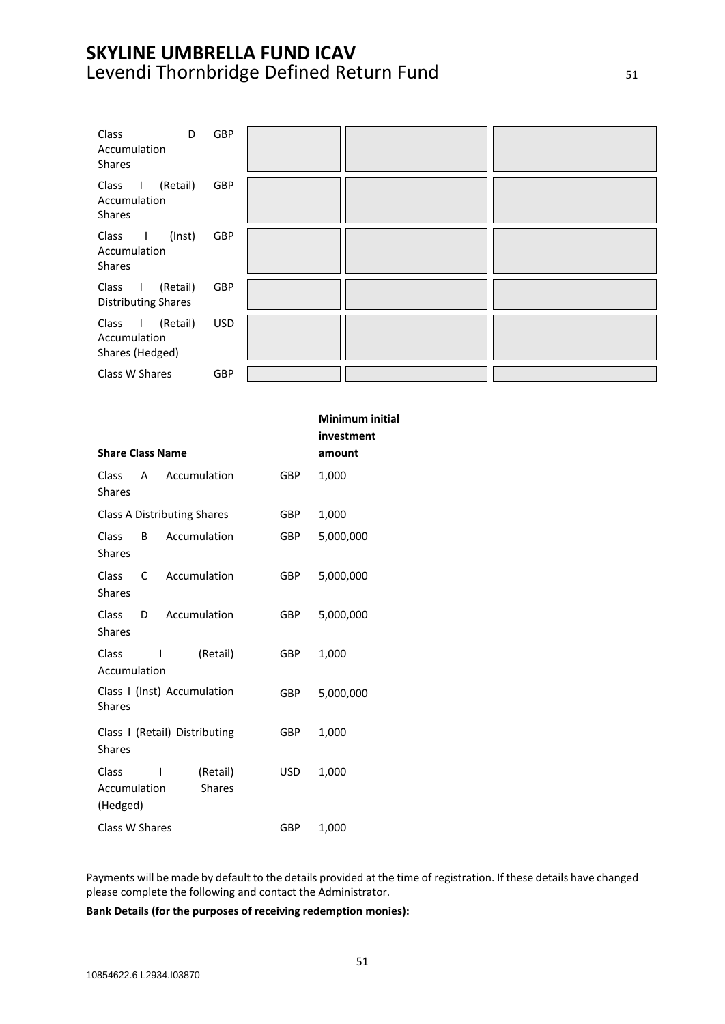| Class<br>D<br>Accumulation<br>Shares                            | GBP        |  |  |
|-----------------------------------------------------------------|------------|--|--|
| I (Retail)<br>Class<br>Accumulation<br>Shares                   | GBP        |  |  |
| Class<br>(Inst)<br>$\mathbf{L}$<br>Accumulation<br>Shares       | GBP        |  |  |
| (Retail)<br>Class<br>$\mathbf{I}$<br><b>Distributing Shares</b> | GBP        |  |  |
| Class I (Retail)<br>Accumulation<br>Shares (Hedged)             | <b>USD</b> |  |  |
| Class W Shares                                                  | GBP        |  |  |

|                                   |              |                                    |            | <b>Minimum initial</b><br>investment |
|-----------------------------------|--------------|------------------------------------|------------|--------------------------------------|
| <b>Share Class Name</b>           |              |                                    |            | amount                               |
| Class<br><b>Shares</b>            | A            | Accumulation                       | <b>GBP</b> | 1,000                                |
|                                   |              | <b>Class A Distributing Shares</b> | <b>GBP</b> | 1,000                                |
| Class<br><b>Shares</b>            | B            | Accumulation                       | <b>GBP</b> | 5,000,000                            |
| <b>Class</b><br><b>Shares</b>     | C            | Accumulation                       | GBP        | 5,000,000                            |
| <b>Class</b><br><b>Shares</b>     | D            | Accumulation                       | <b>GBP</b> | 5,000,000                            |
| Class<br>Accumulation             | $\mathsf{I}$ | (Retail)                           | <b>GBP</b> | 1,000                                |
| <b>Shares</b>                     |              | Class I (Inst) Accumulation        | <b>GBP</b> | 5,000,000                            |
| <b>Shares</b>                     |              | Class I (Retail) Distributing      | <b>GBP</b> | 1,000                                |
| Class<br>Accumulation<br>(Hedged) | $\mathsf{I}$ | (Retail)<br><b>Shares</b>          | USD.       | 1,000                                |
| Class W Shares                    |              |                                    | GBP        | 1,000                                |

Payments will be made by default to the details provided at the time of registration. If these details have changed please complete the following and contact the Administrator.

**Bank Details (for the purposes of receiving redemption monies):**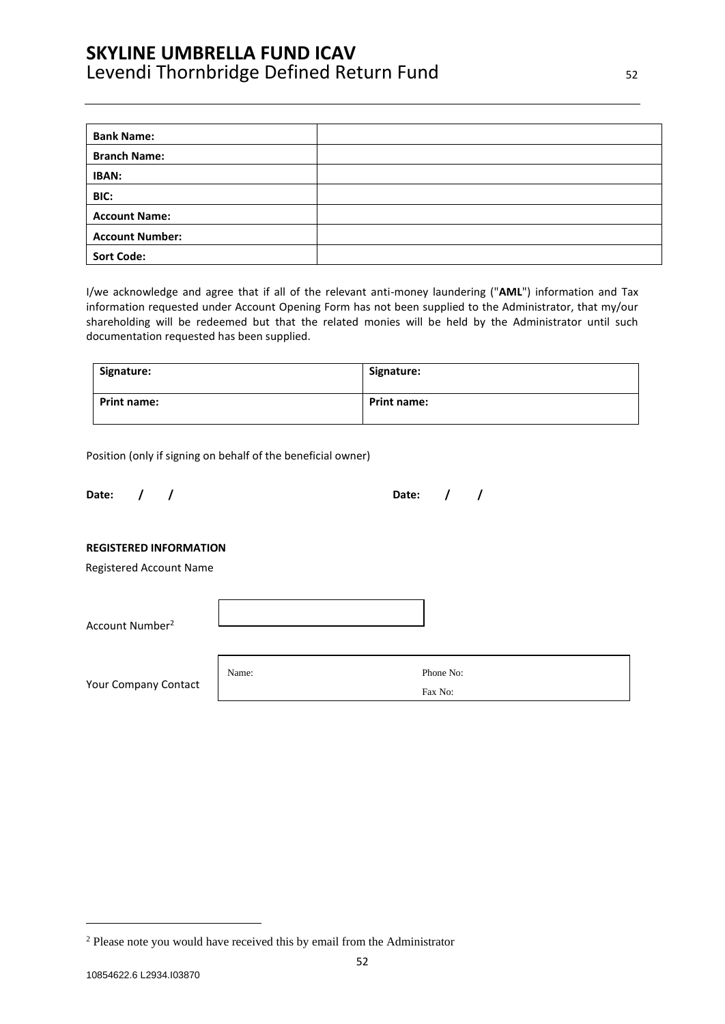| <b>Bank Name:</b>      |  |
|------------------------|--|
| <b>Branch Name:</b>    |  |
| IBAN:                  |  |
| BIC:                   |  |
| <b>Account Name:</b>   |  |
| <b>Account Number:</b> |  |
| <b>Sort Code:</b>      |  |

I/we acknowledge and agree that if all of the relevant anti-money laundering ("**AML**") information and Tax information requested under Account Opening Form has not been supplied to the Administrator, that my/our shareholding will be redeemed but that the related monies will be held by the Administrator until such documentation requested has been supplied.

| Signature:  | Signature:         |
|-------------|--------------------|
| Print name: | <b>Print name:</b> |

Position (only if signing on behalf of the beneficial owner)

**Date: / / Date: / /**

#### **REGISTERED INFORMATION**

Registered Account Name

| Account Number <sup>2</sup> |       |           |
|-----------------------------|-------|-----------|
| Your Company Contact        | Name: | Phone No: |
|                             |       | Fax No:   |

<sup>2</sup> Please note you would have received this by email from the Administrator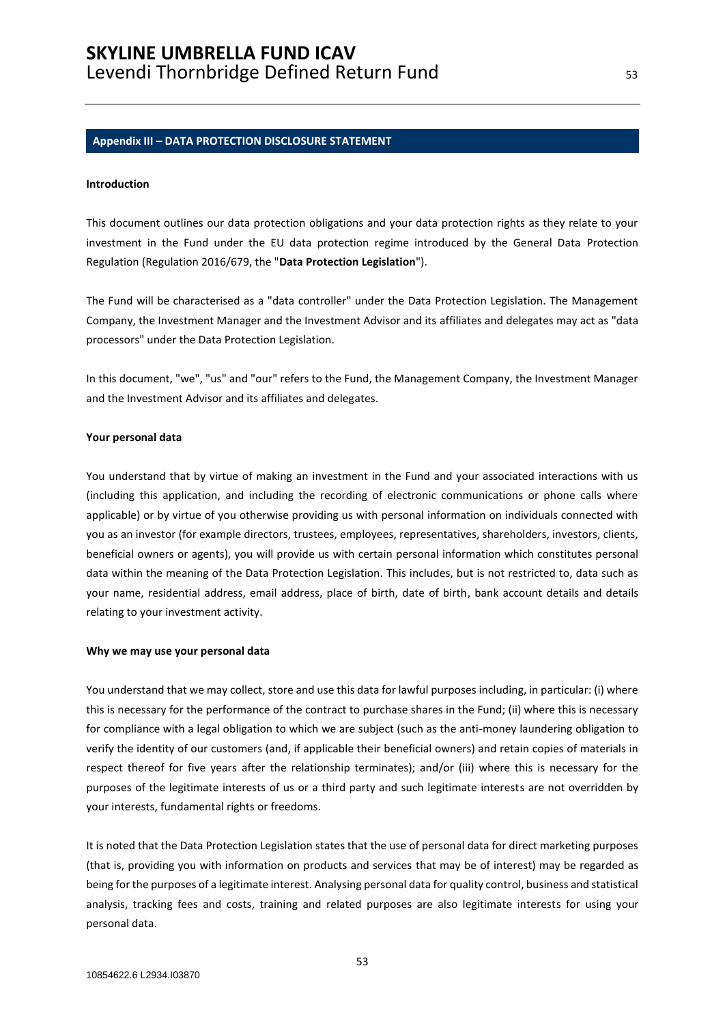#### <span id="page-52-0"></span>**Appendix III – DATA PROTECTION DISCLOSURE STATEMENT**

#### **Introduction**

This document outlines our data protection obligations and your data protection rights as they relate to your investment in the Fund under the EU data protection regime introduced by the General Data Protection Regulation (Regulation 2016/679, the "**Data Protection Legislation**").

The Fund will be characterised as a "data controller" under the Data Protection Legislation. The Management Company, the Investment Manager and the Investment Advisor and its affiliates and delegates may act as "data processors" under the Data Protection Legislation.

In this document, "we", "us" and "our" refers to the Fund, the Management Company, the Investment Manager and the Investment Advisor and its affiliates and delegates.

#### **Your personal data**

You understand that by virtue of making an investment in the Fund and your associated interactions with us (including this application, and including the recording of electronic communications or phone calls where applicable) or by virtue of you otherwise providing us with personal information on individuals connected with you as an investor (for example directors, trustees, employees, representatives, shareholders, investors, clients, beneficial owners or agents), you will provide us with certain personal information which constitutes personal data within the meaning of the Data Protection Legislation. This includes, but is not restricted to, data such as your name, residential address, email address, place of birth, date of birth, bank account details and details relating to your investment activity.

#### **Why we may use your personal data**

You understand that we may collect, store and use this data for lawful purposes including, in particular: (i) where this is necessary for the performance of the contract to purchase shares in the Fund; (ii) where this is necessary for compliance with a legal obligation to which we are subject (such as the anti-money laundering obligation to verify the identity of our customers (and, if applicable their beneficial owners) and retain copies of materials in respect thereof for five years after the relationship terminates); and/or (iii) where this is necessary for the purposes of the legitimate interests of us or a third party and such legitimate interests are not overridden by your interests, fundamental rights or freedoms.

It is noted that the Data Protection Legislation states that the use of personal data for direct marketing purposes (that is, providing you with information on products and services that may be of interest) may be regarded as being for the purposes of a legitimate interest. Analysing personal data for quality control, business and statistical analysis, tracking fees and costs, training and related purposes are also legitimate interests for using your personal data.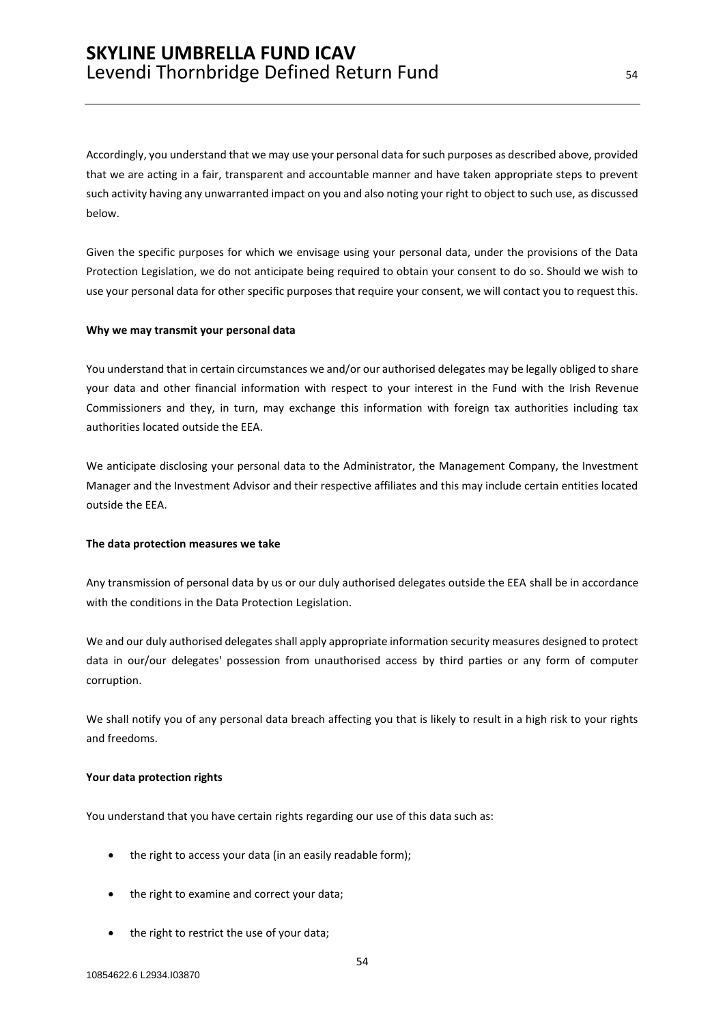Accordingly, you understand that we may use your personal data for such purposes as described above, provided that we are acting in a fair, transparent and accountable manner and have taken appropriate steps to prevent such activity having any unwarranted impact on you and also noting your right to object to such use, as discussed below.

Given the specific purposes for which we envisage using your personal data, under the provisions of the Data Protection Legislation, we do not anticipate being required to obtain your consent to do so. Should we wish to use your personal data for other specific purposes that require your consent, we will contact you to request this.

#### **Why we may transmit your personal data**

You understand that in certain circumstances we and/or our authorised delegates may be legally obliged to share your data and other financial information with respect to your interest in the Fund with the Irish Revenue Commissioners and they, in turn, may exchange this information with foreign tax authorities including tax authorities located outside the EEA.

We anticipate disclosing your personal data to the Administrator, the Management Company, the Investment Manager and the Investment Advisor and their respective affiliates and this may include certain entities located outside the EEA.

#### **The data protection measures we take**

Any transmission of personal data by us or our duly authorised delegates outside the EEA shall be in accordance with the conditions in the Data Protection Legislation.

We and our duly authorised delegates shall apply appropriate information security measures designed to protect data in our/our delegates' possession from unauthorised access by third parties or any form of computer corruption.

We shall notify you of any personal data breach affecting you that is likely to result in a high risk to your rights and freedoms.

#### **Your data protection rights**

You understand that you have certain rights regarding our use of this data such as:

- the right to access your data (in an easily readable form);
- the right to examine and correct your data;
- the right to restrict the use of your data;